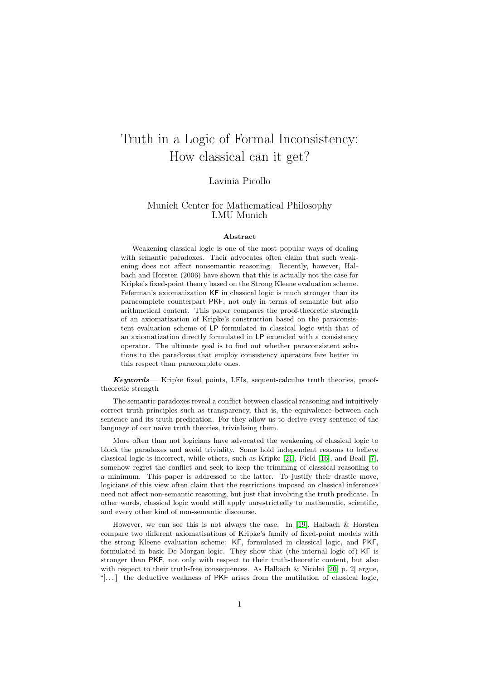# <span id="page-0-0"></span>Truth in a Logic of Formal Inconsistency: How classical can it get?

#### Lavinia Picollo

#### Munich Center for Mathematical Philosophy LMU Munich

#### Abstract

Weakening classical logic is one of the most popular ways of dealing with semantic paradoxes. Their advocates often claim that such weakening does not affect nonsemantic reasoning. Recently, however, Halbach and Horsten (2006) have shown that this is actually not the case for Kripke's fixed-point theory based on the Strong Kleene evaluation scheme. Feferman's axiomatization KF in classical logic is much stronger than its paracomplete counterpart PKF, not only in terms of semantic but also arithmetical content. This paper compares the proof-theoretic strength of an axiomatization of Kripke's construction based on the paraconsistent evaluation scheme of LP formulated in classical logic with that of an axiomatization directly formulated in LP extended with a consistency operator. The ultimate goal is to find out whether paraconsistent solutions to the paradoxes that employ consistency operators fare better in this respect than paracomplete ones.

Keywords— Kripke fixed points, LFIs, sequent-calculus truth theories, prooftheoretic strength

The semantic paradoxes reveal a conflict between classical reasoning and intuitively correct truth principles such as transparency, that is, the equivalence between each sentence and its truth predication. For they allow us to derive every sentence of the language of our naïve truth theories, trivialising them.

More often than not logicians have advocated the weakening of classical logic to block the paradoxes and avoid triviality. Some hold independent reasons to believe classical logic is incorrect, while others, such as Kripke [\[21\]](#page-32-0), Field [\[16\]](#page-32-1), and Beall [\[7\]](#page-31-0), somehow regret the conflict and seek to keep the trimming of classical reasoning to a minimum. This paper is addressed to the latter. To justify their drastic move, logicians of this view often claim that the restrictions imposed on classical inferences need not affect non-semantic reasoning, but just that involving the truth predicate. In other words, classical logic would still apply unrestrictedly to mathematic, scientific, and every other kind of non-semantic discourse.

However, we can see this is not always the case. In [\[19\]](#page-32-2), Halbach & Horsten compare two different axiomatisations of Kripke's family of fixed-point models with the strong Kleene evaluation scheme: KF, formulated in classical logic, and PKF, formulated in basic De Morgan logic. They show that (the internal logic of) KF is stronger than PKF, not only with respect to their truth-theoretic content, but also with respect to their truth-free consequences. As Halbach  $\&$  Nicolai [\[20,](#page-32-3) p. 2] argue, "[ $\dots$ ] the deductive weakness of PKF arises from the mutilation of classical logic,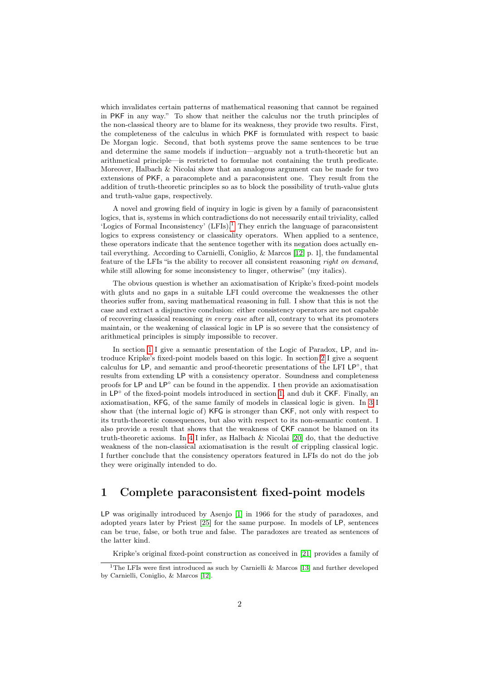which invalidates certain patterns of mathematical reasoning that cannot be regained in PKF in any way." To show that neither the calculus nor the truth principles of the non-classical theory are to blame for its weakness, they provide two results. First, the completeness of the calculus in which PKF is formulated with respect to basic De Morgan logic. Second, that both systems prove the same sentences to be true and determine the same models if induction—arguably not a truth-theoretic but an arithmetical principle—is restricted to formulae not containing the truth predicate. Moreover, Halbach & Nicolai show that an analogous argument can be made for two extensions of PKF, a paracomplete and a paraconsistent one. They result from the addition of truth-theoretic principles so as to block the possibility of truth-value gluts and truth-value gaps, respectively.

A novel and growing field of inquiry in logic is given by a family of paraconsistent logics, that is, systems in which contradictions do not necessarily entail triviality, called 'Logics of Formal Inconsistency'  $(LFIs).<sup>1</sup>$  $(LFIs).<sup>1</sup>$  $(LFIs).<sup>1</sup>$  They enrich the language of paraconsistent logics to express consistency or classicality operators. When applied to a sentence, these operators indicate that the sentence together with its negation does actually entail everything. According to Carnielli, Coniglio, & Marcos [\[12,](#page-31-1) p. 1], the fundamental feature of the LFIs "is the ability to recover all consistent reasoning right on demand, while still allowing for some inconsistency to linger, otherwise" (my italics).

The obvious question is whether an axiomatisation of Kripke's fixed-point models with gluts and no gaps in a suitable LFI could overcome the weaknesses the other theories suffer from, saving mathematical reasoning in full. I show that this is not the case and extract a disjunctive conclusion: either consistency operators are not capable of recovering classical reasoning in every case after all, contrary to what its promoters maintain, or the weakening of classical logic in LP is so severe that the consistency of arithmetical principles is simply impossible to recover.

In section [1](#page-1-1) I give a semantic presentation of the Logic of Paradox, LP, and introduce Kripke's fixed-point models based on this logic. In section [2](#page-6-0) I give a sequent calculus for LP, and semantic and proof-theoretic presentations of the LFI LP◦ , that results from extending LP with a consistency operator. Soundness and completeness proofs for LP and LP° can be found in the appendix. I then provide an axiomatisation in LP◦ of the fixed-point models introduced in section [1,](#page-1-1) and dub it CKF. Finally, an axiomatisation, KFG, of the same family of models in classical logic is given. In [3](#page-16-0) I show that (the internal logic of) KFG is stronger than CKF, not only with respect to its truth-theoretic consequences, but also with respect to its non-semantic content. I also provide a result that shows that the weakness of CKF cannot be blamed on its truth-theoretic axioms. In [4](#page-20-0) I infer, as Halbach & Nicolai [\[20\]](#page-32-3) do, that the deductive weakness of the non-classical axiomatisation is the result of crippling classical logic. I further conclude that the consistency operators featured in LFIs do not do the job they were originally intended to do.

### <span id="page-1-1"></span>1 Complete paraconsistent fixed-point models

LP was originally introduced by Asenjo [\[1\]](#page-31-2) in 1966 for the study of paradoxes, and adopted years later by Priest [\[25\]](#page-32-4) for the same purpose. In models of LP, sentences can be true, false, or both true and false. The paradoxes are treated as sentences of the latter kind.

<span id="page-1-0"></span>Kripke's original fixed-point construction as conceived in [\[21\]](#page-32-0) provides a family of

<sup>&</sup>lt;sup>1</sup>The LFIs were first introduced as such by Carnielli & Marcos [\[13\]](#page-32-5) and further developed by Carnielli, Coniglio, & Marcos [\[12\]](#page-31-1).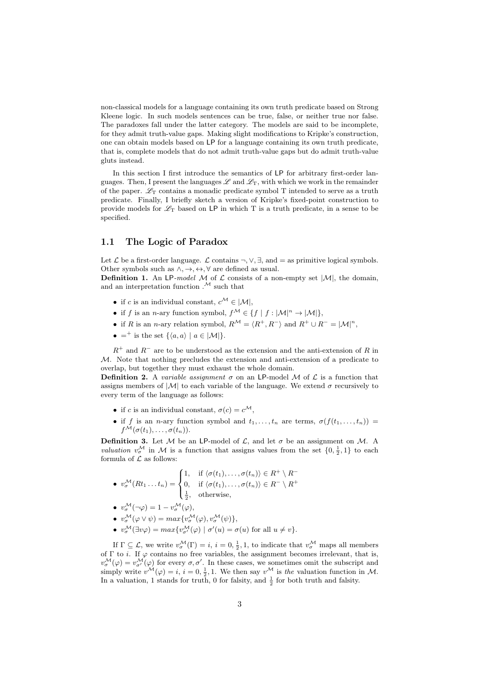non-classical models for a language containing its own truth predicate based on Strong Kleene logic. In such models sentences can be true, false, or neither true nor false. The paradoxes fall under the latter category. The models are said to be incomplete, for they admit truth-value gaps. Making slight modifications to Kripke's construction, one can obtain models based on LP for a language containing its own truth predicate, that is, complete models that do not admit truth-value gaps but do admit truth-value gluts instead.

In this section I first introduce the semantics of LP for arbitrary first-order languages. Then, I present the languages  $\mathscr L$  and  $\mathscr L_T$ , with which we work in the remainder of the paper.  $\mathscr{L}_{\mathcal{T}}$  contains a monadic predicate symbol T intended to serve as a truth predicate. Finally, I briefly sketch a version of Kripke's fixed-point construction to provide models for  $\mathcal{L}_T$  based on LP in which T is a truth predicate, in a sense to be specified.

#### <span id="page-2-0"></span>1.1 The Logic of Paradox

Let  $\mathcal L$  be a first-order language.  $\mathcal L$  contains  $\neg, \vee, \exists$ , and  $=$  as primitive logical symbols. Other symbols such as  $\land, \rightarrow, \leftrightarrow, \forall$  are defined as usual.

<span id="page-2-1"></span>**Definition 1.** An LP-model M of  $\mathcal L$  consists of a non-empty set  $|\mathcal M|$ , the domain, and an interpretation function  $.^{\mathcal{M}}$  such that

- if c is an individual constant,  $c^{\mathcal{M}} \in |\mathcal{M}|$ ,
- if f is an n-ary function symbol,  $f^{\mathcal{M}} \in \{f \mid f : |\mathcal{M}|^n \to |\mathcal{M}|\},$
- if R is an n-ary relation symbol,  $R^{\mathcal{M}} = \langle R^+, R^- \rangle$  and  $R^+ \cup R^- = |\mathcal{M}|^n$ ,
- $=$ <sup>+</sup> is the set  $\{\langle a, a \rangle \mid a \in |\mathcal{M}| \}.$

 $R^+$  and  $R^-$  are to be understood as the extension and the anti-extension of R in M. Note that nothing precludes the extension and anti-extension of a predicate to overlap, but together they must exhaust the whole domain.

**Definition 2.** A variable assignment  $\sigma$  on an LP-model M of  $\mathcal{L}$  is a function that assigns members of  $|M|$  to each variable of the language. We extend  $\sigma$  recursively to every term of the language as follows:

- if c is an individual constant,  $\sigma(c) = c^{\mathcal{M}},$
- if f is an n-ary function symbol and  $t_1, \ldots, t_n$  are terms,  $\sigma(f(t_1, \ldots, t_n)) =$  $f^{\mathcal{M}}(\sigma(t_1),\ldots,\sigma(t_n)).$

**Definition 3.** Let M be an LP-model of  $\mathcal{L}$ , and let  $\sigma$  be an assignment on M. A *valuation*  $v^{\mathcal{M}}_{\sigma}$  in  $\mathcal{M}$  is a function that assigns values from the set  $\{0, \frac{1}{2}, 1\}$  to each formula of  ${\mathcal L}$  as follows:

- $v^{\mathcal{M}}_{\sigma}(Rt_1 \ldots t_n) =$  $\sqrt{ }$  $\mathsf{J}$  $\mathcal{L}$ 1, if  $\langle \sigma(t_1), \ldots, \sigma(t_n) \rangle \in R^+ \setminus R^-$ 0, if  $\langle \sigma(t_1), \ldots, \sigma(t_n) \rangle \in R^- \setminus R^+$  $\frac{1}{2}$ , otherwise,
- $v^{\mathcal{M}}_{\sigma}(\neg \varphi) = 1 v^{\mathcal{M}}_{\sigma}(\varphi),$
- $v^{\mathcal{M}}_{\sigma}(\varphi \vee \psi) = max\{v^{\mathcal{M}}_{\sigma}(\varphi), v^{\mathcal{M}}_{\sigma}(\psi)\},\$
- $v^{\mathcal{M}}_{\sigma}(\exists v \varphi) = max \{ v^{\mathcal{M}}_{\sigma'}(\varphi) \mid \sigma'(u) = \sigma(u) \text{ for all } u \neq v \}.$

If  $\Gamma \subseteq \mathcal{L}$ , we write  $v^{\mathcal{M}}_{\sigma}(\Gamma) = i$ ,  $i = 0, \frac{1}{2}, 1$ , to indicate that  $v^{\mathcal{M}}_{\sigma}$  maps all members of  $\Gamma$  to *i*. If  $\varphi$  contains no free variables, the assignment becomes irrelevant, that is,  $v^{\mathcal{M}}_{\sigma}(\varphi) = v^{\mathcal{M}}_{\sigma'}(\varphi)$  for every  $\sigma, \sigma'$ . In these cases, we sometimes omit the subscript and simply write  $v^{\mathcal{M}}(\varphi) = i, i = 0, \frac{1}{2}, 1$ . We then say  $v^{\mathcal{M}}$  is the valuation function in M. In a valuation, 1 stands for truth, 0 for falsity, and  $\frac{1}{2}$  for both truth and falsity.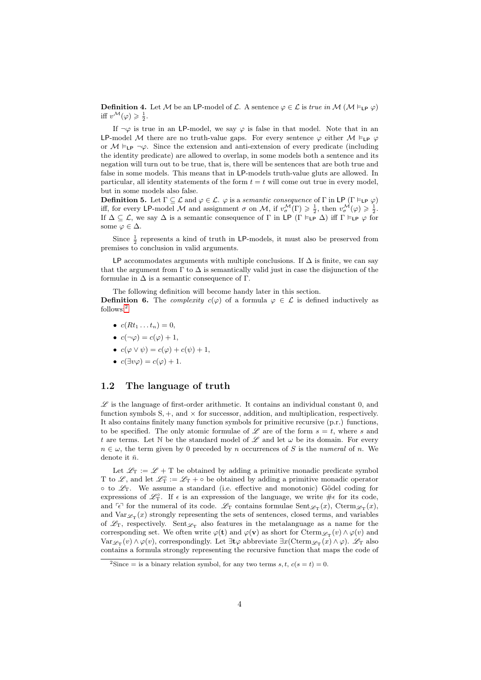**Definition 4.** Let M be an LP-model of L. A sentence  $\varphi \in \mathcal{L}$  is true in M  $(\mathcal{M} \models_{\mathsf{LP}} \varphi)$ iff  $v^{\mathcal{M}}(\varphi) \geqslant \frac{1}{2}$ .

If  $\neg \varphi$  is true in an LP-model, we say  $\varphi$  is false in that model. Note that in an LP-model M there are no truth-value gaps. For every sentence  $\varphi$  either  $M \vDash_{LP} \varphi$ or  $M \vDash_{\mathsf{LP}} \neg \varphi$ . Since the extension and anti-extension of every predicate (including the identity predicate) are allowed to overlap, in some models both a sentence and its negation will turn out to be true, that is, there will be sentences that are both true and false in some models. This means that in LP-models truth-value gluts are allowed. In particular, all identity statements of the form  $t = t$  will come out true in every model, but in some models also false.

<span id="page-3-1"></span>**Definition 5.** Let  $\Gamma \subseteq \mathcal{L}$  and  $\varphi \in \mathcal{L}$ .  $\varphi$  is a semantic consequence of  $\Gamma$  in LP ( $\Gamma \vDash_{\mathsf{LP}} \varphi$ ) iff, for every LP-model M and assignment  $\sigma$  on M, if  $v^{\mathcal{M}}_{\sigma}(\Gamma) \geq \frac{1}{2}$ , then  $v^{\mathcal{M}}_{\sigma}(\varphi) \geq \frac{1}{2}$ . If  $\Delta \subseteq \mathcal{L}$ , we say  $\Delta$  is a semantic consequence of  $\Gamma$  in LP  $(\Gamma \models_{\mathsf{LP}} \Delta)$  iff  $\Gamma \models_{\mathsf{LP}} \varphi$  for some  $\varphi \in \Delta$ .

Since  $\frac{1}{2}$  represents a kind of truth in LP-models, it must also be preserved from premises to conclusion in valid arguments.

LP accommodates arguments with multiple conclusions. If  $\Delta$  is finite, we can say that the argument from  $\Gamma$  to  $\Delta$  is semantically valid just in case the disjunction of the formulae in  $\Delta$  is a semantic consequence of  $\Gamma$ .

The following definition will become handy later in this section.

<span id="page-3-2"></span>**Definition 6.** The *complexity*  $c(\varphi)$  of a formula  $\varphi \in \mathcal{L}$  is defined inductively as follows:[2](#page-3-0)

- $c(Rt_1 \ldots t_n) = 0$ ,
- $c(\neg \varphi) = c(\varphi) + 1$ ,
- $c(\varphi \vee \psi) = c(\varphi) + c(\psi) + 1$ ,
- $c(\exists v \varphi) = c(\varphi) + 1$ .

### 1.2 The language of truth

 $\mathscr L$  is the language of first-order arithmetic. It contains an individual constant 0, and function symbols  $S, +$ , and  $\times$  for successor, addition, and multiplication, respectively. It also contains finitely many function symbols for primitive recursive (p.r.) functions, to be specified. The only atomic formulae of L are of the form  $s = t$ , where s and t are terms. Let N be the standard model of  $\mathscr L$  and let  $\omega$  be its domain. For every  $n \in \omega$ , the term given by 0 preceded by n occurrences of S is the numeral of n. We denote it  $\bar{n}$ .

Let  $\mathcal{L}_T := \mathcal{L} + T$  be obtained by adding a primitive monadic predicate symbol T to  $\mathscr{L}$ , and let  $\mathscr{L}_{\mathbf{T}}^{\circ} := \mathscr{L}_{\mathbf{T}} + \circ$  be obtained by adding a primitive monadic operator  $\circ$  to  $\mathscr{L}_{T}$ . We assume a standard (i.e. effective and monotonic) Gödel coding for expressions of  $\mathscr{L}_{\rm T}^{\circ}$ . If  $\epsilon$  is an expression of the language, we write  $\#\epsilon$  for its code, and  $\lceil \epsilon \rceil$  for the numeral of its code.  $\mathscr{L}_{\mathcal{T}}$  contains formulae  $\text{Sent}_{\mathscr{L}_{\mathcal{T}}}(x)$ ,  $\text{Cterm}_{\mathscr{L}_{\mathcal{T}}}(x)$ , and  $\text{Var}_{\mathscr{L}_{\text{T}}}(x)$  strongly representing the sets of sentences, closed terms, and variables of  $\mathscr{L}_{\rm T}$ , respectively. Sent $\mathscr{L}_{\rm T}$  also features in the metalanguage as a name for the corresponding set. We often write  $\varphi(t)$  and  $\varphi(v)$  as short for  $Cterm_{\mathscr{L}_T}(v) \wedge \varphi(v)$  and  $\text{Var}_{\mathscr{L}_{\mathcal{T}}}(v) \wedge \varphi(v)$ , correspondingly. Let  $\exists \mathbf{t} \varphi$  abbreviate  $\exists x (\text{Cterm}_{\mathscr{L}_{\mathcal{T}}}(x) \wedge \varphi)$ .  $\mathscr{L}_{\mathcal{T}}$  also contains a formula strongly representing the recursive function that maps the code of

<span id="page-3-0"></span><sup>&</sup>lt;sup>2</sup>Since = is a binary relation symbol, for any two terms s, t,  $c(s = t) = 0$ .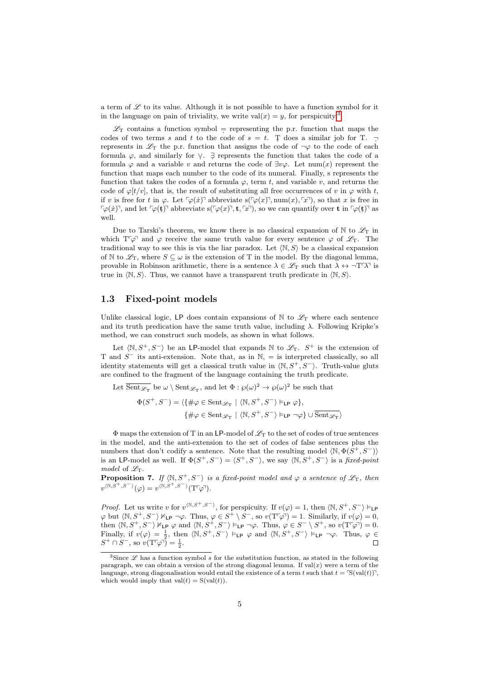a term of  $\mathscr L$  to its value. Although it is not possible to have a function symbol for it in the language on pain of triviality, we write  $val(x) = y$ , for perspicuity.<sup>[3](#page-4-0)</sup>

 $\mathscr{L}_T$  contains a function symbol = representing the p.r. function that maps the codes of two terms s and t to the code of  $s = t$ . T does a similar job for T.  $$ represents in  $\mathscr{L}_{T}$  the p.r. function that assigns the code of  $\neg \varphi$  to the code of each formula  $\varphi$ , and similarly for  $\vee$ .  $\exists$  represents the function that takes the code of a formula  $\varphi$  and a variable v and returns the code of  $\exists v \varphi$ . Let num(x) represent the function that maps each number to the code of its numeral. Finally, s represents the function that takes the codes of a formula  $\varphi$ , term t, and variable v, and returns the code of  $\varphi[t/v]$ , that is, the result of substituting all free occurrences of v in  $\varphi$  with t, if v is free for t in  $\varphi$ . Let  $\lceil \varphi(x) \rceil$  abbreviate s( $\lceil \varphi(x) \rceil$ , num $(x)$ ,  $\lceil x \rceil$ ), so that x is free in  $\lceil \varphi(x) \rceil$ , and let  $\lceil \varphi(\mathbf{t}) \rceil$  abbreviate s( $\lceil \varphi(x) \rceil$ , t,  $\lceil x \rceil$ ), so we can quantify over t in  $\lceil \varphi(\mathbf{t}) \rceil$  as well.

Due to Tarski's theorem, we know there is no classical expansion of  $\mathbb N$  to  $\mathscr{L}_{\mathrm{T}}$  in which  $T\varphi$  and  $\varphi$  receive the same truth value for every sentence  $\varphi$  of  $\mathscr{L}_T$ . The traditional way to see this is via the liar paradox. Let  $\langle N, S \rangle$  be a classical expansion of N to  $\mathscr{L}_{T}$ , where  $S \subseteq \omega$  is the extension of T in the model. By the diagonal lemma, provable in Robinson arithmetic, there is a sentence  $\lambda \in \mathscr{L}_{\mathcal{T}}$  such that  $\lambda \leftrightarrow \neg T\gamma T$  is true in  $\langle \mathbb{N}, S \rangle$ . Thus, we cannot have a transparent truth predicate in  $\langle \mathbb{N}, S \rangle$ .

#### <span id="page-4-1"></span>1.3 Fixed-point models

Unlike classical logic, LP does contain expansions of N to  $\mathscr{L}_T$  where each sentence and its truth predication have the same truth value, including  $\lambda$ . Following Kripke's method, we can construct such models, as shown in what follows.

Let  $\langle \mathbb{N}, S^+, S^- \rangle$  be an LP-model that expands  $\mathbb{N}$  to  $\mathscr{L}_T$ .  $S^+$  is the extension of T and  $S^-$  its anti-extension. Note that, as in  $\mathbb{N}$ , = is interpreted classically, so all identity statements will get a classical truth value in  $\langle \mathbb{N}, S^+, S^- \rangle$ . Truth-value gluts are confined to the fragment of the language containing the truth predicate.

Let  $\overline{Sent_{\mathscr{L}_{T}}}$  be  $\omega \setminus \text{Sent}_{\mathscr{L}_{T}}$ , and let  $\Phi : \wp(\omega)^2 \to \wp(\omega)^2$  be such that  $\Phi(S^+,S^-)=\langle \{\#\varphi\in \mathrm{Sent}_{\mathscr{L}_\mathrm{T}}\mid \langle \mathbb{N}, S^+,S^-\rangle \vDash_{\mathsf{LP}} \varphi\},$  $\{\#\varphi\in\mathrm{Sent}_{\mathscr{L}_{\mathrm{T}}}\mid\langle\mathbb{N},S^+,S^-\rangle\models_{\mathsf{LP}}\neg\varphi\}\cup\overline{\mathrm{Sent}_{\mathscr{L}_{\mathrm{T}}}}\rangle$ 

 $\Phi$  maps the extension of T in an LP-model of  $\mathscr{L}_T$  to the set of codes of true sentences in the model, and the anti-extension to the set of codes of false sentences plus the numbers that don't codify a sentence. Note that the resulting model  $\langle \mathbb{N}, \Phi(S^+, S^-) \rangle$ is an LP-model as well. If  $\Phi(S^+, S^-) = \langle S^+, S^- \rangle$ , we say  $\langle \mathbb{N}, S^+, S^- \rangle$  is a fixed-point model of  $\mathscr{L}_T$ .

<span id="page-4-2"></span>**Proposition 7.** If  $\langle \mathbb{N}, S^+, S^- \rangle$  is a fixed-point model and  $\varphi$  a sentence of  $\mathscr{L}_{\mathcal{T}}$ , then  $v^{\langle \mathbb{N}, S^+, S^- \rangle}(\varphi) = v^{\langle \mathbb{N}, S^+, S^- \rangle}(\mathrm{T} \varphi).$ 

*Proof.* Let us write v for  $v^{(\mathbb{N},S^+,S^-)}$ , for perspicuity. If  $v(\varphi) = 1$ , then  $\langle \mathbb{N}, S^+, S^- \rangle \models_{\mathsf{LP}}$  $\varphi$  but  $\langle \mathbb{N}, S^+, S^- \rangle \nvDash_{\mathsf{LP}} \neg \varphi$ . Thus,  $\varphi \in S^+ \setminus S^-$ , so  $v(\mathrm{T}^r \varphi) = 1$ . Similarly, if  $v(\varphi) = 0$ , then  $\langle \mathbb{N}, S^+, S^- \rangle \nvDash_{\mathsf{LP}} \varphi$  and  $\langle \mathbb{N}, S^+, S^- \rangle \vDash_{\mathsf{LP}} \neg \varphi$ . Thus,  $\varphi \in S^- \setminus S^+$ , so  $v(\mathrm{T}^c \varphi) = 0$ . Finally, if  $v(\varphi) = \frac{1}{2}$ , then  $\langle \mathbb{N}, S^+, S^- \rangle \models_{\mathsf{LP}} \varphi$  and  $\langle \mathbb{N}, S^+, S^- \rangle \models_{\mathsf{LP}} \neg \varphi$ . Thus,  $\varphi \in$  $S^+ \cap S^-$ , so  $v(\mathrm{T} \varphi) = \frac{1}{2}$ .  $\Box$ 

<span id="page-4-0"></span><sup>&</sup>lt;sup>3</sup>Since  $\mathscr L$  has a function symbol s for the substitution function, as stated in the following paragraph, we can obtain a version of the strong diagonal lemma. If  $val(x)$  were a term of the language, strong diagonalisation would entail the existence of a term t such that  $t = \Im(\text{val}(t))$ , which would imply that  $val(t) = S(val(t))$ .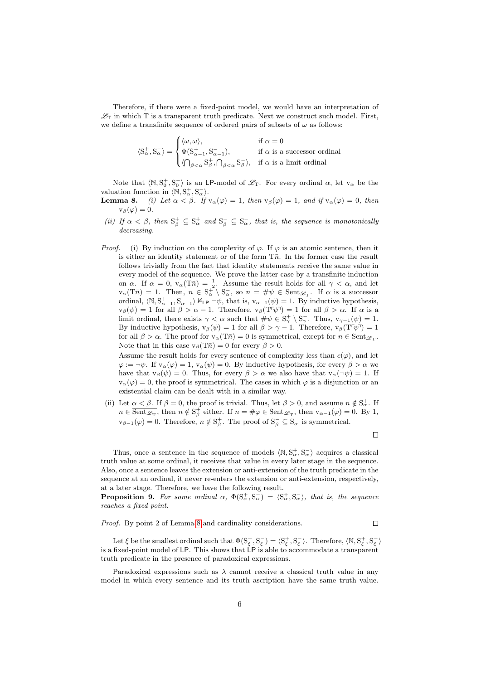Therefore, if there were a fixed-point model, we would have an interpretation of  $\mathscr{L}_{\mathrm{T}}$  in which T is a transparent truth predicate. Next we construct such model. First, we define a transfinite sequence of ordered pairs of subsets of  $\omega$  as follows:

$$
\langle S_{\alpha}^{+}, S_{\alpha}^{-} \rangle = \begin{cases} \langle \omega, \omega \rangle, & \text{if } \alpha = 0 \\ \Phi(S_{\alpha-1}^{+}, S_{\alpha-1}^{-}), & \text{if } \alpha \text{ is a successor ordinal} \\ \langle \bigcap_{\beta < \alpha} S_{\beta}^{+}, \bigcap_{\beta < \alpha} S_{\beta}^{-} \rangle, & \text{if } \alpha \text{ is a limit ordinal} \end{cases}
$$

Note that  $\langle \mathbb{N}, S_0^+, S_0^- \rangle$  is an LP-model of  $\mathscr{L}_T$ . For every ordinal  $\alpha$ , let  $v_\alpha$  be the valuation function in  $\langle \mathbb{N}, \mathbb{S}_{\alpha}^+, \mathbb{S}_{\alpha}^- \rangle$ .

- **Lemma 8.** (i) Let  $\alpha < \beta$ . If  $v_{\alpha}(\varphi) = 1$ , then  $v_{\beta}(\varphi) = 1$ , and if  $v_{\alpha}(\varphi) = 0$ , then  $v_\beta(\varphi)=0.$
- (ii) If  $\alpha < \beta$ , then  $S^+_{\beta} \subseteq S^+_{\alpha}$  and  $S^-_{\beta} \subseteq S^-_{\alpha}$ , that is, the sequence is monotonically decreasing.
- *Proof.* (i) By induction on the complexity of  $\varphi$ . If  $\varphi$  is an atomic sentence, then it is either an identity statement or of the form  $T\bar{n}$ . In the former case the result follows trivially from the fact that identity statements receive the same value in every model of the sequence. We prove the latter case by a transfinite induction on  $\alpha$ . If  $\alpha = 0$ ,  $v_{\alpha}(T\bar{n}) = \frac{1}{2}$ . Assume the result holds for all  $\gamma < \alpha$ , and let  $v_\alpha(T\bar{n}) = 1$ . Then,  $n \in S_\alpha^+ \setminus S_\alpha^-$ , so  $n = \#\psi \in \text{Sent}_{\mathscr{L}_T}$ . If  $\alpha$  is a successor ordinal,  $\langle \mathbb{N}, \mathbb{S}_{\alpha-1}^+, \mathbb{S}_{\alpha-1}^- \rangle \nvDash_{\mathsf{LP}} \neg \psi$ , that is,  $v_{\alpha-1}(\psi) = 1$ . By inductive hypothesis,  $v_\beta(\psi) = 1$  for all  $\beta > \alpha - 1$ . Therefore,  $v_\beta(T^{\dagger}\psi) = 1$  for all  $\beta > \alpha$ . If  $\alpha$  is a limit ordinal, there exists  $\gamma < \alpha$  such that  $\#\psi \in S^+_{\gamma} \setminus S^-_{\gamma}$ . Thus,  $v_{\gamma-1}(\psi) = 1$ . By inductive hypothesis,  $v_\beta(\psi) = 1$  for all  $\beta > \gamma - 1$ . Therefore,  $v_\beta(T^{\tau}\psi) = 1$ for all  $\beta > \alpha$ . The proof for  $v_{\alpha}(T\bar{n}) = 0$  is symmetrical, except for  $n \in \text{Sent}_{\mathscr{L}_{T}}$ . Note that in this case  $v_\beta(T\bar{n}) = 0$  for every  $\beta > 0$ .

Assume the result holds for every sentence of complexity less than  $c(\varphi)$ , and let  $\varphi := \neg \psi$ . If  $v_\alpha(\varphi) = 1$ ,  $v_\alpha(\psi) = 0$ . By inductive hypothesis, for every  $\beta > \alpha$  we have that  $v_\beta(\psi) = 0$ . Thus, for every  $\beta > \alpha$  we also have that  $v_\alpha(\neg \psi) = 1$ . If  $v_{\alpha}(\varphi) = 0$ , the proof is symmetrical. The cases in which  $\varphi$  is a disjunction or an existential claim can be dealt with in a similar way.

(ii) Let  $\alpha < \beta$ . If  $\beta = 0$ , the proof is trivial. Thus, let  $\beta > 0$ , and assume  $n \notin S^+_{\alpha}$ . If  $n \in \overline{\text{Sent}_{\mathscr{L}_{\text{T}}}}$ , then  $n \notin \text{S}_{\beta}^+$  either. If  $n = \#\varphi \in \text{Sent}_{\mathscr{L}_{\text{T}}}$ , then  $\text{v}_{\alpha-1}(\varphi) = 0$ . By 1,  $v_{\beta-1}(\varphi) = 0$ . Therefore,  $n \notin S_\beta^+$ . The proof of  $S_\beta^- \subseteq S_\alpha^-$  is symmetrical.

 $\Box$ 

 $\Box$ 

Thus, once a sentence in the sequence of models  $\langle \mathbb{N}, \mathbb{S}_{\alpha}^+, \mathbb{S}_{\alpha}^-\rangle$  acquires a classical truth value at some ordinal, it receives that value in every later stage in the sequence. Also, once a sentence leaves the extension or anti-extension of the truth predicate in the sequence at an ordinal, it never re-enters the extension or anti-extension, respectively, at a later stage. Therefore, we have the following result.

**Proposition 9.** For some ordinal  $\alpha$ ,  $\Phi(S_\alpha^+, S_\alpha^-) = \langle S_\alpha^+, S_\alpha^- \rangle$ , that is, the sequence reaches a fixed point.

Proof. By point 2 of Lemma [8](#page-0-0) and cardinality considerations.

Let  $\xi$  be the smallest ordinal such that  $\Phi(S_{\xi}^+, S_{\xi}^-) = \langle S_{\xi}^+, S_{\xi}^- \rangle$ . Therefore,  $\langle \mathbb{N}, S_{\xi}^+, S_{\xi}^- \rangle$ is a fixed-point model of LP. This shows that LP is able to accommodate a transparent truth predicate in the presence of paradoxical expressions.

Paradoxical expressions such as  $\lambda$  cannot receive a classical truth value in any model in which every sentence and its truth ascription have the same truth value.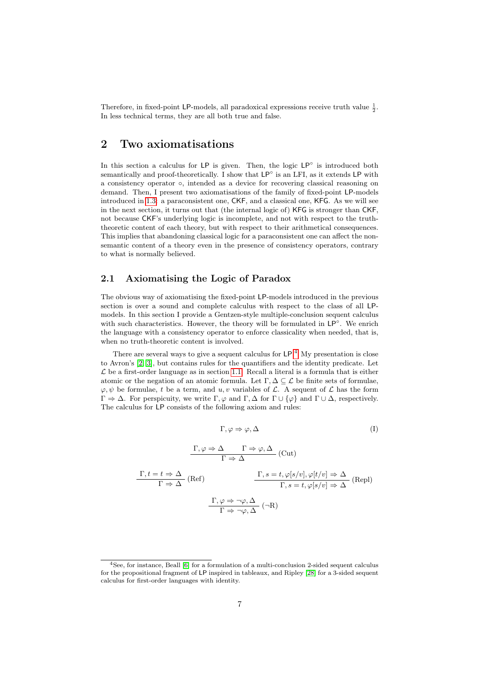Therefore, in fixed-point LP-models, all paradoxical expressions receive truth value  $\frac{1}{2}$ . In less technical terms, they are all both true and false.

### <span id="page-6-0"></span>2 Two axiomatisations

In this section a calculus for LP is given. Then, the logic LP◦ is introduced both semantically and proof-theoretically. I show that LP<sup>○</sup> is an LFI, as it extends LP with a consistency operator ◦, intended as a device for recovering classical reasoning on demand. Then, I present two axiomatisations of the family of fixed-point LP-models introduced in [1.3:](#page-4-1) a paraconsistent one, CKF, and a classical one, KFG. As we will see in the next section, it turns out that (the internal logic of) KFG is stronger than CKF, not because CKF's underlying logic is incomplete, and not with respect to the truththeoretic content of each theory, but with respect to their arithmetical consequences. This implies that abandoning classical logic for a paraconsistent one can affect the nonsemantic content of a theory even in the presence of consistency operators, contrary to what is normally believed.

### <span id="page-6-2"></span>2.1 Axiomatising the Logic of Paradox

The obvious way of axiomatising the fixed-point LP-models introduced in the previous section is over a sound and complete calculus with respect to the class of all LPmodels. In this section I provide a Gentzen-style multiple-conclusion sequent calculus with such characteristics. However, the theory will be formulated in LP°. We enrich the language with a consistency operator to enforce classicality when needed, that is, when no truth-theoretic content is involved.

There are several ways to give a sequent calculus for  $\mathsf{LP}.^4$  $\mathsf{LP}.^4$  My presentation is close to Avron's [\[2,](#page-31-3) [3\]](#page-31-4), but contains rules for the quantifiers and the identity predicate. Let  $\mathcal L$  be a first-order language as in section [1.1.](#page-2-0) Recall a literal is a formula that is either atomic or the negation of an atomic formula. Let  $\Gamma, \Delta \subseteq \mathcal{L}$  be finite sets of formulae,  $\varphi, \psi$  be formulae, t be a term, and u, v variables of L. A sequent of L has the form  $\Gamma \Rightarrow \Delta$ . For perspicuity, we write  $\Gamma, \varphi$  and  $\Gamma, \Delta$  for  $\Gamma \cup {\varphi}$  and  $\Gamma \cup \Delta$ , respectively. The calculus for LP consists of the following axiom and rules:

$$
\Gamma, \varphi \Rightarrow \varphi, \Delta \tag{I}
$$

$$
\frac{\Gamma, \varphi \Rightarrow \Delta \qquad \Gamma \Rightarrow \varphi, \Delta}{\Gamma \Rightarrow \Delta} \text{ (Cut)}
$$
\n
$$
\frac{\Gamma, t = t \Rightarrow \Delta}{\Gamma \Rightarrow \Delta} \text{ (Ref)}
$$
\n
$$
\frac{\Gamma, s = t, \varphi[s/v], \varphi[t/v] \Rightarrow \Delta}{\Gamma, s = t, \varphi[s/v] \Rightarrow \Delta} \text{ (Repl)}
$$
\n
$$
\frac{\Gamma, \varphi \Rightarrow \neg \varphi, \Delta}{\Gamma \Rightarrow \neg \varphi, \Delta} \text{ (-R)}
$$

<span id="page-6-1"></span><sup>4</sup>See, for instance, Beall [\[6\]](#page-31-5) for a formulation of a multi-conclusion 2-sided sequent calculus for the propositional fragment of LP inspired in tableaux, and Ripley [\[28\]](#page-32-6) for a 3-sided sequent calculus for first-order languages with identity.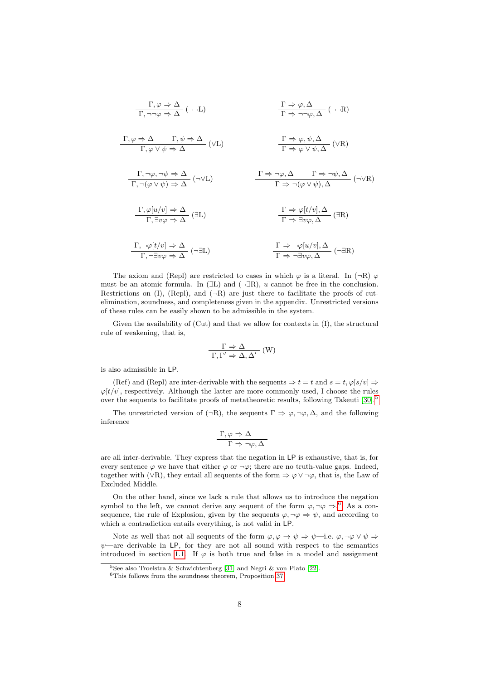$$
\frac{\Gamma, \varphi \Rightarrow \Delta}{\Gamma, \neg \neg \varphi \Rightarrow \Delta} (\neg \neg L) \qquad \frac{\Gamma \Rightarrow \varphi, \Delta}{\Gamma \Rightarrow \neg \neg \varphi, \Delta} (\neg \neg R)
$$
\n
$$
\frac{\Gamma, \varphi \Rightarrow \Delta}{\Gamma, \varphi \lor \psi \Rightarrow \Delta} (\lor L) \qquad \frac{\Gamma \Rightarrow \varphi, \psi, \Delta}{\Gamma \Rightarrow \varphi \lor \psi, \Delta} (\lor R)
$$
\n
$$
\frac{\Gamma, \neg \varphi, \neg \psi \Rightarrow \Delta}{\Gamma, \neg (\varphi \lor \psi) \Rightarrow \Delta} (\neg \lor L) \qquad \frac{\Gamma \Rightarrow \neg \varphi, \Delta}{\Gamma \Rightarrow \neg (\varphi \lor \psi), \Delta} (\neg \lor R)
$$
\n
$$
\frac{\Gamma, \varphi[u/v] \Rightarrow \Delta}{\Gamma, \exists v \varphi \Rightarrow \Delta} (\exists L) \qquad \frac{\Gamma \Rightarrow \varphi[t/v], \Delta}{\Gamma \Rightarrow \exists v \varphi, \Delta} (\exists R)
$$
\n
$$
\frac{\Gamma, \neg \varphi[t/v] \Rightarrow \Delta}{\Gamma, \exists v \varphi \Rightarrow \Delta} (\neg \exists L) \qquad \frac{\Gamma \Rightarrow \varphi[t/v], \Delta}{\Gamma \Rightarrow \exists v \varphi, \Delta} (\neg \exists R)
$$

The axiom and (Repl) are restricted to cases in which  $\varphi$  is a literal. In (¬R)  $\varphi$ must be an atomic formula. In ( $\exists L$ ) and ( $\neg \exists R$ ), u cannot be free in the conclusion. Restrictions on  $(I)$ ,  $(Repl)$ , and  $(\neg R)$  are just there to facilitate the proofs of cutelimination, soundness, and completeness given in the appendix. Unrestricted versions of these rules can be easily shown to be admissible in the system.

Given the availability of (Cut) and that we allow for contexts in (I), the structural rule of weakening, that is,

$$
\frac{\Gamma \Rightarrow \Delta}{\Gamma, \Gamma' \Rightarrow \Delta, \Delta'} (W)
$$

is also admissible in LP.

(Ref) and (Repl) are inter-derivable with the sequents  $\Rightarrow t = t$  and  $s = t$ ,  $\varphi[s/v] \Rightarrow$  $\varphi[t/v]$ , respectively. Although the latter are more commonly used, I choose the rules over the sequents to facilitate proofs of metatheoretic results, following Takeuti [\[30\]](#page-32-7).<sup>[5](#page-7-0)</sup>

The unrestricted version of ( $\neg R$ ), the sequents  $\Gamma \Rightarrow \varphi, \neg \varphi, \Delta$ , and the following inference

$$
\dfrac{\Gamma,\varphi\Rightarrow\Delta}{\Gamma\Rightarrow\neg\varphi,\Delta}
$$

are all inter-derivable. They express that the negation in LP is exhaustive, that is, for every sentence  $\varphi$  we have that either  $\varphi$  or  $\neg \varphi$ ; there are no truth-value gaps. Indeed, together with (∨R), they entail all sequents of the form  $\Rightarrow \varphi \vee \neg \varphi$ , that is, the Law of Excluded Middle.

On the other hand, since we lack a rule that allows us to introduce the negation symbol to the left, we cannot derive any sequent of the form  $\varphi, \neg \varphi \Rightarrow ^6$  $\varphi, \neg \varphi \Rightarrow ^6$ . As a consequence, the rule of Explosion, given by the sequents  $\varphi, \neg \varphi \Rightarrow \psi$ , and according to which a contradiction entails everything, is not valid in LP.

Note as well that not all sequents of the form  $\varphi, \varphi \to \psi \Rightarrow \psi \text{--i.e. } \varphi, \neg \varphi \lor \psi \Rightarrow$  $\psi$ —are derivable in LP, for they are not all sound with respect to the semantics introduced in section [1.1.](#page-2-0) If  $\varphi$  is both true and false in a model and assignment

<span id="page-7-0"></span><sup>&</sup>lt;sup>5</sup>See also Troelstra & Schwichtenberg [\[31\]](#page-32-8) and Negri & von Plato [\[22\]](#page-32-9).

<span id="page-7-1"></span><sup>6</sup>This follows from the soundness theorem, Proposition [37.](#page-22-0)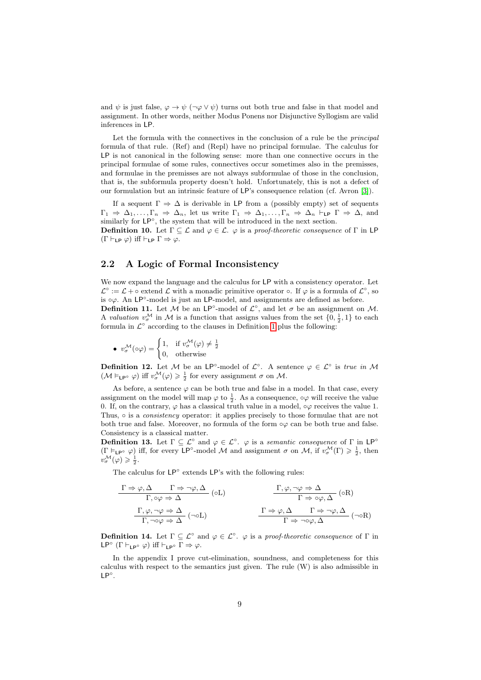and  $\psi$  is just false,  $\varphi \to \psi$  ( $\neg \varphi \lor \psi$ ) turns out both true and false in that model and assignment. In other words, neither Modus Ponens nor Disjunctive Syllogism are valid inferences in LP.

Let the formula with the connectives in the conclusion of a rule be the *principal* formula of that rule. (Ref) and (Repl) have no principal formulae. The calculus for LP is not canonical in the following sense: more than one connective occurs in the principal formulae of some rules, connectives occur sometimes also in the premisses, and formulae in the premisses are not always subformulae of those in the conclusion, that is, the subformula property doesn't hold. Unfortunately, this is not a defect of our formulation but an intrinsic feature of LP's consequence relation (cf. Avron [\[3\]](#page-31-4)).

If a sequent  $\Gamma \Rightarrow \Delta$  is derivable in LP from a (possibly empty) set of sequents  $\Gamma_1 \Rightarrow \Delta_1, \ldots, \Gamma_n \Rightarrow \Delta_n$ , let us write  $\Gamma_1 \Rightarrow \Delta_1, \ldots, \Gamma_n \Rightarrow \Delta_n \vdash_{\mathsf{LP}} \Gamma \Rightarrow \Delta$ , and similarly for  $LP^{\circ}$ , the system that will be introduced in the next section. **Definition 10.** Let  $\Gamma \subseteq \mathcal{L}$  and  $\varphi \in \mathcal{L}$ .  $\varphi$  is a proof-theoretic consequence of  $\Gamma$  in LP  $(\Gamma \vdash_{\mathsf{LP}} \varphi)$  iff  $\vdash_{\mathsf{LP}} \Gamma \Rightarrow \varphi$ .

#### <span id="page-8-0"></span>2.2 A Logic of Formal Inconsistency

We now expand the language and the calculus for LP with a consistency operator. Let  $\mathcal{L}^{\circ} := \mathcal{L} + \circ$  extend  $\mathcal{L}$  with a monadic primitive operator  $\circ$ . If  $\varphi$  is a formula of  $\mathcal{L}^{\circ}$ , so is  $\circ \varphi$ . An LP°-model is just an LP-model, and assignments are defined as before.

**Definition 11.** Let M be an LP<sup>°</sup>-model of  $\mathcal{L}^{\circ}$ , and let  $\sigma$  be an assignment on M. A valuation  $v^{\mathcal{M}}_{\sigma}$  in M is a function that assigns values from the set  $\{0, \frac{1}{2}, 1\}$  to each formula in  $\mathcal{L}^{\circ}$  according to the clauses in Definition [1](#page-2-1) plus the following:

• 
$$
v^{\mathcal{M}}_{\sigma}(\circ\varphi) = \begin{cases} 1, & \text{if } v^{\mathcal{M}}_{\sigma}(\varphi) \neq \frac{1}{2} \\ 0, & \text{otherwise} \end{cases}
$$

**Definition 12.** Let M be an LP<sup>°</sup>-model of  $\mathcal{L}^{\circ}$ . A sentence  $\varphi \in \mathcal{L}^{\circ}$  is true in M  $(\mathcal{M} \vDash_{\mathsf{LP}^{\circ}} \varphi)$  iff  $v^{\mathcal{M}}_{\sigma}(\varphi) \geq \frac{1}{2}$  for every assignment  $\sigma$  on  $\mathcal{M}$ .

As before, a sentence  $\varphi$  can be both true and false in a model. In that case, every assignment on the model will map  $\varphi$  to  $\frac{1}{2}$ . As a consequence,  $\circ\varphi$  will receive the value 0. If, on the contrary,  $\varphi$  has a classical truth value in a model,  $\circ\varphi$  receives the value 1. Thus, ○ is a *consistency* operator: it applies precisely to those formulae that are not both true and false. Moreover, no formula of the form  $\infty$  can be both true and false. Consistency is a classical matter.

<span id="page-8-1"></span>**Definition 13.** Let  $\Gamma \subseteq \mathcal{L}^{\circ}$  and  $\varphi \in \mathcal{L}^{\circ}$ .  $\varphi$  is a semantic consequence of  $\Gamma$  in LP<sup>°</sup>  $(\Gamma \models_{\mathsf{LP}^{\circ}} \varphi)$  iff, for every  $\mathsf{LP}^{\circ}\text{-}\mathrm{model}\nrightarrow \mathcal{M}$  and assignment  $\sigma$  on  $\mathcal{M}$ , if  $v^{\mathcal{M}}_{\sigma}(\Gamma) \geq \frac{1}{2}$ , then  $v^{\mathcal{M}}_{\sigma}(\varphi)\geqslant \frac{1}{2}.$ 

The calculus for LP<sup>°</sup> extends LP's with the following rules:

$$
\frac{\Gamma \Rightarrow \varphi, \Delta \qquad \Gamma \Rightarrow \neg \varphi, \Delta}{\Gamma, \circ \varphi \Rightarrow \Delta} \text{ (oL)} \qquad \qquad \frac{\Gamma, \varphi, \neg \varphi \Rightarrow \Delta}{\Gamma \Rightarrow \circ \varphi, \Delta} \text{ (oR)} \qquad \qquad \frac{\Gamma, \varphi, \neg \varphi \Rightarrow \Delta}{\Gamma \Rightarrow \varphi, \Delta} \text{ (oR)} \qquad \qquad \frac{\Gamma \Rightarrow \varphi, \Delta \qquad \Gamma \Rightarrow \neg \varphi, \Delta}{\Gamma \Rightarrow \neg \varphi, \Delta} \text{ (oR)} \qquad \qquad \frac{\Gamma \Rightarrow \varphi, \Delta \qquad \Gamma \Rightarrow \neg \varphi, \Delta}{\Gamma \Rightarrow \neg \varphi, \Delta} \text{ (oR)} \qquad \qquad \frac{\Gamma \Rightarrow \varphi, \Delta \qquad \Gamma \Rightarrow \neg \varphi, \Delta}{\Gamma \Rightarrow \varphi, \Delta} \text{ (oR)} \qquad \qquad \frac{\Gamma \Rightarrow \varphi, \Delta \qquad \Gamma \Rightarrow \neg \varphi, \Delta}{\Gamma \Rightarrow \varphi, \Delta} \text{ (oR)} \qquad \qquad \frac{\Gamma \Rightarrow \varphi, \Delta \qquad \Gamma \Rightarrow \varphi, \Delta}{\Gamma \Rightarrow \varphi, \Delta} \text{ (oR)} \qquad \qquad \frac{\Gamma \Rightarrow \varphi, \Delta \qquad \Gamma \Rightarrow \varphi, \Delta}{\Gamma \Rightarrow \varphi, \Delta} \text{ (oR)} \qquad \qquad \frac{\Gamma \Rightarrow \varphi, \Delta \qquad \Gamma \Rightarrow \varphi, \Delta}{\Gamma \Rightarrow \varphi, \Delta} \text{ (oR)} \qquad \qquad \frac{\Gamma \Rightarrow \varphi, \Delta \qquad \Gamma \Rightarrow \varphi, \Delta}{\Gamma \Rightarrow \varphi, \Delta} \text{ (oR)} \qquad \qquad \frac{\Gamma \Rightarrow \varphi, \Delta \qquad \Gamma \Rightarrow \varphi, \Delta}{\Gamma \Rightarrow \varphi, \Delta} \text{ (oR)} \qquad \qquad \frac{\Gamma \Rightarrow \varphi, \Delta \qquad \Gamma \Rightarrow \varphi, \Delta}{\Gamma \Rightarrow \varphi, \Delta} \text{ (oR)} \qquad \qquad \frac{\Gamma \Rightarrow \varphi, \Delta \qquad \Gamma \Rightarrow \varphi, \Delta}{\Gamma \Rightarrow \varphi, \Delta} \text{ (oR)} \qquad \qquad \frac{\Gamma \Rightarrow \varphi, \Delta \qquad \Gamma \Rightarrow \varphi, \Delta}{\Gamma \Rightarrow \varphi, \Delta} \text{ (oR)} \qquad \qquad \frac{\Gamma \Rightarrow
$$

**Definition 14.** Let  $\Gamma \subseteq \mathcal{L}^{\circ}$  and  $\varphi \in \mathcal{L}^{\circ}$ .  $\varphi$  is a proof-theoretic consequence of  $\Gamma$  in LP°  $(\Gamma \vdash_{\mathsf{LP}^\circ} \varphi)$  iff  $\vdash_{\mathsf{LP}^\circ} \Gamma \Rightarrow \varphi$ .

In the appendix I prove cut-elimination, soundness, and completeness for this calculus with respect to the semantics just given. The rule (W) is also admissible in LP◦ .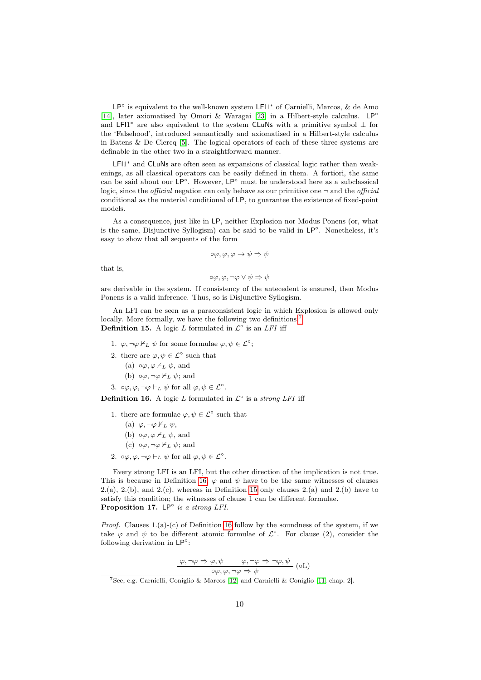LP° is equivalent to the well-known system LFl1<sup>\*</sup> of Carnielli, Marcos, & de Amo [\[14\]](#page-32-10), later axiomatised by Omori & Waragai [\[23\]](#page-32-11) in a Hilbert-style calculus. LP◦ and LFI1<sup>\*</sup> are also equivalent to the system CLuNs with a primitive symbol  $\perp$  for the 'Falsehood', introduced semantically and axiomatised in a Hilbert-style calculus in Batens & De Clercq [\[5\]](#page-31-6). The logical operators of each of these three systems are definable in the other two in a straightforward manner.

LFI1<sup>\*</sup> and CLuNs are often seen as expansions of classical logic rather than weakenings, as all classical operators can be easily defined in them. A fortiori, the same can be said about our LP◦ . However, LP◦ must be understood here as a subclassical logic, since the *official* negation can only behave as our primitive one  $\neg$  and the *official* conditional as the material conditional of LP, to guarantee the existence of fixed-point models.

As a consequence, just like in LP, neither Explosion nor Modus Ponens (or, what is the same, Disjunctive Syllogism) can be said to be valid in LP◦ . Nonetheless, it's easy to show that all sequents of the form

$$
\circ \varphi, \varphi, \varphi \to \psi \Rightarrow \psi
$$

that is,

$$
\circ \varphi, \varphi, \neg \varphi \vee \psi \Rightarrow \psi
$$

are derivable in the system. If consistency of the antecedent is ensured, then Modus Ponens is a valid inference. Thus, so is Disjunctive Syllogism.

<span id="page-9-2"></span>An LFI can be seen as a paraconsistent logic in which Explosion is allowed only locally. More formally, we have the following two definitions:<sup>[7](#page-9-0)</sup> **Definition 15.** A logic L formulated in  $\mathcal{L}^{\circ}$  is an LFI iff

- 1.  $\varphi, \neg \varphi \nvdash_L \psi$  for some formulae  $\varphi, \psi \in \mathcal{L}^\circ$ ;
- 2. there are  $\varphi, \psi \in \mathcal{L}^{\circ}$  such that
	- (a)  $\circ \varphi, \varphi \nvdash_L \psi$ , and
	- (b)  $\circ \varphi, \neg \varphi \nvdash_L \psi$ ; and
- 3.  $\circ \varphi, \varphi, \neg \varphi \vdash_L \psi \text{ for all } \varphi, \psi \in \mathcal{L}^{\circ}.$

<span id="page-9-1"></span>**Definition 16.** A logic L formulated in  $\mathcal{L}^{\circ}$  is a strong LFI iff

- 1. there are formulae  $\varphi, \psi \in \mathcal{L}^{\circ}$  such that
	- (a)  $\varphi, \neg \varphi \nvdash_L \psi,$
	- (b)  $\circ \varphi, \varphi \nvdash_L \psi$ , and
	- (c)  $\circ \varphi, \neg \varphi \nvdash_L \psi$ ; and
- 2.  $\circ \varphi, \varphi, \neg \varphi \vdash_L \psi \text{ for all } \varphi, \psi \in \mathcal{L}^{\circ}.$

Every strong LFI is an LFI, but the other direction of the implication is not true. This is because in Definition [16,](#page-9-1)  $\varphi$  and  $\psi$  have to be the same witnesses of clauses  $2.(\text{a})$ ,  $2.(\text{b})$ , and  $2.(\text{c})$ , whereas in Definition [15](#page-9-2) only clauses  $2.(\text{a})$  and  $2.(\text{b})$  have to satisfy this condition; the witnesses of clause 1 can be different formulae. Proposition 17.  $LP^\circ$  is a strong LFI.

*Proof.* Clauses  $1.(a)-(c)$  of Definition [16](#page-9-1) follow by the soundness of the system, if we take  $\varphi$  and  $\psi$  to be different atomic formulae of  $\mathcal{L}^{\circ}$ . For clause (2), consider the following derivation in LP<sup>°</sup>:

$$
\frac{\varphi, \neg \varphi \Rightarrow \varphi, \psi \qquad \varphi, \neg \varphi \Rightarrow \neg \varphi, \psi}{\varphi, \varphi, \neg \varphi \Rightarrow \psi} (oL)
$$

<span id="page-9-0"></span><sup>&</sup>lt;sup>7</sup>See, e.g. Carnielli, Coniglio & Marcos [\[12\]](#page-31-1) and Carnielli & Coniglio [\[11,](#page-31-7) chap. 2].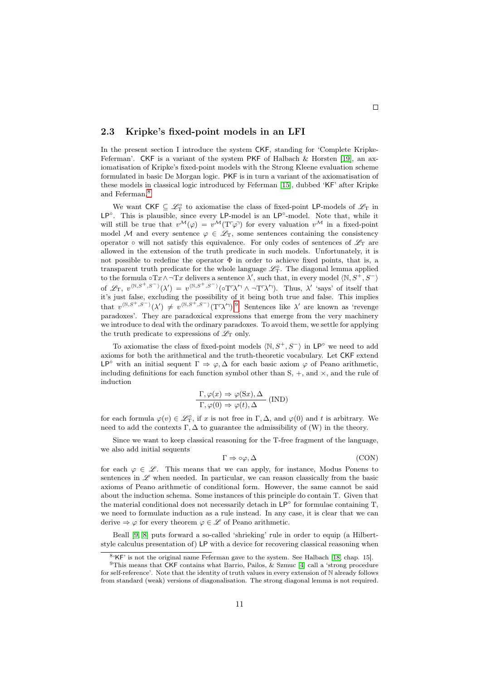#### 2.3 Kripke's fixed-point models in an LFI

In the present section I introduce the system CKF, standing for 'Complete Kripke-Feferman'. CKF is a variant of the system PKF of Halbach  $\&$  Horsten [\[19\]](#page-32-2), an axiomatisation of Kripke's fixed-point models with the Strong Kleene evaluation scheme formulated in basic De Morgan logic. PKF is in turn a variant of the axiomatisation of these models in classical logic introduced by Feferman [\[15\]](#page-32-12), dubbed 'KF' after Kripke and Feferman.<sup>[8](#page-10-0)</sup>

We want  $\mathsf{CKF} \subseteq \mathscr{L}_{\mathrm{T}}^{\circ}$  to axiomatise the class of fixed-point LP-models of  $\mathscr{L}_{\mathrm{T}}$  in LP°. This is plausible, since every LP-model is an LP°-model. Note that, while it will still be true that  $v^{\mathcal{M}}(\varphi) = v^{\mathcal{M}}(T^{\tau}\varphi)$  for every valuation  $v^{\mathcal{M}}$  in a fixed-point model M and every sentence  $\varphi \in \mathscr{L}_T$ , some sentences containing the consistency operator  $\circ$  will not satisfy this equivalence. For only codes of sentences of  $\mathscr{L}_T$  are allowed in the extension of the truth predicate in such models. Unfortunately, it is not possible to redefine the operator Φ in order to achieve fixed points, that is, a transparent truth predicate for the whole language  $\mathscr{L}_{\rm T}^{\circ}$ . The diagonal lemma applied to the formula ∘ $Tx \wedge \neg Tx$  delivers a sentence  $\lambda'$ , such that, in every model  $\langle \mathbb{N}, S^+, S^- \rangle$ of  $\mathscr{L}_{\mathrm{T}}$ ,  $v^{(\mathbb{N},S^{+},S^{-})}(\lambda') = v^{(\mathbb{N},S^{+},S^{-})}(\sigma\Gamma\lambda'^{\top}\wedge\neg\Gamma\lambda'^{\top}).$  Thus,  $\lambda'$  'says' of itself that it's just false, excluding the possibility of it being both true and false. This implies that  $v^{(\mathbb{N},S^+,S^-)}(\lambda') \neq v^{(\mathbb{N},S^+,S^-)}(T^r\lambda')$ .<sup>[9](#page-10-1)</sup> Sentences like  $\lambda'$  are known as 'revenge paradoxes'. They are paradoxical expressions that emerge from the very machinery we introduce to deal with the ordinary paradoxes. To avoid them, we settle for applying the truth predicate to expressions of  $\mathscr{L}_{\mathcal{T}}$  only.

To axiomatise the class of fixed-point models  $\langle \mathbb{N}, S^+, S^- \rangle$  in LP° we need to add axioms for both the arithmetical and the truth-theoretic vocabulary. Let CKF extend LP<sup>o</sup> with an initial sequent  $\Gamma \Rightarrow \varphi, \Delta$  for each basic axiom  $\varphi$  of Peano arithmetic, including definitions for each function symbol other than  $S, +$ , and  $\times$ , and the rule of induction

$$
\frac{\Gamma, \varphi(x) \Rightarrow \varphi(Sx), \Delta}{\Gamma, \varphi(0) \Rightarrow \varphi(t), \Delta}
$$
 (IND)

for each formula  $\varphi(v) \in \mathcal{L}_{\mathcal{T}}^{\circ}$ , if x is not free in  $\Gamma, \Delta$ , and  $\varphi(0)$  and t is arbitrary. We need to add the contexts  $\Gamma$ ,  $\Delta$  to guarantee the admissibility of (W) in the theory.

Since we want to keep classical reasoning for the T-free fragment of the language, we also add initial sequents

<span id="page-10-2"></span>
$$
\Gamma \Rightarrow \circ \varphi, \Delta \tag{CON}
$$

for each  $\varphi \in \mathscr{L}$ . This means that we can apply, for instance, Modus Ponens to sentences in  $\mathscr L$  when needed. In particular, we can reason classically from the basic axioms of Peano arithmetic of conditional form. However, the same cannot be said about the induction schema. Some instances of this principle do contain T. Given that the material conditional does not necessarily detach in LP◦ for formulae containing T, we need to formulate induction as a rule instead. In any case, it is clear that we can derive  $\Rightarrow \varphi$  for every theorem  $\varphi \in \mathscr{L}$  of Peano arithmetic.

Beall [\[9,](#page-31-8) [8\]](#page-31-9) puts forward a so-called 'shrieking' rule in order to equip (a Hilbertstyle calculus presentation of) LP with a device for recovering classical reasoning when

<span id="page-10-1"></span><span id="page-10-0"></span> $8 K$ F' is not the original name Feferman gave to the system. See Halbach [\[18,](#page-32-13) chap. 15].

<sup>&</sup>lt;sup>9</sup>This means that  $\textsf{CKF}$  contains what Barrio, Pailos, & Szmuc [\[4\]](#page-31-10) call a 'strong procedure for self-reference'. Note that the identity of truth values in every extension of N already follows from standard (weak) versions of diagonalisation. The strong diagonal lemma is not required.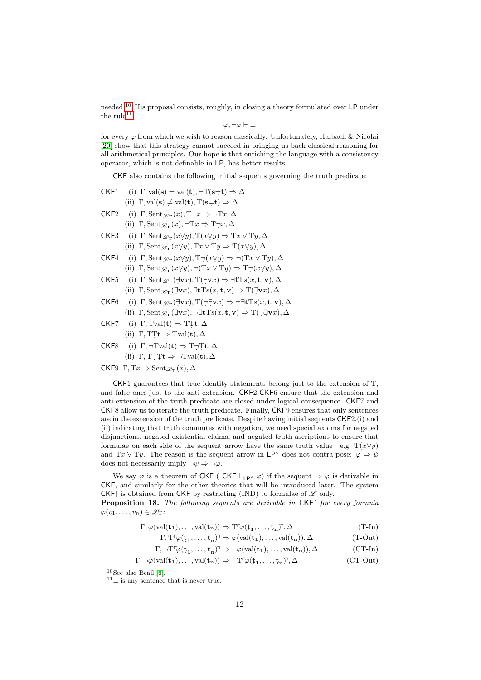needed.[10](#page-11-0) His proposal consists, roughly, in closing a theory formulated over LP under the rule $^{11}$  $^{11}$  $^{11}$ 

$$
\varphi,\neg\varphi\vdash\bot
$$

for every  $\varphi$  from which we wish to reason classically. Unfortunately, Halbach & Nicolai [\[20\]](#page-32-3) show that this strategy cannot succeed in bringing us back classical reasoning for all arithmetical principles. Our hope is that enriching the language with a consistency operator, which is not definable in LP, has better results.

CKF also contains the following initial sequents governing the truth predicate:

|      | CKF1 (i) $\Gamma$ , val(s) = val(t), $\neg$ T(s=t) $\Rightarrow \Delta$                                                                                                                                 |
|------|---------------------------------------------------------------------------------------------------------------------------------------------------------------------------------------------------------|
|      | (ii) $\Gamma$ , val(s) $\neq$ val(t), $T(s=t) \Rightarrow \Delta$                                                                                                                                       |
| CKF2 | (i) $\Gamma$ , Sent $\mathscr{L}_{\mathcal{T}}(x)$ , $T \neg x \Rightarrow \neg Tx, \Delta$                                                                                                             |
|      | (ii) $\Gamma$ , Sent $\mathscr{L}_{\mathcal{T}}(x)$ , $\neg Tx \Rightarrow T \neg x$ , $\Delta$                                                                                                         |
| CKF3 | (i) $\Gamma$ , Sent $\mathscr{L}_{\mathcal{T}}(x \vee y)$ , $\Gamma(x \vee y) \Rightarrow \mathrm{T}x \vee \mathrm{T}y$ , $\Delta$                                                                      |
|      | (ii) $\Gamma$ , Sent $\mathscr{L}_{\mathcal{T}}(x \vee y)$ , $Tx \vee Ty \Rightarrow T(x \vee y)$ , $\Delta$                                                                                            |
| CKF4 | (i) $\Gamma$ , Sent $\mathscr{L}_{\mathcal{T}}(x \vee y)$ , $\Gamma_{\mathcal{T}}(x \vee y) \Rightarrow \neg (Tx \vee Ty)$ , $\Delta$                                                                   |
|      | (ii) $\Gamma$ , Sent $\mathscr{L}_{\Gamma}(x \vee y)$ , $\neg$ ( $Tx \vee Ty$ ) $\Rightarrow$ $T \neg$ $(x \vee y)$ , $\Delta$                                                                          |
| CKF5 | (i) $\Gamma$ , Sent $\mathscr{L}_{\mathcal{T}}(\exists \mathbf{v} x)$ , $\Gamma(\exists \mathbf{v} x) \Rightarrow \exists \mathbf{t} \mathrm{T} s(x, \mathbf{t}, \mathbf{v})$ , $\Delta$                |
|      | (ii) $\Gamma$ , Sent $\mathscr{L}_{\Gamma}(\exists \mathbf{v} x)$ , $\exists \mathbf{t} \mathrm{T} s(x, \mathbf{t}, \mathbf{v}) \Rightarrow \mathrm{T}(\exists \mathbf{v} x)$ , $\Delta$                |
| CKF6 | (i) $\Gamma$ , Sent $\mathscr{L}_{\mathcal{T}}(\exists \mathbf{v} x)$ , $\Gamma(\neg \exists \mathbf{v} x) \Rightarrow \neg \exists \mathbf{t} \mathrm{Ts}(x, \mathbf{t}, \mathbf{v})$ , $\Delta$       |
|      | (ii) $\Gamma$ , Sent $\mathscr{L}_{\mathcal{T}}(\exists \mathbf{v} x)$ , $\neg \exists \mathbf{t} \mathrm{T} s(x, \mathbf{t}, \mathbf{v}) \Rightarrow \mathrm{T}(\neg \exists \mathbf{v} x)$ , $\Delta$ |
|      | CKF7 (i) $\Gamma$ , Tval( <b>t</b> ) $\Rightarrow$ TT <b>t</b> , $\Delta$                                                                                                                               |
|      | (ii) $\Gamma$ , TT <b>t</b> $\Rightarrow$ Tval( <b>t</b> ), $\Delta$                                                                                                                                    |
| CKF8 | (i) $\Gamma$ , $\neg$ Tval( <b>t</b> ) $\Rightarrow$ T $\neg$ T <b>t</b> , $\Delta$                                                                                                                     |
|      | (ii) $\Gamma, T\neg Tt \Rightarrow \neg Tval(t), \Delta$                                                                                                                                                |
|      | CKF9 $\Gamma, Tx \Rightarrow$ Sent $\mathscr{L}_{\pi}(x), \Delta$                                                                                                                                       |
|      |                                                                                                                                                                                                         |

CKF1 guarantees that true identity statements belong just to the extension of T, and false ones just to the anti-extension. CKF2-CKF6 ensure that the extension and anti-extension of the truth predicate are closed under logical consequence. CKF7 and CKF8 allow us to iterate the truth predicate. Finally, CKF9 ensures that only sentences are in the extension of the truth predicate. Despite having initial sequents CKF2.(i) and (ii) indicating that truth commutes with negation, we need special axioms for negated disjunctions, negated existential claims, and negated truth ascriptions to ensure that formulae on each side of the sequent arrow have the same truth value—e.g.  $T(x \vee y)$ and Tx  $\vee$  Ty. The reason is the sequent arrow in LP° does not contra-pose:  $\varphi \Rightarrow \psi$ does not necessarily imply  $\neg \psi \Rightarrow \neg \varphi$ .

We say  $\varphi$  is a theorem of CKF (CKF  $\vdash_{\mathsf{LP}^{\circ}} \varphi$ ) if the sequent  $\Rightarrow \varphi$  is derivable in CKF, and similarly for the other theories that will be introduced later. The system CKF is obtained from CKF by restricting (IND) to formulae of  $\mathscr L$  only.

<span id="page-11-3"></span>**Proposition 18.** The following sequents are derivable in  $CKF$  for every formula  $\varphi(v_1,\ldots,v_n)\in\mathscr{L}_T$ :

$$
\Gamma, \varphi(\mathrm{val}(\mathbf{t_1}), \dots, \mathrm{val}(\mathbf{t_n})) \Rightarrow \mathrm{T}^{\Gamma} \varphi(\mathbf{t_1}, \dots, \mathbf{t_n})^{\gamma}, \Delta
$$
\n
$$
(\mathrm{T}\text{-}\mathrm{In})
$$

<span id="page-11-4"></span><span id="page-11-2"></span>
$$
\Gamma, T^{\Gamma}\varphi(\mathbf{t}_1, \dots, \mathbf{t}_n)^{\Gamma} \Rightarrow \varphi(\text{val}(\mathbf{t}_1), \dots, \text{val}(\mathbf{t}_n)), \Delta
$$
\n
$$
\Gamma, T^{\Gamma} \circ (\mathbf{t}_1, \dots, \mathbf{t}_n)^{\Gamma} \Rightarrow (\mathbf{t}_1, \dots, \mathbf{t}_n)^{\Gamma} \circ (\mathbf{t}_n)^{\Gamma} \circ (\mathbf{t}_n)^{\Gamma} \circ (\mathbf{t}_n)^{\Gamma} \circ (\mathbf{t}_n)^{\Gamma} \circ (\mathbf{t}_n)^{\Gamma} \circ (\mathbf{t}_n)^{\Gamma} \circ (\mathbf{t}_n)^{\Gamma} \circ (\mathbf{t}_n)^{\Gamma} \circ (\mathbf{t}_n)^{\Gamma} \circ (\mathbf{t}_n)^{\Gamma} \circ (\mathbf{t}_n)^{\Gamma} \circ (\mathbf{t}_n)^{\Gamma} \circ (\mathbf{t}_n)^{\Gamma} \circ (\mathbf{t}_n)^{\Gamma} \circ (\mathbf{t}_n)^{\Gamma} \circ (\mathbf{t}_n)^{\Gamma} \circ (\mathbf{t}_n)^{\Gamma} \circ (\mathbf{t}_n)^{\Gamma} \circ (\mathbf{t}_n)^{\Gamma} \circ (\mathbf{t}_n)^{\Gamma} \circ (\mathbf{t}_n)^{\Gamma} \circ (\mathbf{t}_n)^{\Gamma} \circ (\mathbf{t}_n)^{\Gamma} \circ (\mathbf{t}_n)^{\Gamma} \circ (\mathbf{t}_n)^{\Gamma} \circ (\mathbf{t}_n)^{\Gamma} \circ (\mathbf{t}_n)^{\Gamma} \circ (\mathbf{t}_n)^{\Gamma} \circ (\mathbf{t}_n)^{\Gamma} \circ (\mathbf{t}_n)^{\Gamma} \circ (\mathbf{t}_n)^{\Gamma} \circ (\mathbf{t}_n)^{\Gamma} \circ (\mathbf{t}_n)^{\Gamma} \circ (\mathbf{t}_n)^{\Gamma} \circ (\mathbf{t}_n)^{\Gamma} \circ (\mathbf{t}_n)^{\Gamma} \circ (\mathbf{t}_n)^{\Gamma} \circ (\mathbf{t}_n)^{\Gamma} \circ (\mathbf{t}_n)^{\Gamma} \circ (\mathbf{t}_n)^{\Gamma} \circ (\mathbf{t}_n)^{\Gamma} \circ (\mathbf{t}_n)^{\Gamma} \circ (\mathbf{t}_n)^{\Gamma} \circ (\mathbf{t}_n)^{\Gamma} \circ (\mathbf{t}_n)^{\Gamma} \circ (\mathbf{t}_n)^{\Gamma} \circ (\mathbf{t}_n)^{\Gamma} \circ (\mathbf{t}_n)^{\Gamma} \circ (\
$$

$$
\Gamma, \neg T^{\tau} \varphi(\mathbf{t_1}, \dots, \mathbf{t_n})^{\tau} \Rightarrow \neg \varphi(\mathrm{val}(\mathbf{t_1}), \dots, \mathrm{val}(\mathbf{t_n})), \Delta \qquad \qquad (\mathrm{CT}\text{-}\mathrm{In})
$$

$$
\Gamma, \neg \varphi(\mathrm{val}(\mathbf{t_1}), \dots, \mathrm{val}(\mathbf{t_n})) \Rightarrow \neg T^{\Gamma} \varphi(\mathbf{t_1}, \dots, \mathbf{t_n})^{\gamma}, \Delta
$$
 (CT-Out)

<span id="page-11-0"></span> $10$ See also Beall [\[6\]](#page-31-5).

<span id="page-11-1"></span> $11 \perp$  is any sentence that is never true.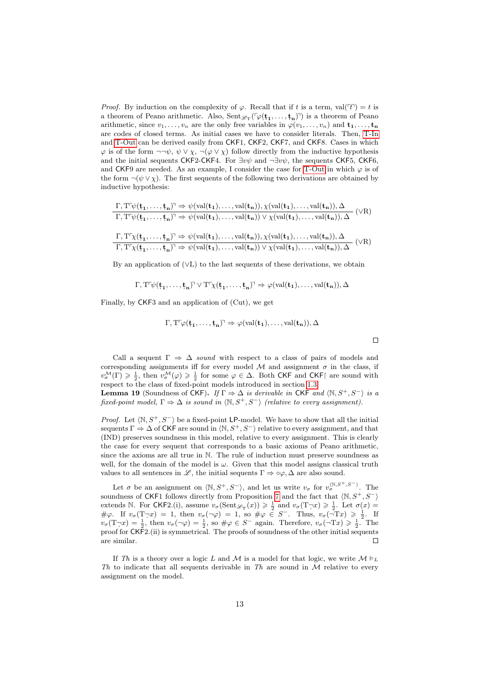*Proof.* By induction on the complexity of  $\varphi$ . Recall that if t is a term, val( $\tau$ ) = t is a theorem of Peano arithmetic. Also,  $\text{Sent}_{\mathscr{L}_T}(\ulcorner\varphi(\mathbf{t_1},\ldots,\mathbf{t_n})\urcorner)$  is a theorem of Peano arithmetic, since  $v_1, \ldots, v_n$  are the only free variables in  $\varphi(v_1, \ldots, v_n)$  and  $\mathbf{t}_1, \ldots, \mathbf{t}_n$ are codes of closed terms. As initial cases we have to consider literals. Then, [T-In](#page-15-0) and [T-Out](#page-11-2) can be derived easily from CKF1, CKF2, CKF7, and CKF8. Cases in which  $\varphi$  is of the form  $\neg\neg\psi$ ,  $\psi \vee \chi$ ,  $\neg(\varphi \vee \chi)$  follow directly from the inductive hypothesis and the initial sequents CKF2-CKF4. For  $\exists v\psi$  and  $\neg \exists v\psi$ , the sequents CKF5, CKF6, and CKF9 are needed. As an example, I consider the case for [T-Out](#page-11-2) in which  $\varphi$  is of the form  $\neg(\psi \vee \chi)$ . The first sequents of the following two derivations are obtained by inductive hypothesis:

$$
\dfrac{\Gamma, T^{\Gamma}\psi(\mathbf{t_1},\ldots,\mathbf{t_n})^{\gamma} \Rightarrow \psi(\mathrm{val}(\mathbf{t_1}),\ldots,\mathrm{val}(\mathbf{t_n})), \chi(\mathrm{val}(\mathbf{t_1}),\ldots,\mathrm{val}(\mathbf{t_n})), \Delta}{\Gamma, T^{\Gamma}\psi(\mathbf{t_1},\ldots,\mathbf{t_n})^{\gamma} \Rightarrow \psi(\mathrm{val}(\mathbf{t_1}),\ldots,\mathrm{val}(\mathbf{t_n})) \vee \chi(\mathrm{val}(\mathbf{t_1}),\ldots,\mathrm{val}(\mathbf{t_n})), \Delta} \quad (\forall R)
$$
\n
$$
\dfrac{\Gamma, T^{\Gamma}\chi(\mathbf{t_1},\ldots,\mathbf{t_n})^{\gamma} \Rightarrow \psi(\mathrm{val}(\mathbf{t_1}),\ldots,\mathrm{val}(\mathbf{t_n})), \chi(\mathrm{val}(\mathbf{t_1}),\ldots,\mathrm{val}(\mathbf{t_n})), \Delta}{\Gamma, T^{\Gamma}\chi(\mathbf{t_1},\ldots,\mathbf{t_n})^{\gamma} \Rightarrow \psi(\mathrm{val}(\mathbf{t_1}),\ldots,\mathrm{val}(\mathbf{t_n})) \vee \chi(\mathrm{val}(\mathbf{t_1}),\ldots,\mathrm{val}(\mathbf{t_n})), \Delta} \quad (\forall R)
$$

By an application of  $(\forall L)$  to the last sequents of these derivations, we obtain

$$
\Gamma, T\ulcorner \psi(\mathbf{t_1},\ldots,\mathbf{t_n}) \urcorner \lor T\ulcorner \chi(\mathbf{t_1},\ldots,\mathbf{t_n}) \urcorner \Rightarrow \varphi(\mathop{\mathrm{val}}(\mathbf{t_1}),\ldots,\mathop{\mathrm{val}}(\mathbf{t_n})), \Delta
$$

Finally, by CKF3 and an application of (Cut), we get

$$
\Gamma, T^{\text{T}}\varphi(\mathbf{t_1}, \dots, \mathbf{t_n})^{\text{T}} \Rightarrow \varphi(\mathrm{val}(\mathbf{t_1}), \dots, \mathrm{val}(\mathbf{t_n})), \Delta
$$

Call a sequent  $\Gamma \Rightarrow \Delta$  sound with respect to a class of pairs of models and corresponding assignments iff for every model  $\mathcal M$  and assignment  $\sigma$  in the class, if  $v^{\mathcal{M}}_{\sigma}(\Gamma) \geq \frac{1}{2}$ , then  $v^{\mathcal{M}}_{\sigma}(\varphi) \geq \frac{1}{2}$  for some  $\varphi \in \Delta$ . Both CKF and CKF are sound with respect to the class of fixed-point models introduced in section [1.3.](#page-4-1) **Lemma 19** (Soundness of CKF). If  $\Gamma \Rightarrow \Delta$  is derivable in CKF and  $\langle \mathbb{N}, S^+, S^- \rangle$  is a

<span id="page-12-0"></span>fixed-point model,  $\Gamma \Rightarrow \Delta$  is sound in  $\langle \mathbb{N}, S^+, S^- \rangle$  (relative to every assignment).

*Proof.* Let  $\langle \mathbb{N}, S^+, S^- \rangle$  be a fixed-point LP-model. We have to show that all the initial sequents  $\Gamma \Rightarrow \Delta$  of CKF are sound in  $\langle \mathbb{N}, S^+, S^- \rangle$  relative to every assignment, and that (IND) preserves soundness in this model, relative to every assignment. This is clearly the case for every sequent that corresponds to a basic axioms of Peano arithmetic, since the axioms are all true in N. The rule of induction must preserve soundness as well, for the domain of the model is  $\omega$ . Given that this model assigns classical truth values to all sentences in L, the initial sequents  $\Gamma \Rightarrow \circ \varphi, \Delta$  are also sound.

Let  $\sigma$  be an assignment on  $\langle \mathbb{N}, S^+, S^- \rangle$ , and let us write  $v_{\sigma}$  for  $v_{\sigma}^{\langle \mathbb{N},S^+,S^- \rangle}$ . The soundness of CKF1 follows directly from Proposition [7](#page-4-2) and the fact that  $\langle N, S^+, S^- \rangle$ extends N. For CKF2.(i), assume  $v_{\sigma}(\text{Sent}_{\mathscr{L}_{T}}(x)) \geq \frac{1}{2}$  and  $v_{\sigma}(T \neg x) \geq \frac{1}{2}$ . Let  $\sigma(x) =$  $\#\varphi$ . If  $v_{\sigma}(\mathbf{T}\neg x) = 1$ , then  $v_{\sigma}(\neg \varphi) = 1$ , so  $\#\varphi \in S^-$ . Thus,  $v_{\sigma}(\neg \mathbf{T}x) \geq \frac{1}{2}$ . If  $v_{\sigma}(\text{T}\neg x) = \frac{1}{2}$ , then  $v_{\sigma}(\neg \varphi) = \frac{1}{2}$ , so  $\#\varphi \in S^-$  again. Therefore,  $v_{\sigma}(\neg \text{T} x) \geq \frac{1}{2}$ . The proof for CKF2.(ii) is symmetrical. The proofs of soundness of the other initial sequents  $\Box$ are similar.

If Th is a theory over a logic L and M is a model for that logic, we write  $\mathcal{M} \models_L$ Th to indicate that all sequents derivable in Th are sound in  $\mathcal M$  relative to every assignment on the model.

 $\Box$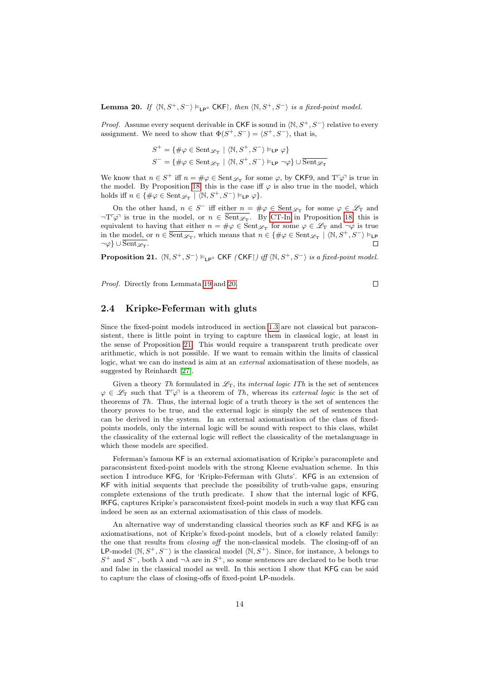<span id="page-13-0"></span>**Lemma 20.** If  $\langle \mathbb{N}, S^+, S^- \rangle \models_{\mathsf{LP}^\circ} \mathsf{CKF}$ , then  $\langle \mathbb{N}, S^+, S^- \rangle$  is a fixed-point model.

*Proof.* Assume every sequent derivable in CKF is sound in  $\langle \mathbb{N}, S^+, S^- \rangle$  relative to every assignment. We need to show that  $\Phi(S^+, S^-) = \langle S^+, S^- \rangle$ , that is,

$$
\begin{split} S^+ &= \{ \# \varphi \in \operatorname{Sent}_{\mathscr{L}_{\bf T}} \mid \langle \mathbb{N}, S^+, S^- \rangle \vDash_{\mathsf{LP}} \varphi \} \\ S^- &= \{ \# \varphi \in \operatorname{Sent}_{\mathscr{L}_{\bf T}} \mid \langle \mathbb{N}, S^+, S^- \rangle \vDash_{\mathsf{LP}} \neg \varphi \} \cup \overline{\operatorname{Sent}_{\mathscr{L}_{\bf T}}} \end{split}
$$

We know that  $n \in S^+$  iff  $n = \#\varphi \in \text{Sent}_{\mathscr{L}_T}$  for some  $\varphi$ , by CKF9, and  $T^{\tau}\varphi$ <sup> $\tau$ </sup> is true in the model. By Proposition [18,](#page-11-3) this is the case iff  $\varphi$  is also true in the model, which holds iff  $n \in \{ \# \varphi \in \text{Sent}_{\mathscr{L}_{\mathrm{T}}} \mid \langle \mathbb{N}, S^+, S^- \rangle \vDash_{\mathsf{LP}} \varphi \}.$ 

On the other hand,  $n \in S^-$  iff either  $n = \#\varphi \in \text{Sent}_{\mathscr{L}_T}$  for some  $\varphi \in \mathscr{L}_T$  and  $\neg T\varphi$  is true in the model, or  $n \in \overline{\text{Sent}_{\mathscr{L}_{T}}}$ . By [CT-In](#page-11-4) in Proposition [18,](#page-11-3) this is equivalent to having that either  $n = \#\varphi \in \text{Sent}_{\mathscr{L}_{\text{T}}}$  for some  $\varphi \in \mathscr{L}_{\text{T}}$  and  $\neg \varphi$  is true in the model, or  $n \in \overline{\text{Sent}_{\mathscr{L}_{\text{T}}}}$ , which means that  $n \in \{\#\varphi \in \text{Sent}_{\mathscr{L}_{\text{T}}} \mid \langle \mathbb{N}, S^+, S^- \rangle \models_{\text{LP}}\}$  $\neg\varphi$ } ∪  $\overline{{\rm Sent}_{\mathscr{L}_{\rm T}}}.$  $\Box$ 

<span id="page-13-1"></span>**Proposition 21.**  $\langle N, S^+, S^- \rangle \models_{LP} \in \mathsf{CKF}$  (CKF) iff  $\langle N, S^+, S^- \rangle$  is a fixed-point model.

Proof. Directly from Lemmata [19](#page-12-0) and [20.](#page-13-0)

$$
\Box
$$

#### 2.4 Kripke-Feferman with gluts

Since the fixed-point models introduced in section [1.3](#page-4-1) are not classical but paraconsistent, there is little point in trying to capture them in classical logic, at least in the sense of Proposition [21.](#page-13-1) This would require a transparent truth predicate over arithmetic, which is not possible. If we want to remain within the limits of classical logic, what we can do instead is aim at an *external* axiomatisation of these models, as suggested by Reinhardt [\[27\]](#page-32-14).

Given a theory Th formulated in  $\mathscr{L}_T$ , its internal logic ITh is the set of sentences  $\varphi \in \mathscr{L}_{\mathcal{T}}$  such that  $T^{\tau} \varphi^{\tau}$  is a theorem of Th, whereas its external logic is the set of theorems of Th. Thus, the internal logic of a truth theory is the set of sentences the theory proves to be true, and the external logic is simply the set of sentences that can be derived in the system. In an external axiomatisation of the class of fixedpoints models, only the internal logic will be sound with respect to this class, whilst the classicality of the external logic will reflect the classicality of the metalanguage in which these models are specified.

Feferman's famous KF is an external axiomatisation of Kripke's paracomplete and paraconsistent fixed-point models with the strong Kleene evaluation scheme. In this section I introduce KFG, for 'Kripke-Feferman with Gluts'. KFG is an extension of KF with initial sequents that preclude the possibility of truth-value gaps, ensuring complete extensions of the truth predicate. I show that the internal logic of KFG, IKFG, captures Kripke's paraconsistent fixed-point models in such a way that KFG can indeed be seen as an external axiomatisation of this class of models.

An alternative way of understanding classical theories such as KF and KFG is as axiomatisations, not of Kripke's fixed-point models, but of a closely related family: the one that results from closing off the non-classical models. The closing-off of an LP-model  $\langle N, S^+, S^- \rangle$  is the classical model  $\langle N, S^+ \rangle$ . Since, for instance,  $\lambda$  belongs to S<sup>+</sup> and S<sup>-</sup>, both  $\lambda$  and  $\neg \lambda$  are in S<sup>+</sup>, so some sentences are declared to be both true and false in the classical model as well. In this section I show that KFG can be said to capture the class of closing-offs of fixed-point LP-models.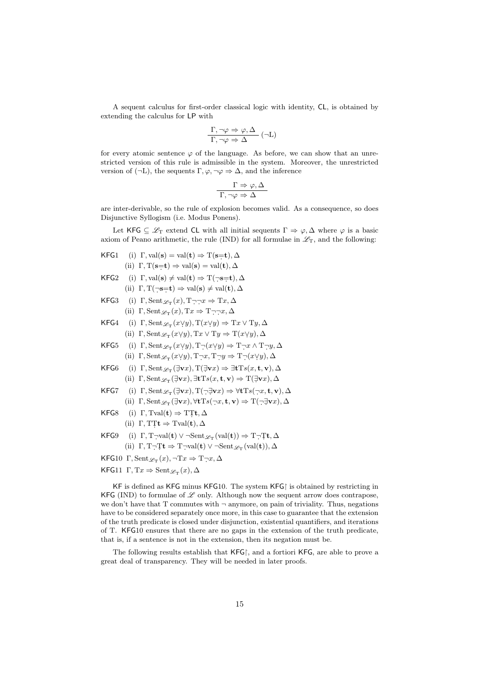A sequent calculus for first-order classical logic with identity, CL, is obtained by extending the calculus for LP with

$$
\frac{\Gamma, \neg \varphi \Rightarrow \varphi, \Delta}{\Gamma, \neg \varphi \Rightarrow \Delta} (\neg L)
$$

for every atomic sentence  $\varphi$  of the language. As before, we can show that an unrestricted version of this rule is admissible in the system. Moreover, the unrestricted version of  $(\neg L)$ , the sequents  $\Gamma, \varphi, \neg \varphi \Rightarrow \Delta$ , and the inference

$$
\frac{\Gamma \Rightarrow \varphi, \Delta}{\Gamma, \neg \varphi \Rightarrow \Delta}
$$

are inter-derivable, so the rule of explosion becomes valid. As a consequence, so does Disjunctive Syllogism (i.e. Modus Ponens).

Let KFG  $\subseteq \mathscr{L}_{\Gamma}$  extend CL with all initial sequents  $\Gamma \Rightarrow \varphi, \Delta$  where  $\varphi$  is a basic axiom of Peano arithmetic, the rule (IND) for all formulae in  $\mathscr{L}_T$ , and the following:

- KFG1 (i)  $\Gamma$ , val(s) = val(t)  $\Rightarrow$  T(s=t),  $\Delta$ (ii)  $\Gamma, T(\mathbf{s}=\mathbf{t}) \Rightarrow \text{val}(\mathbf{s}) = \text{val}(\mathbf{t}), \Delta$
- KFG2 (i)  $\Gamma$ , val(s)  $\neq$  val(t)  $\Rightarrow$  T(¬s=t),  $\Delta$ (ii)  $\Gamma, T(\neg s=t) \Rightarrow \text{val}(s) \neq \text{val}(t), \Delta$
- KFG3 (i)  $\Gamma$ , Sent $\mathcal{L}_T(x)$ ,  $T \neg \neg x \Rightarrow Tx$ ,  $\Delta$
- (ii)  $\Gamma$ , Sent $\mathcal{L}_T(x)$ ,  $Tx \Rightarrow T \neg \neg x$ ,  $\Delta$
- KFG4 (i)  $\Gamma$ , Sent $\mathcal{L}_T(x \vee y)$ ,  $T(x \vee y) \Rightarrow Tx \vee Ty$ ,  $\Delta$ (ii)  $\Gamma$ , Sent $\mathcal{L}_T(x \vee y)$ , T $x \vee Ty \Rightarrow T(x \vee y)$ ,  $\Delta$
- KFG5 (i)  $\Gamma$ , Sent $\mathcal{L}_T(x \vee y)$ ,  $T\neg(x \vee y) \Rightarrow T\neg x \wedge T\neg y$ ,  $\Delta$ (ii)  $\Gamma$ , Sent  $\mathcal{L}_T(x \vee y)$ ,  $T \neg x$ ,  $T \neg y \Rightarrow T \neg (x \vee y)$ ,  $\Delta$
- KFG6 (i)  $\Gamma$ , Sent $\mathscr{L}_{\mathcal{T}}(\exists \mathbf{v} x)$ ,  $\Gamma(\exists \mathbf{v} x) \Rightarrow \exists \mathbf{t} \mathrm{T} s(x, \mathbf{t}, \mathbf{v})$ ,  $\Delta$ (ii)  $\Gamma$ , Sent  $\mathscr{L}_{\mathcal{T}}(\exists \mathbf{v} x)$ ,  $\exists \mathbf{t} \mathrm{T} s(x, \mathbf{t}, \mathbf{v}) \Rightarrow \mathrm{T}(\exists \mathbf{v} x)$ ,  $\Delta$
- KFG7 (i)  $\Gamma$ , Sent $\mathscr{L}_{\mathcal{T}}(\exists \mathbf{v} x)$ ,  $\mathcal{T}(\neg \exists \mathbf{v} x) \Rightarrow \forall \mathbf{t} \mathcal{T} s(\neg x, \mathbf{t}, \mathbf{v})$ ,  $\Delta$ 
	- (ii)  $\Gamma$ , Sent $\mathcal{L}_T(\exists \mathbf{v} x)$ ,  $\forall \mathbf{t} \mathrm{T} s(\neg x, \mathbf{t}, \mathbf{v}) \Rightarrow \mathrm{T}(\neg \exists \mathbf{v} x)$ ,  $\Delta$
- KFG8 (i)  $\Gamma$ , Tval(t)  $\Rightarrow$  TTt,  $\Delta$ (ii)  $\Gamma, T\mathcal{I}\mathbf{t} \Rightarrow \mathrm{Tval}(\mathbf{t}), \Delta$
- KFG9 (i)  $\Gamma$ , T $\neg \text{val}(\mathbf{t}) \vee \neg \text{Sent}_{\mathscr{L}_{\mathrm{T}}}(\text{val}(\mathbf{t})) \Rightarrow \text{T} \neg \text{It}, \Delta$ (ii)  $\Gamma, T \neg Tt \Rightarrow T \neg val(t) \vee \neg Sent_{\mathscr{L}_{T}}(val(t)), \Delta$
- KFG10  $\Gamma$ , Sent $\mathcal{L}_T(x)$ ,  $\neg Tx \Rightarrow T \neg x$ ,  $\Delta$
- KFG11  $\Gamma, Tx \Rightarrow \text{Sent}_{\mathscr{L}_{T}}(x), \Delta$

KF is defined as KFG minus KFG10. The system KFG is obtained by restricting in KFG (IND) to formulae of  $\mathscr L$  only. Although now the sequent arrow does contrapose, we don't have that  $T$  commutes with  $\neg$  anymore, on pain of triviality. Thus, negations have to be considered separately once more, in this case to guarantee that the extension of the truth predicate is closed under disjunction, existential quantifiers, and iterations of T. KFG10 ensures that there are no gaps in the extension of the truth predicate, that is, if a sentence is not in the extension, then its negation must be.

The following results establish that KFG, and a fortiori KFG, are able to prove a great deal of transparency. They will be needed in later proofs.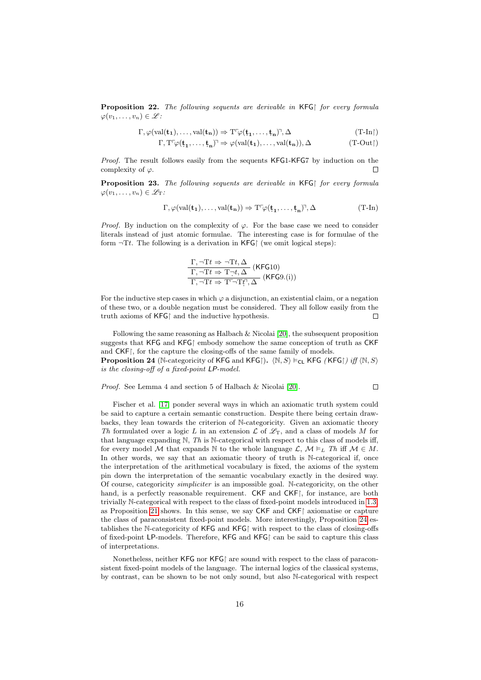<span id="page-15-2"></span>**Proposition 22.** The following sequents are derivable in  $KFG$  for every formula  $\varphi(v_1,\ldots,v_n)\in\mathscr{L}$ :

$$
\Gamma, \varphi(\mathrm{val}(\mathbf{t_1}), \dots, \mathrm{val}(\mathbf{t_n})) \Rightarrow \mathrm{T}^\Gamma \varphi(\mathbf{t_1}, \dots, \mathbf{t_n})^{\gamma}, \Delta \qquad \qquad (\mathrm{T}\text{-}\mathrm{In} \restriction)
$$

 $\Gamma, T^{\Gamma} \varphi(\mathbf{t_1}, \dots, \mathbf{t_n})^{\gamma} \Rightarrow \varphi(\text{val}(\mathbf{t_1}), \dots, \text{val}(\mathbf{t_n})), \Delta$  (T-Out)

Proof. The result follows easily from the sequents KFG1-KFG7 by induction on the complexity of  $\varphi$ .  $\Box$ 

**Proposition 23.** The following sequents are derivable in  $KFG$  for every formula  $\varphi(v_1,\ldots,v_n)\in\mathscr{L}_T$ :

$$
\Gamma, \varphi(\mathrm{val}(\mathbf{t_1}), \dots, \mathrm{val}(\mathbf{t_n})) \Rightarrow \mathrm{T}^\text{T}\varphi(\mathbf{t_1}, \dots, \mathbf{t_n})^\text{T}, \Delta \tag{T-In}
$$

*Proof.* By induction on the complexity of  $\varphi$ . For the base case we need to consider literals instead of just atomic formulae. The interesting case is for formulae of the form  $\neg$ Tt. The following is a derivation in KFG (we omit logical steps):

<span id="page-15-0"></span>
$$
\frac{\Gamma, \neg Tt \Rightarrow \neg Tt, \Delta}{\Gamma, \neg Tt \Rightarrow T\neg t, \Delta} \text{ (KFG10)}
$$
\n
$$
\frac{\Gamma, \neg Tt \Rightarrow T\neg t, \Delta}{\Gamma, \neg Tt \Rightarrow T^{\Gamma}\neg Tf, \Delta} \text{ (KFG9.(i))}
$$

For the inductive step cases in which  $\varphi$  a disjunction, an existential claim, or a negation of these two, or a double negation must be considered. They all follow easily from the truth axioms of  $KFG$  and the inductive hypothesis.  $\Box$ 

Following the same reasoning as Halbach & Nicolai [\[20\]](#page-32-3), the subsequent proposition suggests that KFG and KFG embody somehow the same conception of truth as CKF and CKF; for the capture the closing-offs of the same family of models. **Proposition 24** (N-categoricity of KFG and KFG).  $\langle N, S \rangle \models_{\text{CL}} \text{KFG } (\text{KFG})$  iff  $\langle N, S \rangle$ 

<span id="page-15-1"></span>is the closing-off of a fixed-point LP-model.

Proof. See Lemma 4 and section 5 of Halbach & Nicolai [\[20\]](#page-32-3).

$$
\qquad \qquad \Box
$$

Fischer et al. [\[17\]](#page-32-15) ponder several ways in which an axiomatic truth system could be said to capture a certain semantic construction. Despite there being certain drawbacks, they lean towards the criterion of N-categoricity. Given an axiomatic theory Th formulated over a logic L in an extension  $\mathcal L$  of  $\mathscr L_T$ , and a class of models M for that language expanding  $N$ , Th is N-categorical with respect to this class of models iff, for every model M that expands N to the whole language  $\mathcal{L}, \mathcal{M} \models_L Th$  iff  $\mathcal{M} \in M$ . In other words, we say that an axiomatic theory of truth is N-categorical if, once the interpretation of the arithmetical vocabulary is fixed, the axioms of the system pin down the interpretation of the semantic vocabulary exactly in the desired way. Of course, categoricity simpliciter is an impossible goal. N-categoricity, on the other hand, is a perfectly reasonable requirement. CKF and CKF, for instance, are both trivially N-categorical with respect to the class of fixed-point models introduced in [1.3,](#page-4-1) as Proposition [21](#page-13-1) shows. In this sense, we say  $CKF$  and  $CKF$  axiomatise or capture the class of paraconsistent fixed-point models. More interestingly, Proposition [24](#page-15-1) establishes the N-categoricity of KFG and KFG with respect to the class of closing-offs of fixed-point LP-models. Therefore, KFG and KFG $\restriction$  can be said to capture this class of interpretations.

Nonetheless, neither  $KFG$  nor  $KFG$  are sound with respect to the class of paraconsistent fixed-point models of the language. The internal logics of the classical systems, by contrast, can be shown to be not only sound, but also N-categorical with respect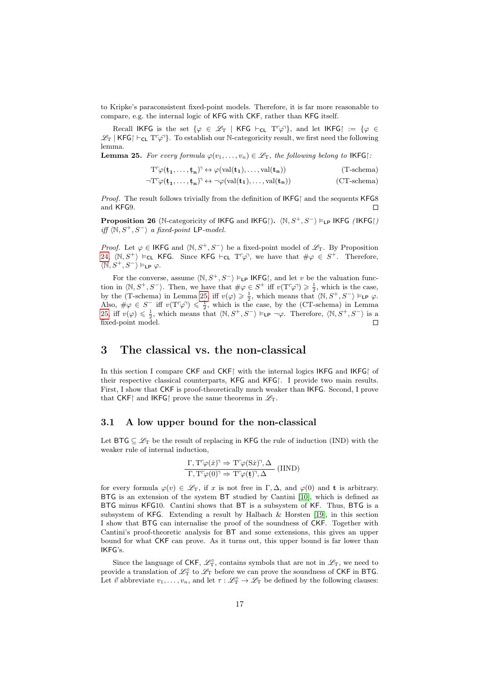to Kripke's paraconsistent fixed-point models. Therefore, it is far more reasonable to compare, e.g. the internal logic of KFG with CKF, rather than KFG itself.

Recall IKFG is the set  $\{\varphi \in \mathscr{L}_{T} \mid KFG \vdash_{CL} T^{T}\varphi\}$ , and let IKFG :=  $\{\varphi \in$  $\mathscr{L}_T$  | KFG|  $\vdash_{CL} T\ulcorner\varphi\urcorner$  To establish our N-categoricity result, we first need the following lemma.

<span id="page-16-1"></span>**Lemma 25.** For every formula  $\varphi(v_1,\ldots,v_n) \in \mathcal{L}_T$ , the following belong to IKFG:

$$
T^{\text{T}}\varphi(\mathbf{t_1},\ldots,\mathbf{t_n})^{\text{T}} \leftrightarrow \varphi(\mathrm{val}(\mathbf{t_1}),\ldots,\mathrm{val}(\mathbf{t_n})) \tag{T-schema}
$$

$$
\neg T^{\tau} \varphi(\mathbf{t_1}, \ldots, \mathbf{t_n})^{\tau} \leftrightarrow \neg \varphi(\mathrm{val}(\mathbf{t_1}), \ldots, \mathrm{val}(\mathbf{t_n})) \qquad \qquad \text{(CT-schema)}
$$

*Proof.* The result follows trivially from the definition of  $IKFG$  and the sequents  $KFG8$ and KFG9.  $\Box$ 

**Proposition 26** (N-categoricity of IKFG and IKFG).  $\langle N, S^+, S^- \rangle \models_{LP} IKFG$  (IKFG)  $\mathit{iff}~\langle\mathbb{N}, S^+, S^-\rangle~\mathit{a~fixed-point}$  LP-model.

*Proof.* Let  $\varphi \in \mathsf{IKFG}$  and  $\langle \mathbb{N}, S^+, S^- \rangle$  be a fixed-point model of  $\mathscr{L}_T$ . By Proposition [24,](#page-15-1)  $\langle \mathbb{N}, S^+ \rangle \models_{\mathsf{CL}} \mathsf{KFG}.$  Since KFG  $\vdash_{\mathsf{CL}} \mathrm{T}^{\ulcorner} \varphi$ , we have that  $\#\varphi \in S^+$ . Therefore,  $\langle \mathbb{N}, S^+, S^- \rangle \vDash_{\mathsf{LP}} \varphi.$ 

For the converse, assume  $\langle \mathbb{N}, S^+, S^- \rangle \models_{\mathsf{LP}} \mathsf{IKFG}$ , and let v be the valuation function in  $\langle \mathbb{N}, S^+, S^- \rangle$ . Then, we have that  $\#\varphi \in S^+$  iff  $v(T\varphi) \geq \frac{1}{2}$ , which is the case, by the (T-schema) in Lemma [25,](#page-16-1) iff  $v(\varphi) \geq \frac{1}{2}$ , which means that  $\langle \mathbb{N}, S^+, S^- \rangle \models_{\mathsf{LP}} \varphi$ . Also,  $\#\varphi \in S^-$  iff  $v(T\bar{\varphi} \bar{\varphi}) \leq \frac{1}{2}$ , which is the case, by the (CT-schema) in Lemma [25,](#page-16-1) iff  $v(\varphi) \leq \frac{1}{2}$ , which means that  $\langle \mathbb{N}, S^+, S^- \rangle \vDash_{\mathsf{LP}} \neg \varphi$ . Therefore,  $\langle \mathbb{N}, S^+, S^- \rangle$  is a fixed-point model.  $\Box$ 

### <span id="page-16-0"></span>3 The classical vs. the non-classical

In this section I compare CKF and CKF $\restriction$  with the internal logics IKFG and IKFG $\restriction$  of their respective classical counterparts, KFG and KFG. I provide two main results. First, I show that CKF is proof-theoretically much weaker than IKFG. Second, I prove that CKF and IKFG prove the same theorems in  $\mathscr{L}_{\mathrm{T}}$ .

#### 3.1 A low upper bound for the non-classical

Let BTG  $\subseteq \mathscr{L}_{\mathrm{T}}$  be the result of replacing in KFG the rule of induction (IND) with the weaker rule of internal induction,

$$
\frac{\Gamma, \mathrm{T} \ulcorner \varphi(\dot{x}) \urcorner \Rightarrow \mathrm{T} \ulcorner \varphi(\mathrm{S} \dot{x}) \urcorner, \Delta }{\Gamma, \mathrm{T} \ulcorner \varphi(0) \urcorner \Rightarrow \mathrm{T} \ulcorner \varphi(\mathbf{t}) \urcorner, \Delta} \text{ (IIND)}
$$

for every formula  $\varphi(v) \in \mathscr{L}_T$ , if x is not free in  $\Gamma, \Delta$ , and  $\varphi(0)$  and t is arbitrary. BTG is an extension of the system BT studied by Cantini [\[10\]](#page-31-11), which is defined as BTG minus KFG10. Cantini shows that BT is a subsystem of KF. Thus, BTG is a subsystem of KFG. Extending a result by Halbach & Horsten [\[19\]](#page-32-2), in this section I show that BTG can internalise the proof of the soundness of CKF. Together with Cantini's proof-theoretic analysis for BT and some extensions, this gives an upper bound for what CKF can prove. As it turns out, this upper bound is far lower than IKFG's.

Since the language of CKF,  $\mathcal{L}_T^{\circ}$ , contains symbols that are not in  $\mathcal{L}_T$ , we need to provide a translation of  $\mathscr{L}_{\mathbf{T}}^{\circ}$  to  $\mathscr{L}_{\mathbf{T}}$  before we can prove the soundness of CKF in BTG. Let  $\vec{v}$  abbreviate  $v_1, \ldots, v_n$ , and let  $\tau : \mathscr{L}_{\Gamma}^{\circ} \to \mathscr{L}_{\Gamma}$  be defined by the following clauses: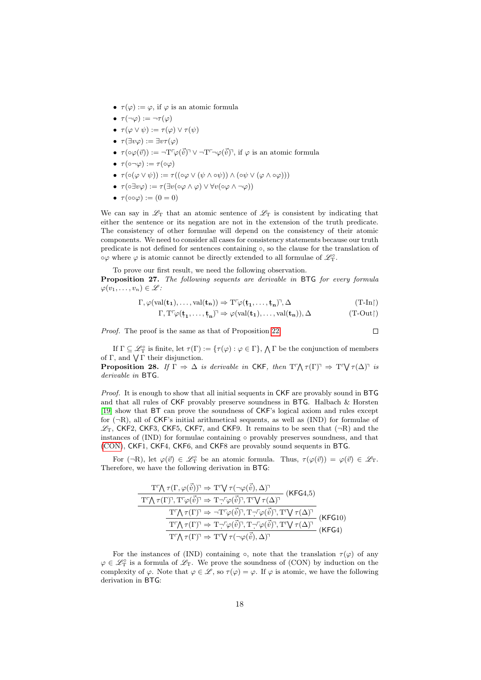- $\tau(\varphi) := \varphi$ , if  $\varphi$  is an atomic formula
- $\tau(\neg\varphi) := \neg \tau(\varphi)$
- $\tau(\varphi \vee \psi) := \tau(\varphi) \vee \tau(\psi)$
- $\tau(\exists v \varphi) := \exists v \tau(\varphi)$
- $\tau(\circ\varphi(\vec{v})) := \neg \mathrm{T}^{\mathbb{F}}\varphi(\vec{v})^{\mathbb{T}} \vee \neg \mathrm{T}^{\mathbb{F}}\neg\varphi(\vec{v})^{\mathbb{T}},$  if  $\varphi$  is an atomic formula
- $\tau(\circ\neg\varphi) := \tau(\circ\varphi)$
- $\tau(\circ(\varphi \vee \psi)) := \tau((\circ\varphi \vee (\psi \wedge \circ\psi)) \wedge (\circ\psi \vee (\varphi \wedge \circ\varphi)))$
- $\tau(\circ \exists v \varphi) := \tau(\exists v(\circ \varphi \land \varphi) \lor \forall v(\circ \varphi \land \neg \varphi))$
- $\tau(\circ\circ\varphi) := (0 = 0)$

We can say in  $\mathscr{L}_{\mathcal{T}}$  that an atomic sentence of  $\mathscr{L}_{\mathcal{T}}$  is consistent by indicating that either the sentence or its negation are not in the extension of the truth predicate. The consistency of other formulae will depend on the consistency of their atomic components. We need to consider all cases for consistency statements because our truth predicate is not defined for sentences containing ◦, so the clause for the translation of  $\circ \varphi$  where  $\varphi$  is atomic cannot be directly extended to all formulae of  $\mathscr{L}_{\textrm{T}}^{\circ}$ .

To prove our first result, we need the following observation.

<span id="page-17-1"></span>Proposition 27. The following sequents are derivable in BTG for every formula  $\varphi(v_1,\ldots,v_n)\in\mathscr{L}$ :

$$
\Gamma, \varphi(\mathrm{val}(\mathbf{t_1}), \dots, \mathrm{val}(\mathbf{t_n})) \Rightarrow \mathrm{T}^{\Gamma} \varphi(\mathbf{t_1}, \dots, \mathbf{t_n})^{\gamma}, \Delta
$$
\n
$$
(T\text{-In}^{\Gamma})
$$

$$
\Gamma, T^{\Gamma} \varphi (t_1, \ldots, t_n)^{\gamma} \Rightarrow \varphi ( {\rm val} (t_1), \ldots, {\rm val} (t_n)), \Delta \qquad \qquad (T\text{-Out}\!\!\upharpoonright)
$$

 $\Box$ 

Proof. The proof is the same as that of Proposition [22.](#page-15-2)

If  $\Gamma \subseteq \mathscr{L}_{\mathcal{T}}^{\circ}$  is finite, let  $\tau(\Gamma) := {\tau(\varphi) : \varphi \in \Gamma}, \Lambda \Gamma$  be the conjunction of members of  $\Gamma$ , and  $\sqrt{\Gamma}$  their disjunction.

<span id="page-17-0"></span>**Proposition 28.** If  $\Gamma \Rightarrow \Delta$  is derivable in CKF, then  $T \uparrow \wedge \tau(\Gamma) \Rightarrow T \uparrow \vee \tau(\Delta)$  is derivable in BTG.

Proof. It is enough to show that all initial sequents in CKF are provably sound in BTG and that all rules of CKF provably preserve soundness in BTG. Halbach & Horsten [\[19\]](#page-32-2) show that BT can prove the soundness of CKF's logical axiom and rules except for  $(\neg R)$ , all of  $CKF$ 's initial arithmetical sequents, as well as  $(IND)$  for formulae of  $\mathscr{L}_T$ , CKF2, CKF3, CKF5, CKF7, and CKF9. It remains to be seen that  $(\neg R)$  and the instances of (IND) for formulae containing ◦ provably preserves soundness, and that [\(CON\)](#page-10-2), CKF1, CKF4, CKF6, and CKF8 are provably sound sequents in BTG.

For  $(\neg R)$ , let  $\varphi(\vec{v}) \in \mathscr{L}_{\mathcal{T}}^{\circ}$  be an atomic formula. Thus,  $\tau(\varphi(\vec{v})) = \varphi(\vec{v}) \in \mathscr{L}_{\mathcal{T}}$ . Therefore, we have the following derivation in BTG:

$$
\frac{\mathrm{T}^{\top}\!\mathcal{N}\,\tau(\Gamma,\varphi(\vec{v}))\,\rightarrow\,\mathrm{T}^{\top}\!\mathcal{V}\,\tau(\neg\varphi(\vec{v}),\Delta)^{\top}}{\mathrm{T}^{\top}\!\mathcal{N}\,\tau(\Gamma)^{\top},\mathrm{T}^{\top}\!\varphi(\vec{v})\,\vec{\rightarrow}\,\mathrm{T}\,\neg^{\top}\!\varphi(\vec{v})^{\top},\mathrm{T}^{\top}\!\mathcal{V}\,\tau(\Delta)^{\top}}(\mathsf{KFG4},5)}\n\frac{\mathrm{T}^{\top}\!\mathcal{N}\,\tau(\Gamma)^{\top}\Rightarrow\,\neg\mathrm{T}^{\top}\!\varphi(\vec{v})^{\top},\mathrm{T}\,\neg^{\top}\!\varphi(\vec{v})^{\top},\mathrm{T}^{\top}\!\mathcal{V}\,\tau(\Delta)^{\top}}{\mathrm{T}^{\top}\!\mathcal{N}\,\tau(\Gamma)^{\top}\Rightarrow\mathrm{T}\,\neg^{\top}\!\varphi(\vec{v})^{\top},\mathrm{T}\,\neg^{\top}\!\varphi(\vec{v})^{\top},\mathrm{T}^{\top}\!\mathcal{V}\,\tau(\Delta)^{\top}}(\mathsf{KFG10})\n\frac{\mathrm{T}^{\top}\!\mathcal{N}\,\tau(\Gamma)^{\top}\Rightarrow\mathrm{T}\,\neg^{\top}\!\varphi(\vec{v})^{\top},\mathrm{T}\,\neg^{\top}\!\varphi(\vec{v})^{\top},\mathrm{T}^{\top}\!\mathcal{V}\,\tau(\Delta)^{\top}}{(\mathsf{KFG4})}
$$

For the instances of (IND) containing  $\circ$ , note that the translation  $\tau(\varphi)$  of any  $\varphi \in \mathscr{L}_{\mathcal{T}}^{\circ}$  is a formula of  $\mathscr{L}_{\mathcal{T}}$ . We prove the soundness of (CON) by induction on the complexity of  $\varphi$ . Note that  $\varphi \in \mathscr{L}$ , so  $\tau(\varphi) = \varphi$ . If  $\varphi$  is atomic, we have the following derivation in BTG: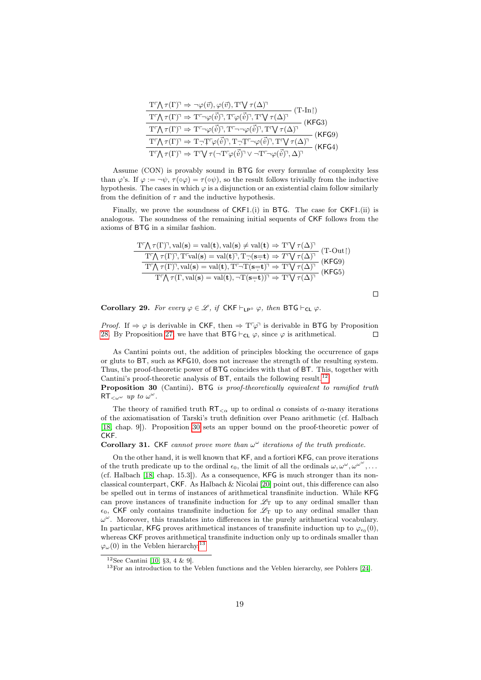| $\mathrm{T}^{\!\scriptscriptstyle\mathsf{T}}\! \big\backslash \!\!\!\!\big\backslash \ \tau(\Gamma)^\mathsf{T} \mathrel{\Rightarrow} \neg \varphi(\vec{v}), \varphi(\vec{v}), \mathrm{T}^{\!\scriptscriptstyle\mathsf{T}}\! \big\backslash \!\!\!\!\big\backslash \ \tau(\Delta)^\mathsf{T}$<br>$(T-In)$                                                                                                                                                                                                            |
|---------------------------------------------------------------------------------------------------------------------------------------------------------------------------------------------------------------------------------------------------------------------------------------------------------------------------------------------------------------------------------------------------------------------------------------------------------------------------------------------------------------------|
| $\mathrm{T}^r\!\!\bigwedge\tau(\Gamma)^{\!\!\uparrow}\Rightarrow\mathrm{T}^r\!\!\!\rightarrow\!\varphi(\vec\psi)^{\!\!\uparrow},\mathrm{T}^r\!\!\:\varphi(\vec\psi)^{\!\!\uparrow},\mathrm{T}^r\!\!\bigvee\tau(\Delta)^{\!\!\uparrow}$<br>(KFG3)                                                                                                                                                                                                                                                                    |
| $\overline{\mathrm{T}^{\!\scriptscriptstyle\mathsf{T}}\!\bigwedge\tau(\Gamma)^\!\!\!~\Rightarrow~\mathrm{T}^{\!\scriptscriptstyle\mathsf{T}}\!\!\!\sim\!\! \varphi(\vec{\mathit{v}})^\!\!\!\!\;,\mathrm{T}^{\!\scriptscriptstyle\mathsf{T}}\!\!\!\sim\!\! \neg \varphi(\vec{\mathit{v}})^\!\!\!\!,\mathrm{T}^{\!\scriptscriptstyle\mathsf{T}}\!\!\!\!\!\!\!~\forall~\tau(\Delta)^\!\!\!\!\!\!~}$<br>- (KFG9)                                                                                                        |
| $\begin{array}{c} \mathrm{T}^r\!\big\backslash\tau(\Gamma)^{\!\!\top\!}\Rightarrow \mathrm{T}\neg\mathrm{T}^r\varphi(\vec{v})^{\!\!\top\!},\mathrm{T}\neg\mathrm{T}^r\neg\varphi(\vec{v})^{\!\!\top\!},\mathrm{T}^r\!\big\backslash\tau(\Delta)^{\!\!\top\!} \\ \mathrm{T}^r\!\big\backslash\tau(\Gamma)^{\!\!\top\!}\Rightarrow \mathrm{T}^r\!\big\backslash\tau(\neg\mathrm{T}^r\!\varphi(\vec{v})^{\!\!\top\!}\vee \neg\mathrm{T}^r\neg\varphi(\vec{v})^{\!\!\top\!},\Delta)^{\!\!\top\!} \end{array}$<br>(KFG4) |
|                                                                                                                                                                                                                                                                                                                                                                                                                                                                                                                     |

Assume (CON) is provably sound in BTG for every formulae of complexity less than  $\varphi$ 's. If  $\varphi := \neg \psi$ ,  $\tau(\circ \varphi) = \tau(\circ \psi)$ , so the result follows trivially from the inductive hypothesis. The cases in which  $\varphi$  is a disjunction or an existential claim follow similarly from the definition of  $\tau$  and the inductive hypothesis.

Finally, we prove the soundness of CKF1.(i) in BTG. The case for CKF1.(ii) is analogous. The soundness of the remaining initial sequents of CKF follows from the axioms of BTG in a similar fashion.

| $\begin{array}{c} \displaystyle \mathrm{T}^r\!\bigwedge\tau(\Gamma)^\neg, \mathrm{val}(\mathbf{s})=\mathrm{val}(\mathbf{t}), \mathrm{val}(\mathbf{s})\neq \mathrm{val}(\mathbf{t})\Rightarrow \mathrm{T}^r\!\bigvee\tau(\Delta)^\neg\quad (\mathrm{T}\text{-}\mathrm{Out}\!\!\upharpoonright)\\[2mm] \displaystyle \frac{\mathrm{T}^r\!\bigwedge\tau(\Gamma)^\neg, \mathrm{T}^r\!\mathrm{val}(\mathbf{s})=\mathrm{val}(\mathbf{t})^\neg, \mathrm{T}\neg(\mathbf{s}\text{=} \mathbf{t})\Rightarrow T^r\!\bigvee\tau(\Delta)^\neg\quad (\mathsf{KFG9})$ |  |
|-------------------------------------------------------------------------------------------------------------------------------------------------------------------------------------------------------------------------------------------------------------------------------------------------------------------------------------------------------------------------------------------------------------------------------------------------------------------------------------------------------------------------------------------------------|--|
|                                                                                                                                                                                                                                                                                                                                                                                                                                                                                                                                                       |  |
|                                                                                                                                                                                                                                                                                                                                                                                                                                                                                                                                                       |  |

 $\Box$ 

Corollary 29. For every  $\varphi \in \mathscr{L}$ , if  $CKF \vdash_{LP} \circ \varphi$ , then BTG  $\vdash_{CL} \varphi$ .

*Proof.* If  $\Rightarrow \varphi$  is derivable in CKF, then  $\Rightarrow T\varphi$  is derivable in BTG by Proposition [28.](#page-17-0) By Proposition [27,](#page-17-1) we have that  $\text{BTG} \vdash_{\text{CL}} \varphi$ , since  $\varphi$  is arithmetical.  $\Box$ 

As Cantini points out, the addition of principles blocking the occurrence of gaps or gluts to BT, such as KFG10, does not increase the strength of the resulting system. Thus, the proof-theoretic power of BTG coincides with that of BT. This, together with Cantini's proof-theoretic analysis of  $BT$ , entails the following result.<sup>[12](#page-18-0)</sup>

<span id="page-18-1"></span>**Proposition 30** (Cantini). BTG is proof-theoretically equivalent to ramified truth  $RT_{\lt\omega^{\omega}}$  up to  $\omega^{\omega}$ .

The theory of ramified truth  $RT_{\leq \alpha}$  up to ordinal  $\alpha$  consists of  $\alpha$ -many iterations of the axiomatisation of Tarski's truth definition over Peano arithmetic (cf. Halbach [\[18,](#page-32-13) chap. 9]). Proposition [30](#page-18-1) sets an upper bound on the proof-theoretic power of CKF.

Corollary 31. CKF cannot prove more than  $\omega^{\omega}$  iterations of the truth predicate.

On the other hand, it is well known that KF, and a fortiori KFG, can prove iterations of the truth predicate up to the ordinal  $\epsilon_0$ , the limit of all the ordinals  $\omega, \omega^{\omega}, \omega^{\omega^{\omega}}, \ldots$ (cf. Halbach [\[18,](#page-32-13) chap. 15.3]). As a consequence, KFG is much stronger than its nonclassical counterpart, CKF. As Halbach & Nicolai [\[20\]](#page-32-3) point out, this difference can also be spelled out in terms of instances of arithmetical transfinite induction. While KFG can prove instances of transfinite induction for  $\mathscr{L}_{\mathrm{T}}$  up to any ordinal smaller than  $\epsilon_0$ , CKF only contains transfinite induction for  $\mathscr{L}_T$  up to any ordinal smaller than  $\omega^{\omega}$ . Moreover, this translates into differences in the purely arithmetical vocabulary. In particular, KFG proves arithmetical instances of transfinite induction up to  $\varphi_{\epsilon_0}(0)$ , whereas CKF proves arithmetical transfinite induction only up to ordinals smaller than  $\varphi_{\omega}(0)$  in the Veblen hierarchy.<sup>[13](#page-18-2)</sup>

<span id="page-18-0"></span> $12$ See Cantini [\[10,](#page-31-11) §3, 4 & 9].

<span id="page-18-2"></span><sup>13</sup>For an introduction to the Veblen functions and the Veblen hierarchy, see Pohlers [\[24\]](#page-32-16).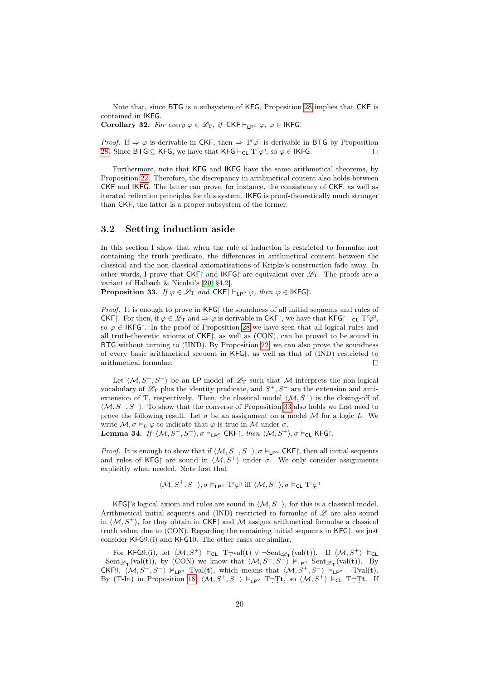Note that, since BTG is a subsystem of KFG, Proposition [28](#page-17-0) implies that CKF is contained in IKFG.

Corollary 32. For every  $\varphi \in \mathscr{L}_T$ , if  $CKF \vdash_{LP^{\circ}} \varphi$ ,  $\varphi \in \mathsf{IKFG}$ .

*Proof.* If  $\Rightarrow \varphi$  is derivable in CKF, then  $\Rightarrow T\varphi$  is derivable in BTG by Proposition [28.](#page-17-0) Since BTG  $\subseteq$  KFG, we have that KFG  $\vdash_{CL} T\ulcorner \varphi$ , so  $\varphi \in$  IKFG.  $\Box$ 

Furthermore, note that KFG and IKFG have the same arithmetical theorems, by Proposition [22.](#page-15-2) Therefore, the discrepancy in arithmetical content also holds between CKF and IKFG. The latter can prove, for instance, the consistency of CKF, as well as iterated reflection principles for this system. IKFG is proof-theoretically much stronger than CKF, the latter is a proper subsystem of the former.

#### 3.2 Setting induction aside

In this section I show that when the rule of induction is restricted to formulae not containing the truth predicate, the differences in arithmetical content between the classical and the non-classical axiomatisations of Kripke's construction fade away. In other words, I prove that  $CKF$  and  $IKFG$  are equivalent over  $\mathscr{L}_T$ . The proofs are a variant of Halbach & Nicolai's [\[20,](#page-32-3) §4.2].

<span id="page-19-0"></span>**Proposition 33.** If  $\varphi \in \mathcal{L}_T$  and CKF $\upharpoonright \vdash_{\mathsf{LP}^\circ} \varphi$ , then  $\varphi \in \mathsf{IKFG}$ .

*Proof.* It is enough to prove in  $KFG$  the soundness of all initial sequents and rules of CKF. For then, if  $\varphi \in \mathscr{L}_{\mathcal{T}}$  and  $\Rightarrow \varphi$  is derivable in CKF, we have that KFG  $\vdash_{\mathsf{CL}} \mathsf{T}^{\mathbb{C}}\varphi$ , so  $\varphi \in \mathsf{IKFG}$ . In the proof of Proposition [28](#page-17-0) we have seen that all logical rules and all truth-theoretic axioms of CKF, as well as (CON), can be proved to be sound in BTG without turning to (IIND). By Proposition [22,](#page-15-2) we can also prove the soundness of every basic arithmetical sequent in KFG, as well as that of (IND) restricted to arithmetical formulae.  $\Box$ 

Let  $\langle M, S^+, S^- \rangle$  be an LP-model of  $\mathscr{L}_T$  such that M interprets the non-logical vocabulary of  $\mathscr{L}_{\textrm{T}}$  plus the identity predicate, and  $S^+, S^-$  are the extension and antiextension of T, respectively. Then, the classical model  $\langle M, S^+\rangle$  is the closing-off of  $\langle M, S^+, S^- \rangle$ . To show that the converse of Proposition [33](#page-19-0) also holds we first need to prove the following result. Let  $\sigma$  be an assignment on a model M for a logic L. We write  $M, \sigma \vDash_L \varphi$  to indicate that  $\varphi$  is true in M under  $\sigma$ .

Lemma 34. If  $\langle M, S^+, S^- \rangle$ ,  $\sigma \vDash_{\mathsf{LP}^\circ} \mathsf{CKF}$ , then  $\langle M, S^+ \rangle$ ,  $\sigma \vDash_{\mathsf{CL}} \mathsf{KFG}$ .

*Proof.* It is enough to show that if  $\langle M, S^+, S^- \rangle$ ,  $\sigma \models_{\mathsf{LP}^\circ} \mathsf{CKF}$ , then all initial sequents and rules of KFG are sound in  $\langle M, S^+\rangle$  under  $\sigma$ . We only consider assignments explicitly when needed. Note first that

$$
\langle \mathcal{M}, S^+, S^- \rangle, \sigma \vDash_{\mathsf{LP}^{\circ}} \mathrm{T}^r \varphi^{\neg} \text{ iff } \langle \mathcal{M}, S^+ \rangle, \sigma \vDash_{\mathsf{CL}} \mathrm{T}^r \varphi^{\neg}
$$

KFG's logical axiom and rules are sound in  $\langle M, S^{\dagger} \rangle$ , for this is a classical model. Arithmetical initial sequents and (IND) restricted to formulae of  $\mathscr L$  are also sound in  $\langle M, S^+ \rangle$ , for they obtain in CKF and M assigns arithmetical formulae a classical truth value, due to  $(CON)$ . Regarding the remaining initial sequents in  $KFG$ , we just consider KFG9.(i) and KFG10. The other cases are similar.

For KFG9.(i), let  $\langle M, S^+ \rangle$   $\vDash_{\mathsf{CL}}$  T $\neg \text{val}(\mathbf{t}) \vee \neg \text{Sent}_{\mathscr{L}_{\mathrm{T}}}(\text{val}(\mathbf{t}))$ . If  $\langle M, S^+ \rangle \nvDash_{\mathsf{CL}}$  $\neg Sent_{\mathscr{L}_{\mathcal{T}}}(val(t)),$  by (CON) we know that  $\langle \mathcal{M}, S^+, S^- \rangle \nvDash_{\mathsf{LP}^\circ} \text{Sent}_{\mathscr{L}_{\mathcal{T}}}(val(t)).$  By CKF9,  $\langle \mathcal{M}, S^+, S^- \rangle \nvDash_{\mathsf{LP}^\circ} \text{normal}(\mathbf{t}),$  which means that  $\langle \mathcal{M}, S^+, S^- \rangle \nvDash_{\mathsf{LP}^\circ} \neg \text{normal}(\mathbf{t}).$ By (T-In) in Proposition [18,](#page-11-3)  $\langle \mathcal{M}, S^+, S^- \rangle \vDash_{\mathsf{LP}^{\circ}} T \neg T\mathsf{t}$ , so  $\langle \mathcal{M}, S^+ \rangle \vDash_{\mathsf{CL}} T \neg T\mathsf{t}$ . If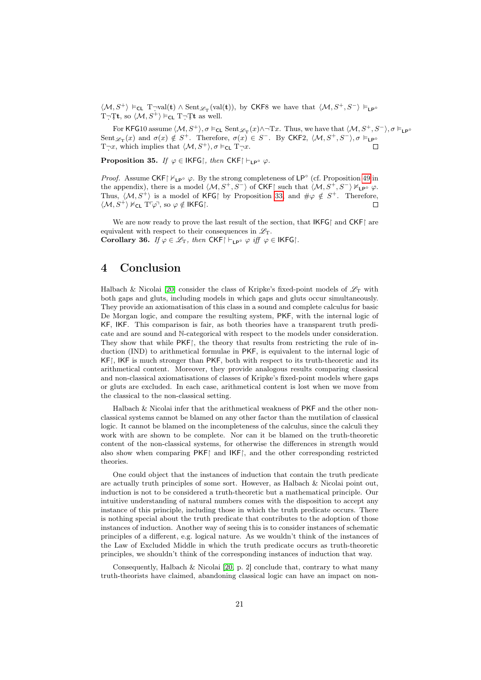$\langle \mathcal{M}, S^+ \rangle \vDash_{\mathsf{CL}} T_{\neg} \text{val}(\mathbf{t}) \wedge \text{Sent}_{\mathscr{L}_{\mathsf{T}}}(\text{val}(\mathbf{t})),$  by CKF8 we have that  $\langle \mathcal{M}, S^+, S^- \rangle \vDash_{\mathsf{LP}^{\circ}}$ T $\neg$ Tt, so  $\langle \mathcal{M}, S^+ \rangle \vDash_{\mathsf{CL}} T \neg$ Tt as well.

For KFG10 assume  $\langle \mathcal{M}, S^+ \rangle$ ,  $\sigma \vDash_{\mathsf{CL}} \operatorname{Sent}_{\mathscr{L}_T}(x) \land \neg Tx$ . Thus, we have that  $\langle \mathcal{M}, S^+, S^- \rangle$ ,  $\sigma \vDash_{\mathsf{LP}^{\circ}}$ Sent  $\mathscr{L}_T(x)$  and  $\sigma(x) \notin S^+$ . Therefore,  $\sigma(x) \in S^-$ . By CKF2,  $\langle \mathcal{M}, S^+, S^- \rangle$ ,  $\sigma \vDash_{\mathsf{LP}^{\circ}}$  $T\neg x$ , which implies that  $\langle \mathcal{M}, S^+ \rangle$ ,  $\sigma \vDash_{\mathsf{CL}} T\neg x$ .

Proposition 35. If  $\varphi \in \mathsf{IKFG}$ , then  $\mathsf{CKF}$   $\vdash_{\mathsf{LP}^\circ} \varphi$ .

*Proof.* Assume CKF| $\nvDash_{\mathsf{LP}^{\circ}} \varphi$ . By the strong completeness of  $\mathsf{LP}^{\circ}$  (cf. Proposition [49](#page-31-12) in the appendix), there is a model  $\langle \mathcal{M}, S^+, S^- \rangle$  of CKF| such that  $\langle \mathcal{M}, S^+, S^- \rangle \nvDash_{\mathsf{LP}^\circ} \varphi$ . Thus,  $\langle M, S^+ \rangle$  is a model of KFG by Proposition [33,](#page-19-0) and  $\#\varphi \notin S^+$ . Therefore,  $\langle \mathcal{M}, S^+ \rangle \nvDash_{\mathsf{CL}} T^{\mathsf{T}} \varphi$ <sup>7</sup>, so  $\varphi \notin \mathsf{IKFG}$ .  $\Box$ 

We are now ready to prove the last result of the section, that  $IKFG$  and  $CKF$  are equivalent with respect to their consequences in  $\mathscr{L}_{T}$ . Corollary 36. If  $\varphi \in \mathscr{L}_T$ , then CKF $\upharpoonright$   $\vdash_{\mathsf{LP}^\circ} \varphi$  iff  $\varphi \in \mathsf{IKFG}$ .

### <span id="page-20-0"></span>4 Conclusion

Halbach & Nicolai [\[20\]](#page-32-3) consider the class of Kripke's fixed-point models of  $\mathscr{L}_{T}$  with both gaps and gluts, including models in which gaps and gluts occur simultaneously. They provide an axiomatisation of this class in a sound and complete calculus for basic De Morgan logic, and compare the resulting system, PKF, with the internal logic of KF, IKF. This comparison is fair, as both theories have a transparent truth predicate and are sound and N-categorical with respect to the models under consideration. They show that while PKF, the theory that results from restricting the rule of induction (IND) to arithmetical formulae in PKF, is equivalent to the internal logic of KF, IKF is much stronger than PKF, both with respect to its truth-theoretic and its arithmetical content. Moreover, they provide analogous results comparing classical and non-classical axiomatisations of classes of Kripke's fixed-point models where gaps or gluts are excluded. In each case, arithmetical content is lost when we move from the classical to the non-classical setting.

Halbach & Nicolai infer that the arithmetical weakness of PKF and the other nonclassical systems cannot be blamed on any other factor than the mutilation of classical logic. It cannot be blamed on the incompleteness of the calculus, since the calculi they work with are shown to be complete. Nor can it be blamed on the truth-theoretic content of the non-classical systems, for otherwise the differences in strength would also show when comparing  $PKF$  and  $IKF$ , and the other corresponding restricted theories.

One could object that the instances of induction that contain the truth predicate are actually truth principles of some sort. However, as Halbach & Nicolai point out, induction is not to be considered a truth-theoretic but a mathematical principle. Our intuitive understanding of natural numbers comes with the disposition to accept any instance of this principle, including those in which the truth predicate occurs. There is nothing special about the truth predicate that contributes to the adoption of those instances of induction. Another way of seeing this is to consider instances of schematic principles of a different, e.g. logical nature. As we wouldn't think of the instances of the Law of Excluded Middle in which the truth predicate occurs as truth-theoretic principles, we shouldn't think of the corresponding instances of induction that way.

Consequently, Halbach & Nicolai [\[20,](#page-32-3) p. 2] conclude that, contrary to what many truth-theorists have claimed, abandoning classical logic can have an impact on non-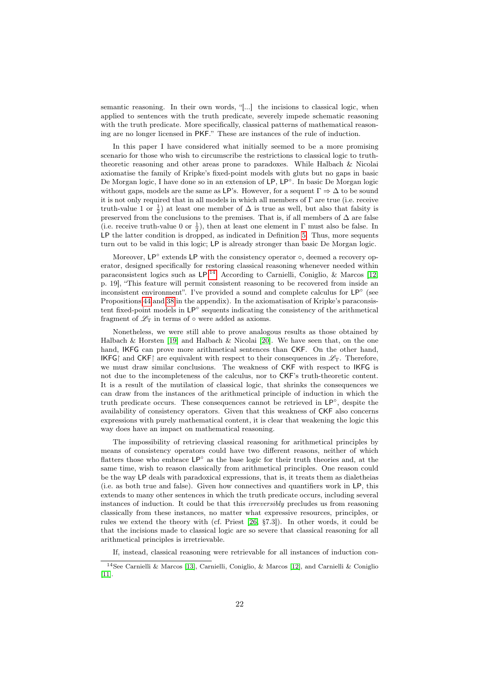semantic reasoning. In their own words, "[...] the incisions to classical logic, when applied to sentences with the truth predicate, severely impede schematic reasoning with the truth predicate. More specifically, classical patterns of mathematical reasoning are no longer licensed in PKF." These are instances of the rule of induction.

In this paper I have considered what initially seemed to be a more promising scenario for those who wish to circumscribe the restrictions to classical logic to truththeoretic reasoning and other areas prone to paradoxes. While Halbach & Nicolai axiomatise the family of Kripke's fixed-point models with gluts but no gaps in basic De Morgan logic, I have done so in an extension of LP, LP°. In basic De Morgan logic without gaps, models are the same as LP's. However, for a sequent  $\Gamma \Rightarrow \Delta$  to be sound it is not only required that in all models in which all members of Γ are true (i.e. receive truth-value 1 or  $\frac{1}{2}$ ) at least one member of  $\Delta$  is true as well, but also that falsity is preserved from the conclusions to the premises. That is, if all members of  $\Delta$  are false (i.e. receive truth-value 0 or  $\frac{1}{2}$ ), then at least one element in  $\Gamma$  must also be false. In LP the latter condition is dropped, as indicated in Definition [5.](#page-3-1) Thus, more sequents turn out to be valid in this logic; LP is already stronger than basic De Morgan logic.

Moreover, LP<sup>°</sup> extends LP with the consistency operator  $\circ$ , deemed a recovery operator, designed specifically for restoring classical reasoning whenever needed within paraconsistent logics such as LP.<sup>[14](#page-21-0)</sup> According to Carnielli, Coniglio, & Marcos [\[12,](#page-31-1) p. 19], "This feature will permit consistent reasoning to be recovered from inside an inconsistent environment". I've provided a sound and complete calculus for LP<sup>○</sup> (see Propositions [44](#page-28-0) and [38](#page-22-1) in the appendix). In the axiomatisation of Kripke's paraconsistent fixed-point models in LP<sup>°</sup> sequents indicating the consistency of the arithmetical fragment of  $\mathscr{L}_{\mathrm{T}}$  in terms of  $\circ$  were added as axioms.

Nonetheless, we were still able to prove analogous results as those obtained by Halbach & Horsten [\[19\]](#page-32-2) and Halbach & Nicolai [\[20\]](#page-32-3). We have seen that, on the one hand, IKFG can prove more arithmetical sentences than CKF. On the other hand, IKFG and CKF are equivalent with respect to their consequences in  $\mathscr{L}_T$ . Therefore, we must draw similar conclusions. The weakness of CKF with respect to IKFG is not due to the incompleteness of the calculus, nor to CKF's truth-theoretic content. It is a result of the mutilation of classical logic, that shrinks the consequences we can draw from the instances of the arithmetical principle of induction in which the truth predicate occurs. These consequences cannot be retrieved in LP◦ , despite the availability of consistency operators. Given that this weakness of CKF also concerns expressions with purely mathematical content, it is clear that weakening the logic this way does have an impact on mathematical reasoning.

The impossibility of retrieving classical reasoning for arithmetical principles by means of consistency operators could have two different reasons, neither of which flatters those who embrace LP◦ as the base logic for their truth theories and, at the same time, wish to reason classically from arithmetical principles. One reason could be the way LP deals with paradoxical expressions, that is, it treats them as dialetheias (i.e. as both true and false). Given how connectives and quantifiers work in LP, this extends to many other sentences in which the truth predicate occurs, including several instances of induction. It could be that this irreversibly precludes us from reasoning classically from these instances, no matter what expressive resources, principles, or rules we extend the theory with (cf. Priest [\[26,](#page-32-17) §7.3]). In other words, it could be that the incisions made to classical logic are so severe that classical reasoning for all arithmetical principles is irretrievable.

<span id="page-21-0"></span>If, instead, classical reasoning were retrievable for all instances of induction con-

<sup>14</sup>See Carnielli & Marcos [\[13\]](#page-32-5), Carnielli, Coniglio, & Marcos [\[12\]](#page-31-1), and Carnielli & Coniglio [\[11\]](#page-31-7).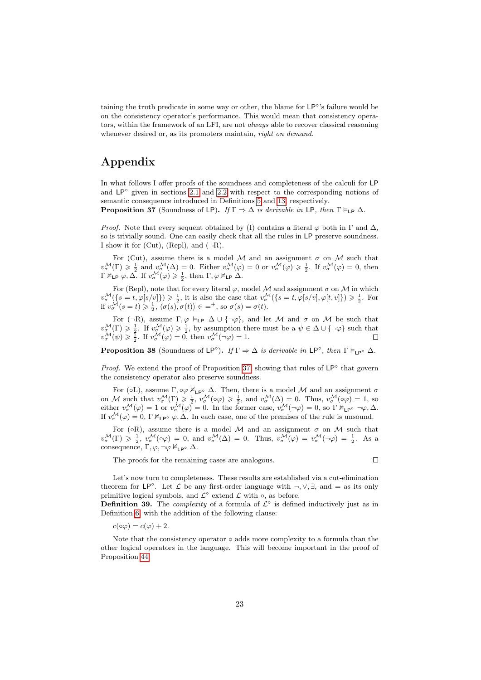taining the truth predicate in some way or other, the blame for LP<sup>°</sup>'s failure would be on the consistency operator's performance. This would mean that consistency operators, within the framework of an LFI, are not *always* able to recover classical reasoning whenever desired or, as its promoters maintain, *right on demand*.

## Appendix

In what follows I offer proofs of the soundness and completeness of the calculi for LP and  $LP^{\circ}$  given in sections [2.1](#page-6-2) and [2.2](#page-8-0) with respect to the corresponding notions of semantic consequence introduced in Definitions [5](#page-3-1) and [13,](#page-8-1) respectively.

<span id="page-22-0"></span>**Proposition 37** (Soundness of LP). If  $\Gamma \Rightarrow \Delta$  is derivable in LP, then  $\Gamma \vDash_{\mathsf{LP}} \Delta$ .

*Proof.* Note that every sequent obtained by (I) contains a literal  $\varphi$  both in  $\Gamma$  and  $\Delta$ , so is trivially sound. One can easily check that all the rules in LP preserve soundness. I show it for (Cut), (Repl), and  $(\neg R)$ .

For (Cut), assume there is a model  $M$  and an assignment  $\sigma$  on  $M$  such that  $v^{\mathcal{M}}_{\sigma}(\Gamma) \geqslant \frac{1}{2}$  and  $v^{\mathcal{M}}_{\sigma}(\Delta) = 0$ . Either  $v^{\mathcal{M}}_{\sigma}(\varphi) = 0$  or  $v^{\mathcal{M}}_{\sigma}(\varphi) \geqslant \frac{1}{2}$ . If  $v^{\mathcal{M}}_{\sigma}(\varphi) = 0$ , then  $\Gamma \nvDash_{\mathsf{LP}} \varphi, \Delta$ . If  $v^{\mathcal{M}}_{\sigma}(\varphi) \geqslant \frac{1}{2}$ , then  $\Gamma, \varphi \nvDash_{\mathsf{LP}} \Delta$ .

For (Repl), note that for every literal  $\varphi$ , model M and assignment  $\sigma$  on M in which  $v^{\mathcal{M}}_{\sigma}(\{s=t, \varphi[s/v]\}) \geq \frac{1}{2}$ , it is also the case that  $v^{\mathcal{M}}_{\sigma}(\{s=t, \varphi[s/v], \varphi[t, v]\}) \geq \frac{1}{2}$ . For if  $v^{\mathcal{M}}_{\sigma}(s=t) \geqslant \frac{1}{2}, \langle \sigma(s), \sigma(t) \rangle \in =^+, \text{ so } \sigma(s) = \sigma(t).$ 

For  $(\neg R)$ , assume  $\Gamma, \varphi \models_{\mathsf{LP}} \Delta \cup {\neg \varphi}$ , and let M and  $\sigma$  on M be such that  $v^{\mathcal{M}}_{\sigma}(\Gamma) \geq \frac{1}{2}$ . If  $v^{\mathcal{M}}_{\sigma}(\varphi) \geq \frac{1}{2}$ , by assumption there must be a  $\psi \in \Delta \cup {\neg \varphi}$  such that  $v^{\mathcal{M}}_{\sigma}(\psi) \geq \frac{1}{2}$ . If  $v^{\mathcal{M}}_{\sigma}(\varphi) = 0$ , then  $v^{\mathcal{M}}_{\sigma}(\neg \varphi) = 1$ .

<span id="page-22-1"></span>**Proposition 38** (Soundness of  $LP^\circ$ ). If  $\Gamma \Rightarrow \Delta$  is derivable in  $LP^\circ$ , then  $\Gamma \vDash_{LP^\circ} \Delta$ .

*Proof.* We extend the proof of Proposition [37,](#page-22-0) showing that rules of  $LP^{\circ}$  that govern the consistency operator also preserve soundness.

For ( $\circ$ L), assume  $\Gamma, \circ \varphi \nvDash_{\mathsf{LP}^{\circ}} \Delta$ . Then, there is a model M and an assignment  $\sigma$ on M such that  $v^{\mathcal{M}}_{\sigma}(\Gamma) \geq \frac{1}{2}$ ,  $v^{\mathcal{M}}_{\sigma}(\circ \varphi) \geq \frac{1}{2}$ , and  $v^{\mathcal{M}}_{\sigma}(\Delta) = 0$ . Thus,  $v^{\mathcal{M}}_{\sigma}(\circ \varphi) = 1$ , so either  $v^{\mathcal{M}}_{\sigma}(\varphi) = 1$  or  $v^{\mathcal{M}}_{\sigma}(\varphi) = 0$ . In the former case,  $v^{\mathcal{M}}_{\sigma}(\neg \varphi) = 0$ , so  $\Gamma \nvDash_{\mathsf{LP}^{\circ}} \neg \varphi, \Delta$ . If  $v^{\mathcal{M}}_{\sigma}(\varphi) = 0$ ,  $\Gamma \nvDash_{\mathsf{LP}^{\circ}} \varphi, \Delta$ . In each case, one of the premises of the rule is unsound.

For ( $\circ$ R), assume there is a model M and an assignment  $\sigma$  on M such that  $v^{\mathcal{M}}_{\sigma}(\Gamma) \geqslant \frac{1}{2}$ ,  $v^{\mathcal{M}}_{\sigma}(\infty) = 0$ , and  $v^{\mathcal{M}}_{\sigma}(\Delta) = 0$ . Thus,  $v^{\mathcal{M}}_{\sigma}(\varphi) = v^{\mathcal{M}}_{\sigma}(\neg \varphi) = \frac{1}{2}$ . As a consequence,  $\Gamma, \varphi, \neg \varphi \nvDash_{\mathsf{LP}^{\circ}} \Delta$ .

The proofs for the remaining cases are analogous.

$$
\qquad \qquad \Box
$$

Let's now turn to completeness. These results are established via a cut-elimination theorem for  $LP^{\circ}$ . Let  $\mathcal L$  be any first-order language with  $\neg, \vee, \exists$ , and  $=$  as its only primitive logical symbols, and  $\mathcal{L}^{\circ}$  extend  $\mathcal{L}$  with  $\circ$ , as before.

**Definition 39.** The *complexity* of a formula of  $\mathcal{L}^{\circ}$  is defined inductively just as in Definition [6,](#page-3-2) with the addition of the following clause:

 $c(\circ\varphi) = c(\varphi) + 2.$ 

Note that the consistency operator  $\circ$  adds more complexity to a formula than the other logical operators in the language. This will become important in the proof of Proposition [44.](#page-28-0)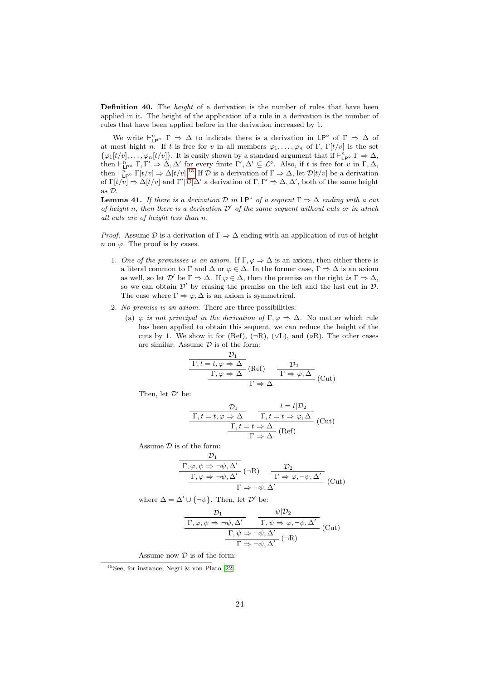**Definition 40.** The *height* of a derivation is the number of rules that have been applied in it. The height of the application of a rule in a derivation is the number of rules that have been applied before in the derivation increased by 1.

We write  $\vdash_{\mathsf{LP}^{\circ}}^n \Gamma \Rightarrow \Delta$  to indicate there is a derivation in  $\mathsf{LP}^{\circ}$  of  $\Gamma \Rightarrow \Delta$  of at most hight n. If t is free for v in all members  $\varphi_1, \ldots, \varphi_n$  of Γ, Γ[t/v] is the set  $\{\varphi_1[t/v], \ldots, \varphi_n[t/v]\}.$  It is easily shown by a standard argument that if  $\vdash_{\mathsf{LP}^\circ}^n \Gamma \Rightarrow \Delta$ , then  $\vdash_{\mathsf{LP}^\circ}^n \Gamma, \Gamma' \Rightarrow \Delta, \Delta'$  for every finite  $\Gamma', \Delta' \subseteq \mathcal{L}^\circ$ . Also, if t is free for v in  $\Gamma, \Delta$ , then  $\vdash_{\mathsf{LP}^\circ}^{\overline{n}} \Gamma[t/v] \Rightarrow \Delta[t/v]$ .<sup>[15](#page-23-0)</sup> If  $\mathcal D$  is a derivation of  $\Gamma \Rightarrow \Delta$ , let  $\mathcal D[t/v]$  be a derivation of  $\Gamma[t/\overline{v}] \Rightarrow \Delta[t/v]$  and  $\Gamma'[\mathcal{D}]\Delta'$  a derivation of  $\Gamma, \Gamma' \Rightarrow \Delta, \Delta'$ , both of the same height as D.

<span id="page-23-1"></span>**Lemma 41.** If there is a derivation  $D$  in  $\mathsf{LP}^\circ$  of a sequent  $\Gamma \Rightarrow \Delta$  ending with a cut of height n, then there is a derivation  $\mathcal{D}'$  of the same sequent without cuts or in which all cuts are of height less than n.

*Proof.* Assume D is a derivation of  $\Gamma \Rightarrow \Delta$  ending with an application of cut of height n on  $\varphi$ . The proof is by cases.

- 1. One of the premisses is an axiom. If  $\Gamma, \varphi \Rightarrow \Delta$  is an axiom, then either there is a literal common to  $\Gamma$  and  $\Delta$  or  $\varphi \in \Delta$ . In the former case,  $\Gamma \Rightarrow \Delta$  is an axiom as well, so let  $\mathcal{D}'$  be  $\Gamma \Rightarrow \Delta$ . If  $\varphi \in \Delta$ , then the premiss on the right is  $\Gamma \Rightarrow \Delta$ , so we can obtain  $\mathcal{D}'$  by erasing the premiss on the left and the last cut in  $\mathcal{D}$ . The case where  $\Gamma \Rightarrow \varphi, \Delta$  is an axiom is symmetrical.
- 2. No premiss is an axiom. There are three possibilities:
	- (a)  $\varphi$  is not principal in the derivation of  $\Gamma, \varphi \Rightarrow \Delta$ . No matter which rule has been applied to obtain this sequent, we can reduce the height of the cuts by 1. We show it for (Ref),  $(\neg R)$ ,  $(\vee L)$ , and  $(\circ R)$ . The other cases are similar. Assume  $D$  is of the form:

$$
\frac{\frac{\mathcal{D}_1}{\Gamma, t = t, \varphi \Rightarrow \Delta} \cdot \frac{\mathcal{D}_2}{\Gamma, \varphi \Rightarrow \Delta} \cdot (\text{Ref}) \qquad \frac{\mathcal{D}_2}{\Gamma \Rightarrow \varphi, \Delta} \cdot (\text{Cut})}{\Gamma \Rightarrow \Delta}
$$

Then, let  $\mathcal{D}'$  be:

$$
\frac{\mathcal{D}_1}{\Gamma, t = t, \varphi \Rightarrow \Delta} \qquad \frac{t = t | \mathcal{D}_2}{\Gamma, t = t \Rightarrow \varphi, \Delta}
$$
\n
$$
\frac{\Gamma, t = t \Rightarrow \Delta}{\Gamma \Rightarrow \Delta} \text{ (Ref)}
$$

Assume  $\mathcal D$  is of the form:

$$
\frac{\frac{\mathcal{D}_1}{\Gamma,\varphi,\psi \Rightarrow \neg \psi, \Delta'}}{\frac{\Gamma,\varphi \Rightarrow \neg \psi, \Delta'}{\Gamma \Rightarrow \neg \psi, \Delta'}} \frac{\mathcal{D}_2}{\Gamma \Rightarrow \varphi, \neg \psi, \Delta'} (\text{Cut})
$$

where  $\Delta = \Delta' \cup {\neg \psi}$ . Then, let  $\mathcal{D}'$  be:

$$
\frac{\mathcal{D}_1}{\Gamma,\varphi,\psi \Rightarrow \neg \psi, \Delta'} \quad \frac{\psi|\mathcal{D}_2}{\Gamma,\psi \Rightarrow \varphi, \neg \psi, \Delta'} \quad (\text{Cut})
$$
\n
$$
\frac{\Gamma,\psi \Rightarrow \neg \psi, \Delta'}{\Gamma \Rightarrow \neg \psi, \Delta'} \quad (\text{Cut})
$$

Assume now  $D$  is of the form:

<span id="page-23-0"></span><sup>&</sup>lt;sup>15</sup>See, for instance, Negri & von Plato [\[22\]](#page-32-9).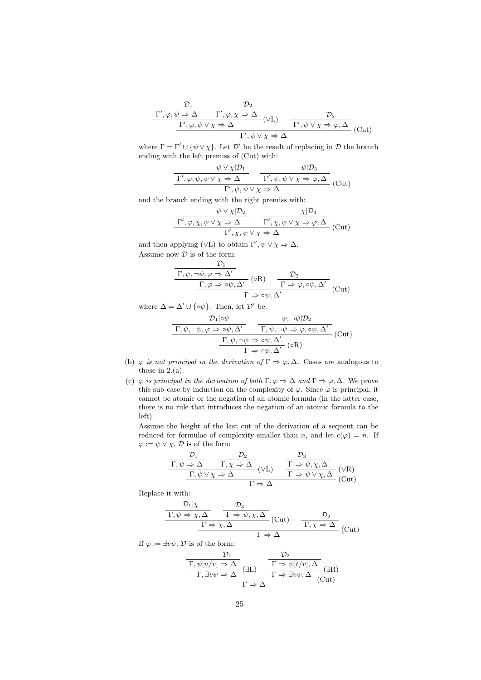$$
\frac{\frac{\mathcal{D}_1}{\Gamma', \varphi, \psi \Rightarrow \Delta} \quad \frac{\mathcal{D}_2}{\Gamma', \varphi, \chi \Rightarrow \Delta}}{\frac{\Gamma', \varphi, \psi \lor \chi \Rightarrow \Delta}{\Gamma', \psi \lor \chi \Rightarrow \Delta}} \text{(VL)} \quad \frac{\mathcal{D}_3}{\Gamma', \psi \lor \chi \Rightarrow \varphi, \Delta} \text{(Cut)}
$$

where  $\Gamma = \Gamma' \cup {\psi \vee \chi}$ . Let  $\mathcal{D}'$  be the result of replacing in  $\mathcal{D}$  the branch ending with the left premiss of (Cut) with:

$$
\frac{\psi \vee \chi|\mathcal{D}_1}{\Gamma', \varphi, \psi, \psi \vee \chi \Rightarrow \Delta} \qquad \frac{\psi|\mathcal{D}_3}{\Gamma', \psi, \psi \vee \chi \Rightarrow \varphi, \Delta} \quad (\text{Cut})
$$

and the branch ending with the right premiss with:

$$
\frac{\psi \vee \chi | \mathcal{D}_2}{\Gamma', \varphi, \chi, \psi \vee \chi \Rightarrow \Delta} \frac{\chi | \mathcal{D}_3}{\Gamma', \chi, \psi \vee \chi \Rightarrow \varphi, \Delta}
$$
(Cut)

and then applying ( $\vee$ L) to obtain  $\Gamma', \psi \vee \chi \Rightarrow \Delta$ . Assume now  $\mathcal D$  is of the form:

$$
\frac{\mathcal{D}_1}{\Gamma,\psi,\neg\psi,\varphi \Rightarrow \Delta'} \frac{\mathcal{D}_2}{\Gamma,\varphi \Rightarrow \circ\psi, \Delta'} \text{ (oR)} \quad \frac{\mathcal{D}_2}{\Gamma \Rightarrow \varphi, \circ\psi, \Delta'} \text{ (Cut)}
$$
\n
$$
\Gamma \Rightarrow \circ\psi, \Delta'
$$

where  $\Delta = \Delta' \cup {\lbrace \circ \psi \rbrace}$ . Then, let  $\mathcal{D}'$  be:

$$
\frac{\mathcal{D}_1|\circ\psi}{\Gamma,\psi,\neg\psi,\varphi\Rightarrow\circ\psi,\Delta'}\frac{\psi,\neg\psi|\mathcal{D}_2}{\Gamma,\psi,\neg\psi\Rightarrow\varphi,\circ\psi,\Delta'}(\text{Cut})
$$
\n
$$
\frac{\Gamma,\psi,\neg\psi\Rightarrow\circ\psi,\Delta'}{\Gamma\Rightarrow\circ\psi,\Delta'}(\text{cR})
$$

- (b)  $\varphi$  is not principal in the derivation of  $\Gamma \Rightarrow \varphi, \Delta$ . Cases are analogous to those in  $2.(a)$ .
- (c)  $\varphi$  is principal in the derivation of both  $\Gamma, \varphi \Rightarrow \Delta$  and  $\Gamma \Rightarrow \varphi, \Delta$ . We prove this sub-case by induction on the complexity of  $\varphi$ . Since  $\varphi$  is principal, it cannot be atomic or the negation of an atomic formula (in the latter case, there is no rule that introduces the negation of an atomic formula to the left).

Assume the height of the last cut of the derivation of a sequent can be reduced for formulae of complexity smaller than n, and let  $c(\varphi) = n$ . If  $\varphi := \psi \vee \chi$ ,  $\mathcal{D}$  is of the form

$$
\frac{\frac{\mathcal{D}_1}{\Gamma,\psi \Rightarrow \Delta} \quad \frac{\mathcal{D}_2}{\Gamma,\chi \Rightarrow \Delta}}{\frac{\Gamma,\psi \vee \chi \Rightarrow \Delta}{\Gamma \Rightarrow \Delta}} (\vee L) \quad \frac{\mathcal{D}_3}{\Gamma \Rightarrow \psi, \chi, \Delta} (\vee R)
$$
\n
$$
\frac{\Gamma,\psi \vee \chi \Rightarrow \Delta}{\Gamma \Rightarrow \Delta} (\text{Cut})
$$

Replace it with:

$$
\frac{\frac{\mathcal{D}_1|\chi}{\Gamma,\psi \Rightarrow \chi,\Delta} \qquad \frac{\mathcal{D}_3}{\Gamma \Rightarrow \psi,\chi,\Delta}}{\frac{\Gamma \Rightarrow \chi,\Delta} \qquad (\text{Cut}) \qquad \frac{\mathcal{D}_2}{\Gamma,\chi \Rightarrow \Delta}} (\text{Cut}) \qquad \frac{\mathcal{D}_3}{\Gamma,\chi \Rightarrow \Delta} (\text{Cut})}
$$

If  $\varphi := \exists v \psi$ ,  $\mathcal{D}$  is of the form:

$$
\frac{\mathcal{D}_1}{\Gamma, \psi[u/v] \Rightarrow \Delta} \frac{\mathcal{D}_2}{\Gamma \Rightarrow \psi[t/v], \Delta} \text{(3R)}
$$
\n
$$
\frac{\Gamma, \exists v\psi \Rightarrow \Delta}{\Gamma \Rightarrow \Delta} \text{(3R)}
$$
\n
$$
\frac{\Gamma \Rightarrow \psi[t/v], \Delta}{\Gamma \Rightarrow \Delta} \text{(Cut)}
$$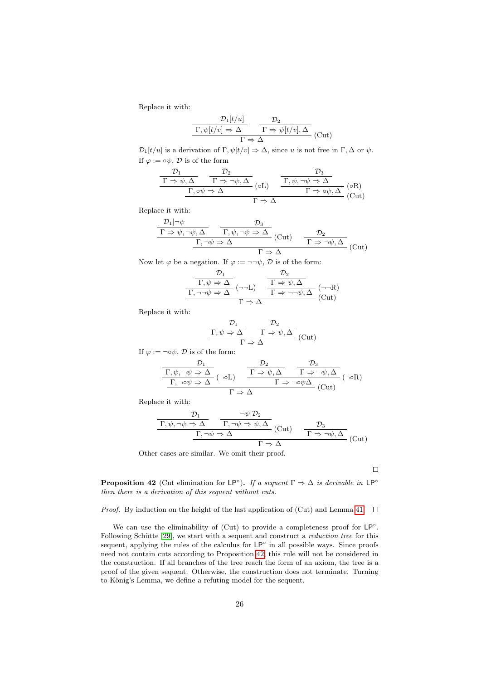Replace it with:

$$
\frac{\mathcal{D}_1[t/u]}{\Gamma,\psi[t/v] \Rightarrow \Delta} \frac{\mathcal{D}_2}{\Gamma \Rightarrow \psi[t/v], \Delta} (Cut)
$$

 $\mathcal{D}_1[t/u]$  is a derivation of  $\Gamma, \psi[t/v] \Rightarrow \Delta$ , since u is not free in  $\Gamma, \Delta$  or  $\psi$ . If  $\varphi := \circ \psi$ ,  $\mathcal{D}$  is of the form

$$
\frac{\frac{\mathcal{D}_1}{\Gamma \Rightarrow \psi, \Delta} \quad \frac{\mathcal{D}_2}{\Gamma \Rightarrow \neg \psi, \Delta}}{\frac{\Gamma, \phi \psi \Rightarrow \Delta}{\Gamma \Rightarrow \neg \psi, \Delta} \quad (\text{ol}) \quad \frac{\Gamma, \psi, \neg \psi \Rightarrow \Delta}{\Gamma \Rightarrow \phi \psi, \Delta} \quad (\text{OR})}{\Gamma \Rightarrow \Delta} \quad (\text{Cut})
$$

Replace it with:

$$
\frac{\mathcal{D}_1|\neg\psi}{\Gamma\Rightarrow\psi,\neg\psi,\Delta}\n\quad\n\frac{\mathcal{D}_3}{\Gamma,\psi,\neg\psi\Rightarrow\Delta}\n\quad\n(\text{Cut})\n\quad\n\frac{\mathcal{D}_2}{\Gamma\Rightarrow\neg\psi,\Delta}\n\quad\n(\text{Cut})\n\quad\n\frac{\mathcal{D}_2}{\Gamma\Rightarrow\neg\psi,\Delta}\n\quad\n(\text{Cut})
$$

Now let  $\varphi$  be a negation. If  $\varphi := \neg \neg \psi$ ,  $\mathcal{D}$  is of the form:

$$
\frac{\mathcal{D}_1}{\Gamma, \psi \Rightarrow \Delta} \xrightarrow[\Gamma \to \Delta]{} \frac{\mathcal{D}_2}{\Gamma \Rightarrow \psi, \Delta} (\neg \neg L)
$$
\n
$$
\frac{\Gamma \Rightarrow \psi, \Delta}{\Gamma \Rightarrow \neg \neg \psi, \Delta} (\neg \neg R)
$$
\n
$$
\Gamma \Rightarrow \Delta
$$
\n(Cut)

Replace it with:

$$
\frac{\mathcal{D}_1}{\Gamma,\psi \Rightarrow \Delta} \xrightarrow{\Gamma \Rightarrow \psi, \Delta} (\text{Cut})
$$

If 
$$
\varphi := \neg \circ \psi
$$
,  $\mathcal{D}$  is of the form:  
\n
$$
\frac{\mathcal{D}_1}{\Gamma, \psi, \neg \psi \Rightarrow \Delta} \xrightarrow[\Gamma, \neg \circ \psi \Rightarrow \Delta]{} (\neg \circ L) \qquad \frac{\mathcal{D}_2}{\Gamma \Rightarrow \psi, \Delta} \xrightarrow[\Gamma \Rightarrow \neg \circ \psi \Delta]{} (\neg \circ R)
$$
\n
$$
\frac{\Gamma \Rightarrow \psi, \Delta}{\Gamma \Rightarrow \neg \circ \psi \Delta} (\text{Cut})
$$

Replace it with:

$$
\frac{\mathcal{D}_1}{\Gamma,\psi,\neg\psi \Rightarrow \Delta} \qquad \frac{\neg\psi|\mathcal{D}_2}{\Gamma,\neg\psi \Rightarrow \psi, \Delta} \text{ (Cut)} \qquad \frac{\mathcal{D}_3}{\Gamma \Rightarrow \neg\psi, \Delta} \text{ (Cut)}
$$
\n
$$
\frac{\Gamma,\neg\psi \Rightarrow \Delta}{\Gamma \Rightarrow \Delta} \qquad \frac{\mathcal{D}_4}{\Gamma \Rightarrow \neg\psi, \Delta} \text{ (Cut)}
$$

Other cases are similar. We omit their proof.

 $\Box$ 

<span id="page-25-0"></span>**Proposition 42** (Cut elimination for LP°). If a sequent  $\Gamma \Rightarrow \Delta$  is derivable in LP° then there is a derivation of this sequent without cuts.

#### *Proof.* By induction on the height of the last application of (Cut) and Lemma [41.](#page-23-1)  $\Box$

We can use the eliminability of  $(Cut)$  to provide a completeness proof for  $LP^\circ$ . Following Schütte [\[29\]](#page-32-18), we start with a sequent and construct a reduction tree for this sequent, applying the rules of the calculus for  $LP^{\circ}$  in all possible ways. Since proofs need not contain cuts according to Proposition [42,](#page-25-0) this rule will not be considered in the construction. If all branches of the tree reach the form of an axiom, the tree is a proof of the given sequent. Otherwise, the construction does not terminate. Turning to König's Lemma, we define a refuting model for the sequent.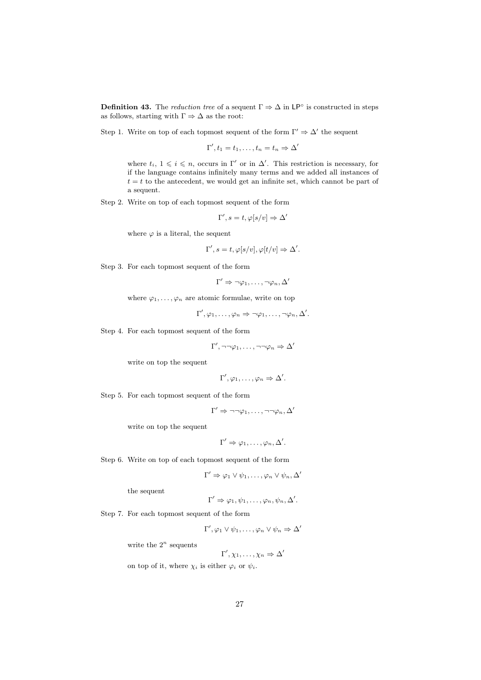<span id="page-26-0"></span>**Definition 43.** The *reduction tree* of a sequent  $\Gamma \Rightarrow \Delta$  in LP<sup>°</sup> is constructed in steps as follows, starting with  $\Gamma \Rightarrow \Delta$  as the root:

Step 1. Write on top of each topmost sequent of the form  $\Gamma' \Rightarrow \Delta'$  the sequent

$$
\Gamma', t_1 = t_1, \ldots, t_n = t_n \Rightarrow \Delta'
$$

where  $t_i, 1 \leq i \leq n$ , occurs in Γ' or in Δ'. This restriction is necessary, for if the language contains infinitely many terms and we added all instances of  $t = t$  to the antecedent, we would get an infinite set, which cannot be part of a sequent.

Step 2. Write on top of each topmost sequent of the form

$$
\Gamma', s = t, \varphi[s/v] \Rightarrow \Delta'
$$

where  $\varphi$  is a literal, the sequent

$$
\Gamma', s = t, \varphi[s/v], \varphi[t/v] \Rightarrow \Delta'.
$$

Step 3. For each topmost sequent of the form

$$
\Gamma' \Rightarrow \neg \varphi_1, \dots, \neg \varphi_n, \Delta'
$$

where  $\varphi_1, \ldots, \varphi_n$  are atomic formulae, write on top

 $\Gamma', \varphi_1, \ldots, \varphi_n \Rightarrow \neg \varphi_1, \ldots, \neg \varphi_n, \Delta'.$ 

Step 4. For each topmost sequent of the form

 $\Gamma', \neg\neg\varphi_1, \ldots, \neg\neg\varphi_n \Rightarrow \Delta'$ 

write on top the sequent

$$
\Gamma', \varphi_1, \ldots, \varphi_n \Rightarrow \Delta'.
$$

Step 5. For each topmost sequent of the form

$$
\Gamma' \Rightarrow \neg \neg \varphi_1, \dots, \neg \neg \varphi_n, \Delta'
$$

write on top the sequent

$$
\Gamma' \Rightarrow \varphi_1, \ldots, \varphi_n, \Delta'.
$$

Step 6. Write on top of each topmost sequent of the form

$$
\Gamma' \Rightarrow \varphi_1 \vee \psi_1, \dots, \varphi_n \vee \psi_n, \Delta'
$$

the sequent

$$
\Gamma' \Rightarrow \varphi_1, \psi_1, \ldots, \varphi_n, \psi_n, \Delta'.
$$

Step 7. For each topmost sequent of the form

$$
\Gamma', \varphi_1 \vee \psi_1, \ldots, \varphi_n \vee \psi_n \Rightarrow \Delta'
$$

write the  $2^n$  sequents

$$
\Gamma', \chi_1, \ldots, \chi_n \Rightarrow \Delta'
$$

on top of it, where  $\chi_i$  is either  $\varphi_i$  or  $\psi_i$ .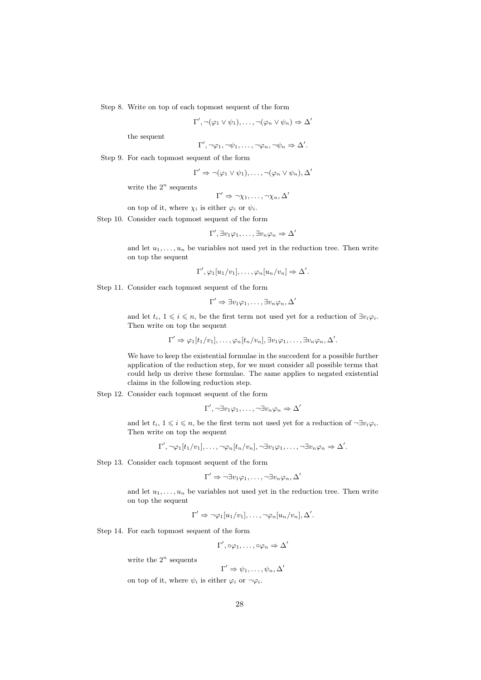Step 8. Write on top of each topmost sequent of the form

$$
\Gamma', \neg(\varphi_1 \lor \psi_1), \dots, \neg(\varphi_n \lor \psi_n) \Rightarrow \Delta'
$$

the sequent

$$
\Gamma', \neg \varphi_1, \neg \psi_1, \dots, \neg \varphi_n, \neg \psi_n \Rightarrow \Delta'.
$$

Step 9. For each topmost sequent of the form

$$
\Gamma' \Rightarrow \neg(\varphi_1 \lor \psi_1), \dots, \neg(\varphi_n \lor \psi_n), \Delta'
$$

write the  $2^n$  sequents

$$
\Gamma' \Rightarrow \neg \chi_1, \ldots, \neg \chi_n, \Delta'
$$

on top of it, where  $\chi_i$  is either  $\varphi_i$  or  $\psi_i$ .

Step 10. Consider each topmost sequent of the form

$$
\Gamma', \exists v_1 \varphi_1, \ldots, \exists v_n \varphi_n \Rightarrow \Delta'
$$

and let  $u_1, \ldots, u_n$  be variables not used yet in the reduction tree. Then write on top the sequent

 $\Gamma', \varphi_1[u_1/v_1], \ldots, \varphi_n[u_n/v_n] \Rightarrow \Delta'.$ 

Step 11. Consider each topmost sequent of the form

$$
\Gamma' \Rightarrow \exists v_1 \varphi_1, \ldots, \exists v_n \varphi_n, \Delta'
$$

and let  $t_i, 1 \leq i \leq n$ , be the first term not used yet for a reduction of  $\exists v_i \varphi_i$ . Then write on top the sequent

$$
\Gamma' \Rightarrow \varphi_1[t_1/v_1], \ldots, \varphi_n[t_n/v_n], \exists v_1 \varphi_1, \ldots, \exists v_n \varphi_n, \Delta'.
$$

We have to keep the existential formulae in the succedent for a possible further application of the reduction step, for we must consider all possible terms that could help us derive these formulae. The same applies to negated existential claims in the following reduction step.

Step 12. Consider each topmost sequent of the form

$$
\Gamma', \neg \exists v_1 \varphi_1, \dots, \neg \exists v_n \varphi_n \Rightarrow \Delta'
$$

and let  $t_i, 1 \leq i \leq n$ , be the first term not used yet for a reduction of  $\neg \exists v_i \varphi_i$ . Then write on top the sequent

$$
\Gamma', \neg \varphi_1[t_1/v_1], \dots, \neg \varphi_n[t_n/v_n], \neg \exists v_1 \varphi_1, \dots, \neg \exists v_n \varphi_n \Rightarrow \Delta'.
$$

Step 13. Consider each topmost sequent of the form

$$
\Gamma' \Rightarrow \neg \exists v_1 \varphi_1, \dots, \neg \exists v_n \varphi_n, \Delta'
$$

and let  $u_1, \ldots, u_n$  be variables not used yet in the reduction tree. Then write on top the sequent

$$
\Gamma' \Rightarrow \neg \varphi_1[u_1/v_1], \dots, \neg \varphi_n[u_n/v_n], \Delta'.
$$

Step 14. For each topmost sequent of the form

 $\Gamma', \circ \varphi_1, \ldots, \circ \varphi_n \Rightarrow \Delta'$ 

write the  $2^n$  sequents

$$
\Gamma' \Rightarrow \psi_1, \ldots, \psi_n, \Delta'
$$

on top of it, where  $\psi_i$  is either  $\varphi_i$  or  $\neg \varphi_i$ .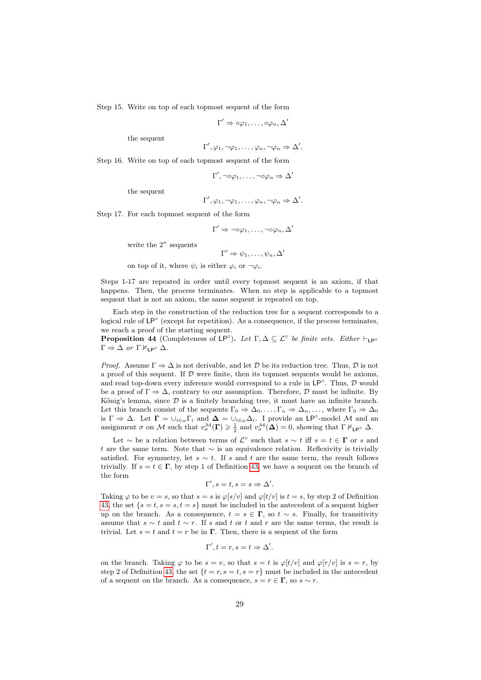Step 15. Write on top of each topmost sequent of the form

$$
\Gamma' \Rightarrow \circ \varphi_1, \ldots, \circ \varphi_n, \Delta'
$$

the sequent

$$
\Gamma', \varphi_1, \neg \varphi_1, \dots, \varphi_n, \neg \varphi_n \Rightarrow \Delta'.
$$

Step 16. Write on top of each topmost sequent of the form

$$
\Gamma', \neg \circ \varphi_1, \dots, \neg \circ \varphi_n \Rightarrow \Delta'
$$

the sequent

$$
\Gamma', \varphi_1, \neg \varphi_1, \dots, \varphi_n, \neg \varphi_n \Rightarrow \Delta'.
$$

Step 17. For each topmost sequent of the form

$$
\Gamma' \Rightarrow \neg \circ \varphi_1, \dots, \neg \circ \varphi_n, \Delta'
$$

write the  $2^n$  sequents

$$
\Gamma' \Rightarrow \psi_1, \ldots, \psi_n, \Delta'
$$

on top of it, where  $\psi_i$  is either  $\varphi_i$  or  $\neg \varphi_i$ .

Steps 1-17 are repeated in order until every topmost sequent is an axiom, if that happens. Then, the process terminates. When no step is applicable to a topmost sequent that is not an axiom, the same sequent is repeated on top.

Each step in the construction of the reduction tree for a sequent corresponds to a logical rule of LP<sup>°</sup> (except for repetition). As a consequence, if the process terminates, we reach a proof of the starting sequent.

<span id="page-28-0"></span>**Proposition 44** (Completeness of  $LP^{\circ}$ ). Let  $\Gamma, \Delta \subseteq \mathcal{L}^{\circ}$  be finite sets. Either  $\vdash_{LP^{\circ}}$  $\Gamma \Rightarrow \Delta$  or  $\Gamma \nvDash_{\mathsf{LP}^{\circ}} \Delta$ .

*Proof.* Assume  $\Gamma \Rightarrow \Delta$  is not derivable, and let  $D$  be its reduction tree. Thus,  $D$  is not a proof of this sequent. If  $D$  were finite, then its topmost sequents would be axioms, and read top-down every inference would correspond to a rule in  $\mathsf{LP}^\circ$ . Thus,  $\mathcal D$  would be a proof of  $\Gamma \Rightarrow \Delta$ , contrary to our assumption. Therefore,  $\mathcal D$  must be infinite. By König's lemma, since  $D$  is a finitely branching tree, it must have an infinite branch. Let this branch consist of the sequents  $\Gamma_0 \Rightarrow \Delta_0, \ldots, \Gamma_n \Rightarrow \Delta_n, \ldots$ , where  $\Gamma_0 \Rightarrow \Delta_0$ is  $\Gamma \Rightarrow \Delta$ . Let  $\Gamma = \bigcup_{i \in \omega} \Gamma_i$  and  $\Delta = \bigcup_{i \in \omega} \Delta_i$ . I provide an LP°-model M and an assignment  $\sigma$  on M such that  $v^{\mathcal{M}}_{\sigma}(\mathbf{\Gamma}) \geq \frac{1}{2}$  and  $v^{\mathcal{M}}_{\sigma}(\mathbf{\Delta}) = 0$ , showing that  $\Gamma \nvDash_{\mathsf{LP}^{\circ}} \Delta$ .

Let  $\sim$  be a relation between terms of  $\mathcal{L}^{\circ}$  such that  $s \sim t$  iff  $s = t \in \Gamma$  or s and t are the same term. Note that  $\sim$  is an equivalence relation. Reflexivity is trivially satisfied. For symmetry, let  $s \sim t$ . If s and t are the same term, the result follows trivially. If  $s = t \in \Gamma$ , by step 1 of Definition [43,](#page-26-0) we have a sequent on the branch of the form

$$
\Gamma', s = t, s = s \Rightarrow \Delta'.
$$

Taking  $\varphi$  to be  $v = s$ , so that  $s = s$  is  $\varphi[s/v]$  and  $\varphi[t/v]$  is  $t = s$ , by step 2 of Definition [43,](#page-26-0) the set  $\{s = t, s = s, t = s\}$  must be included in the antecedent of a sequent higher up on the branch. As a consequence,  $t = s \in \Gamma$ , so  $t \sim s$ . Finally, for transitivity assume that  $s \sim t$  and  $t \sim r$ . If s and t or t and r are the same terms, the result is trivial. Let  $s = t$  and  $t = r$  be in  $\Gamma$ . Then, there is a sequent of the form

$$
\Gamma', t = r, s = t \Rightarrow \Delta'.
$$

on the branch. Taking  $\varphi$  to be  $s = v$ , so that  $s = t$  is  $\varphi[t/v]$  and  $\varphi[r/v]$  is  $s = r$ , by step 2 of Definition [43,](#page-26-0) the set  $\{t = r, s = t, s = r\}$  must be included in the antecedent of a sequent on the branch. As a consequence,  $s = r \in \Gamma$ , so  $s \sim r$ .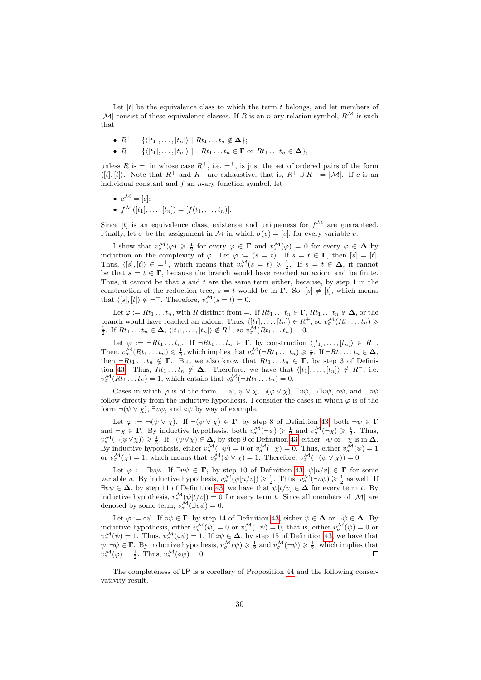Let  $[t]$  be the equivalence class to which the term  $t$  belongs, and let members of  $|\mathcal{M}|$  consist of these equivalence classes. If R is an n-ary relation symbol,  $R^{\mathcal{M}}$  is such that

- $R^+ = \{ \langle [t_1], \ldots, [t_n] \rangle \mid Rt_1 \ldots t_n \notin \Delta \};$
- $R^- = \{ \langle [t_1], \ldots, [t_n] \rangle \mid \neg Rt_1 \ldots t_n \in \Gamma \text{ or } Rt_1 \ldots t_n \in \Delta \},\$

unless R is  $=$ , in whose case  $R^+$ , i.e.  $=$ <sup>+</sup>, is just the set of ordered pairs of the form  $\langle [t], [t] \rangle$ . Note that  $R^+$  and  $R^-$  are exhaustive, that is,  $R^+ \cup R^- = |\mathcal{M}|$ . If c is an individual constant and  $f$  an  $n$ -ary function symbol, let

- $c^{\mathcal{M}} = [c];$
- $f^{\mathcal{M}}([t_1], \ldots, [t_n]) = [f(t_1, \ldots, t_n)].$

Since  $[t]$  is an equivalence class, existence and uniqueness for  $f^{\mathcal{M}}$  are guaranteed. Finally, let  $\sigma$  be the assignment in M in which  $\sigma(v) = [v]$ , for every variable v.

I show that  $v^{\mathcal{M}}_{\sigma}(\varphi) \geq \frac{1}{2}$  for every  $\varphi \in \Gamma$  and  $v^{\mathcal{M}}_{\sigma}(\varphi) = 0$  for every  $\varphi \in \Delta$  by induction on the complexity of  $\varphi$ . Let  $\varphi := (s = t)$ . If  $s = t \in \Gamma$ , then  $[s] = [t]$ . Thus,  $\langle [s], [t] \rangle \in \emptyset$ , which means that  $v^{\mathcal{M}}_{\sigma}(s = t) \geq \frac{1}{2}$ . If  $s = t \in \Delta$ , it cannot be that  $s = t \in \Gamma$ , because the branch would have reached an axiom and be finite. Thus, it cannot be that  $s$  and  $t$  are the same term either, because, by step 1 in the construction of the reduction tree,  $s = t$  would be in  $\Gamma$ . So,  $[s] \neq [t]$ , which means that  $\langle [s], [t] \rangle \notin =^+$ . Therefore,  $v^{\mathcal{M}}_{\sigma}(s = t) = 0$ .

Let  $\varphi := Rt_1 \dots t_n$ , with R distinct from  $=$ . If  $Rt_1 \dots t_n \in \Gamma$ ,  $Rt_1 \dots t_n \notin \Delta$ , or the branch would have reached an axiom. Thus,  $\langle [t_1], \ldots, [t_n] \rangle \in R^+$ , so  $v^{\mathcal{M}}_{\sigma}(Rt_1 \ldots t_n) \ge \frac{1}{2}$ . If  $Rt_1 \ldots t_n \in \Delta$ ,  $\langle [t_1], \ldots, [t_n] \rangle \notin R^+$ , so  $v^{\mathcal{M}}_{\sigma}(Rt_1 \ldots t_n) = 0$ .

Let  $\varphi := \neg Rt_1 \dots t_n$ . If  $\neg Rt_1 \dots t_n \in \Gamma$ , by construction  $\langle [t_1], \dots, [t_n] \rangle \in R^-$ . Then,  $v^{\mathcal{M}}_{\sigma}(Rt_1 \ldots t_n) \leq \frac{1}{2}$ , which implies that  $v^{\mathcal{M}}_{\sigma}(\neg Rt_1 \ldots t_n) \geq \frac{1}{2}$ . If  $\neg Rt_1 \ldots t_n \in \Delta$ , then  $\neg Rt_1 \dots t_n \notin \Gamma$ . But we also know that  $Rt_1 \dots t_n \in \Gamma$ , by step 3 of Defini-tion [43.](#page-26-0) Thus,  $Rt_1...t_n \notin \Delta$ . Therefore, we have that  $\langle [t_1], ..., [t_n] \rangle \notin R^-$ , i.e.  $v^{\mathcal{M}}_{\sigma}(Rt_1...t_n) = 1$ , which entails that  $v^{\mathcal{M}}_{\sigma}(\neg Rt_1...t_n) = 0$ .

Cases in which  $\varphi$  is of the form  $\neg\neg\psi$ ,  $\psi \lor \chi$ ,  $\neg(\varphi \lor \chi)$ ,  $\exists v\psi$ ,  $\neg \exists v\psi$ ,  $\circ\psi$ , and  $\neg \circ \psi$ follow directly from the inductive hypothesis. I consider the cases in which  $\varphi$  is of the form  $\neg(\psi \lor \chi)$ ,  $\exists v \psi$ , and  $\circ \psi$  by way of example.

Let  $\varphi := \neg(\psi \vee \chi)$ . If  $\neg(\psi \vee \chi) \in \Gamma$ , by step 8 of Definition [43,](#page-26-0) both  $\neg \psi \in \Gamma$ and  $\neg \chi \in \Gamma$ . By inductive hypothesis, both  $v^{\mathcal{M}}_{\sigma}(\neg \psi) \geq \frac{1}{2}$  and  $v^{\mathcal{M}}_{\sigma}(\neg \chi) \geq \frac{1}{2}$ . Thus,  $v^{\mathcal{M}}_{\sigma}(\neg(\psi\vee\chi))\geqslant \frac{1}{2}$ . If  $\neg(\psi\vee\chi)\in \Delta$ , by step 9 of Definition [43,](#page-26-0) either  $\neg\psi$  or  $\neg\chi$  is in  $\Delta$ . By inductive hypothesis, either  $v^{\mathcal{M}}_{\sigma}(\neg \psi) = 0$  or  $v^{\mathcal{M}}_{\sigma}(\neg \chi) = 0$ . Thus, either  $v^{\mathcal{M}}_{\sigma}(\psi) = 1$ or  $v^{\mathcal{M}}_{\sigma}(\chi) = 1$ , which means that  $v^{\mathcal{M}}_{\sigma}(\psi \vee \chi) = 1$ . Therefore,  $v^{\mathcal{M}}_{\sigma}(\neg(\psi \vee \chi)) = 0$ .

Let  $\varphi := \exists v \psi$ . If  $\exists v \psi \in \Gamma$ , by step 10 of Definition [43,](#page-26-0)  $\psi[u/v] \in \Gamma$  for some variable u. By inductive hypothesis,  $v^{\mathcal{M}}_{\sigma}(\psi[u/v]) \geq \frac{1}{2}$ . Thus,  $v^{\mathcal{M}}_{\sigma}(\exists v\psi) \geq \frac{1}{2}$  as well. If  $\exists v \psi \in \Delta$ , by step 11 of Definition [43,](#page-26-0) we have that  $\psi[t/v] \in \Delta$  for every term t. By inductive hypothesis,  $v^{\mathcal{M}}_{\sigma}(\psi[t/v]) = 0$  for every term t. Since all members of  $|\mathcal{M}|$  are denoted by some term,  $v^{\mathcal{M}}_{\sigma}(\exists v\psi) = 0$ .

Let  $\varphi := \circ \psi$ . If  $\circ \psi \in \Gamma$ , by step 14 of Definition [43,](#page-26-0) either  $\psi \in \Delta$  or  $\neg \psi \in \Delta$ . By inductive hypothesis, either  $v^{\mathcal{M}}_{\sigma}(\psi) = 0$  or  $v^{\mathcal{M}}_{\sigma}(\neg \psi) = 0$ , that is, either  $v^{\mathcal{M}}_{\sigma}(\psi) = 0$  or  $v^{\mathcal{M}}_{\sigma}(\psi) = 1$ . Thus,  $v^{\mathcal{M}}_{\sigma}(\circ \psi) = 1$ . If  $\circ \psi \in \Delta$ , by step 15 of Definition [43,](#page-26-0) we have that  $\psi, \neg \psi \in \Gamma$ . By inductive hypothesis,  $v^{\mathcal{M}}_{\sigma}(\psi) \geq \frac{1}{2}$  and  $v^{\mathcal{M}}_{\sigma}(\neg \psi) \geq \frac{1}{2}$ , which implies that  $v^{\mathcal{M}}_{\sigma}(\varphi) = \frac{1}{2}$ . Thus,  $v^{\mathcal{M}}_{\sigma}(\circ \psi) = 0$ .

The completeness of LP is a corollary of Proposition [44](#page-28-0) and the following conservativity result.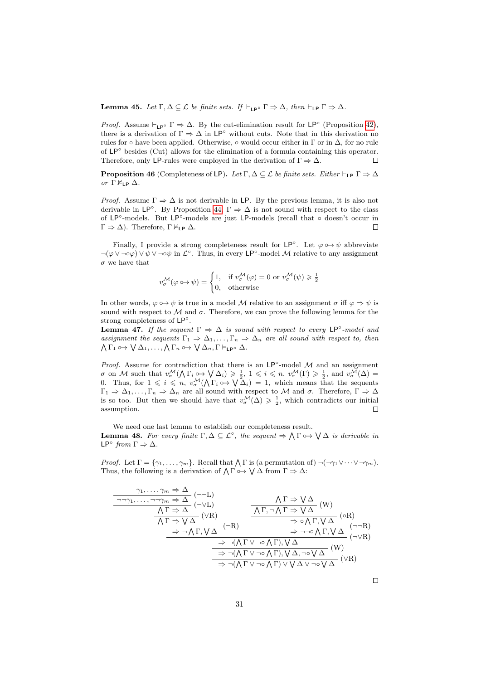**Lemma 45.** Let  $\Gamma, \Delta \subseteq \mathcal{L}$  be finite sets. If  $\vdash_{\mathsf{LP}^{\circ}} \Gamma \Rightarrow \Delta$ , then  $\vdash_{\mathsf{LP}} \Gamma \Rightarrow \Delta$ .

*Proof.* Assume  $\vdash_{\mathsf{LP}^\circ} \Gamma \Rightarrow \Delta$ . By the cut-elimination result for  $\mathsf{LP}^\circ$  (Proposition [42\)](#page-25-0), there is a derivation of  $\Gamma \Rightarrow \Delta$  in LP<sup>°</sup> without cuts. Note that in this derivation no rules for ∘ have been applied. Otherwise, ∘ would occur either in  $\Gamma$  or in  $\Delta$ , for no rule of  $LP^\circ$  besides (Cut) allows for the elimination of a formula containing this operator. Therefore, only LP-rules were employed in the derivation of  $\Gamma \Rightarrow \Delta$ .  $\Box$ 

**Proposition 46** (Completeness of LP). Let  $\Gamma, \Delta \subseteq \mathcal{L}$  be finite sets. Either  $\vdash_{\mathsf{LP}} \Gamma \Rightarrow \Delta$ or  $Γ \nvDash_{LP} Δ$ .

*Proof.* Assume  $\Gamma \Rightarrow \Delta$  is not derivable in LP. By the previous lemma, it is also not derivable in  $\mathsf{LP}^\circ$ . By Proposition [44,](#page-28-0)  $\Gamma \Rightarrow \Delta$  is not sound with respect to the class of LP◦ -models. But LP◦ -models are just LP-models (recall that ◦ doesn't occur in  $\Gamma \Rightarrow \Delta$ ). Therefore,  $\Gamma \nvDash_{\mathsf{LP}} \Delta$ .  $\Box$ 

Finally, I provide a strong completeness result for  $LP^{\circ}$ . Let  $\varphi \circ \rightarrow \psi$  abbreviate  $\neg(\varphi \lor \neg \circ \varphi) \lor \psi \lor \neg \circ \psi$  in  $\mathcal{L}^{\circ}$ . Thus, in every LP<sup>°</sup>-model M relative to any assignment  $\sigma$  we have that

$$
v^{\mathcal{M}}_{\sigma}(\varphi \circ \rightarrow \psi) = \begin{cases} 1, & \text{if } v^{\mathcal{M}}_{\sigma}(\varphi) = 0 \text{ or } v^{\mathcal{M}}_{\sigma}(\psi) \geq \frac{1}{2} \\ 0, & \text{otherwise} \end{cases}
$$

In other words,  $\varphi \circ \rightarrow \psi$  is true in a model M relative to an assignment  $\sigma$  iff  $\varphi \Rightarrow \psi$  is sound with respect to  $\mathcal M$  and  $\sigma$ . Therefore, we can prove the following lemma for the strong completeness of LP<sup>°</sup>.

<span id="page-30-0"></span>**Lemma 47.** If the sequent  $\Gamma \Rightarrow \Delta$  is sound with respect to every LP°-model and assignment the sequents  $\Gamma_1 \Rightarrow \Delta_1, \ldots, \Gamma_n \Rightarrow \Delta_n$  are all sound with respect to, then  $\bigwedge \Gamma_1 \circ \rightarrow \bigvee \Delta_1, \ldots, \bigwedge \Gamma_n \circ \rightarrow \bigvee \Delta_n, \Gamma \vDash_{\mathsf{LP}^{\circ}} \Delta.$ 

*Proof.* Assume for contradiction that there is an  $LP°$ -model  $M$  and an assignment  $\sigma$  on M such that  $v^{\mathcal{M}}_{\sigma}(\bigwedge \Gamma_i \hookrightarrow \bigvee \Delta_i) \geq \frac{1}{2}$ ,  $1 \leqslant i \leqslant n$ ,  $v^{\mathcal{M}}_{\sigma}(\Gamma) \geqslant \frac{1}{2}$ , and  $v^{\mathcal{M}}_{\sigma}(\Delta)$  = 0. Thus, for  $1 \leqslant i \leqslant n$ ,  $v^{\mathcal{M}}_{\sigma}(\bigwedge \Gamma_i \circ \rightarrow \bigvee \Delta_i) = 1$ , which means that the sequents  $\Gamma_1 \Rightarrow \Delta_1, \ldots, \Gamma_n \Rightarrow \Delta_n$  are all sound with respect to M and  $\sigma$ . Therefore,  $\Gamma \Rightarrow \Delta$ is so too. But then we should have that  $v^{\mathcal{M}}_{\sigma}(\Delta) \geqslant \frac{1}{2}$ , which contradicts our initial assumption.  $\Box$ 

<span id="page-30-1"></span>We need one last lemma to establish our completeness result. **Lemma 48.** For every finite  $\Gamma, \Delta \subseteq \mathcal{L}^{\circ}$ , the sequent  $\Rightarrow \Lambda \Gamma \rightarrow \forall \Delta$  is derivable in LP $^{\circ}$  from  $\Gamma \Rightarrow \Delta$ .

*Proof.* Let  $\Gamma = \{\gamma_1, \ldots, \gamma_m\}$ . Recall that  $\bigwedge \Gamma$  is (a permutation of)  $\neg(\neg \gamma_1 \vee \cdots \vee \neg \gamma_m)$ . Thus, the following is a derivation of  $\bigwedge \Gamma \circ \rightarrow \bigvee \Delta$  from  $\Gamma \Rightarrow \Delta$ :

$$
\frac{\gamma_1, \ldots, \gamma_m \Rightarrow \Delta}{\begin{array}{c}\n\Lambda \Gamma \Rightarrow \Delta \\
\hline\n\lambda \Gamma \Rightarrow \Delta\n\end{array}} \quad (\neg \neg L)
$$
\n
$$
\frac{\Lambda \Gamma \Rightarrow \forall \Delta}{\begin{array}{c}\n\Lambda \Gamma \Rightarrow \Delta \end{array}} \quad (\neg \neg L)
$$
\n
$$
\frac{\Lambda \Gamma \Rightarrow \forall \Delta}{\begin{array}{c}\n\Lambda \Gamma \Rightarrow \Delta \end{array}} \quad (\forall R)
$$
\n
$$
\frac{\partial \Lambda \Gamma \Rightarrow \Delta \Rightarrow \Delta \Gamma \Rightarrow (\forall R)}{\begin{array}{c}\n\lambda \Gamma \Rightarrow \Delta \Rightarrow \Delta \Gamma \Rightarrow \Delta \end{array}} \quad (\forall R)
$$
\n
$$
\frac{\partial \Delta \Gamma \Rightarrow \Delta \Rightarrow \Delta \Gamma \Rightarrow \Delta \Gamma \Rightarrow \Delta \Gamma \Rightarrow (\Delta \Gamma \Rightarrow \Delta \Gamma \Rightarrow \Delta \Gamma \Rightarrow \Delta \Gamma \Rightarrow (\Delta \Gamma \Rightarrow \Delta \Gamma \Rightarrow \Delta \Gamma \Rightarrow \Delta \Gamma \Rightarrow \Delta \Gamma \Rightarrow \Delta \Gamma \Rightarrow \Delta \Gamma \Rightarrow (\Delta \Gamma \Rightarrow \Delta \Gamma \Rightarrow \Delta \Gamma \Rightarrow \Delta \Gamma \Rightarrow \Delta \Gamma \Rightarrow (\Delta \Gamma \Rightarrow \Delta \Gamma \Rightarrow \Delta \Gamma \Rightarrow \Delta \Gamma \Rightarrow \Delta \Gamma \Rightarrow (\Delta \Gamma \Rightarrow \Delta \Gamma \Rightarrow \Delta \Gamma \Rightarrow \Delta \Gamma \Rightarrow \Delta \Gamma \Rightarrow \Delta \Gamma \Rightarrow (\Delta \Gamma \Rightarrow \Delta \Gamma \Rightarrow \Delta \Gamma \Rightarrow \Delta \Gamma \Rightarrow \Delta \Gamma \Rightarrow (\Delta \Gamma \Rightarrow \Delta \Gamma \Rightarrow \Delta \Gamma \Rightarrow \Delta \Gamma \Rightarrow \Delta \Gamma \Rightarrow (\Delta \Gamma \Rightarrow \Delta \Gamma \Rightarrow \Delta \Gamma \Rightarrow \Delta \Gamma \Rightarrow \Delta \Gamma \Rightarrow (\Delta \Gamma \Rightarrow \Delta \Gamma \Rightarrow \Delta \Gamma \Rightarrow \Delta \Gamma \Rightarrow \Delta \Gamma \Rightarrow \Delta \Gamma \Rightarrow (\Delta \Gamma \Rightarrow \Delta \Gamma \Rightarrow \Delta \Gamma \Rightarrow \Delta \Gamma \Rightarrow \Delta \Gamma \Rightarrow (\Delta \Gamma \Rightarrow \Delta \Gamma \Rightarrow \Delta \Gamma \Rightarrow \Delta \Gamma \Rightarrow \Delta \Gamma \Rightarrow (\Delta \Gamma \Rightarrow \Delta \Gamma \Rightarrow \Delta \Gamma \Rightarrow \Delta \Gamma \Rightarrow \Delta \Gamma \Rightarrow (\Delta \Gamma \Rightarrow \Delta \Gamma \Rightarrow \Delta \Gamma \Rightarrow \Delta \Gamma \Rightarrow \Delta \Gamma \Rightarrow (\Delta \Gamma \Rightarrow \Delta \Gamma \Rightarrow \Delta \Gamma \Rightarrow \Delta \Gamma \Rightarrow \Delta \Gamma \Rightarrow (\Delta \Gamma \Rightarrow \Delta \Gamma \Rightarrow \Delta \Gamma \Rightarrow \Delta \Gamma \Rightarrow \Delta \Gamma \Rightarrow (\Delta \Gamma \Rightarrow \Delta \Gamma \Rightarrow \Delta \Gamma \Rightarrow \Delta \Gamma \
$$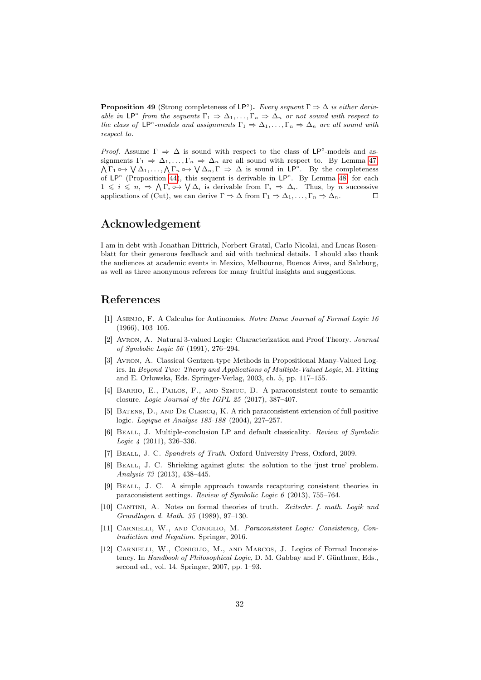<span id="page-31-12"></span>**Proposition 49** (Strong completeness of  $\mathsf{LP}^\circ$ ). Every sequent  $\Gamma \Rightarrow \Delta$  is either derivable in  $\mathsf{LP}^\circ$  from the sequents  $\Gamma_1 \Rightarrow \Delta_1, \ldots, \Gamma_n \Rightarrow \Delta_n$  or not sound with respect to the class of LP<sup>°</sup>-models and assignments  $\Gamma_1 \Rightarrow \Delta_1, \ldots, \Gamma_n \Rightarrow \Delta_n$  are all sound with respect to.

*Proof.* Assume  $\Gamma \Rightarrow \Delta$  is sound with respect to the class of LP°-models and assignments  $\Gamma_1 \Rightarrow \Delta_1, \ldots, \Gamma_n \Rightarrow \Delta_n$  are all sound with respect to. By Lemma [47,](#page-30-0)  $\bigwedge \Gamma_1 \circ \rightarrow \bigvee \Delta_1, \ldots, \bigwedge \Gamma_n \circ \rightarrow \bigvee \Delta_n, \Gamma \Rightarrow \Delta$  is sound in LP°. By the completeness of LP<sup>°</sup> (Proposition [44\)](#page-28-0), this sequent is derivable in LP<sup>°</sup>. By Lemma [48,](#page-30-1) for each  $1 \leq i \leq n, \Rightarrow \bigwedge \Gamma_i \circ \rightarrow \bigvee \Delta_i$  is derivable from  $\Gamma_i \Rightarrow \Delta_i$ . Thus, by *n* successive applications of (Cut), we can derive  $\Gamma \Rightarrow \Delta$  from  $\Gamma_1 \Rightarrow \Delta_1, \ldots, \Gamma_n \Rightarrow \Delta_n$ .  $\Box$ 

### Acknowledgement

I am in debt with Jonathan Dittrich, Norbert Gratzl, Carlo Nicolai, and Lucas Rosenblatt for their generous feedback and aid with technical details. I should also thank the audiences at academic events in Mexico, Melbourne, Buenos Aires, and Salzburg, as well as three anonymous referees for many fruitful insights and suggestions.

### References

- <span id="page-31-2"></span>[1] Asenjo, F. A Calculus for Antinomies. Notre Dame Journal of Formal Logic 16 (1966), 103–105.
- <span id="page-31-3"></span>[2] Avron, A. Natural 3-valued Logic: Characterization and Proof Theory. Journal of Symbolic Logic 56 (1991), 276–294.
- <span id="page-31-4"></span>[3] Avron, A. Classical Gentzen-type Methods in Propositional Many-Valued Logics. In Beyond Two: Theory and Applications of Multiple-Valued Logic, M. Fitting and E. Orłowska, Eds. Springer-Verlag, 2003, ch. 5, pp. 117–155.
- <span id="page-31-10"></span>[4] Barrio, E., Pailos, F., and Szmuc, D. A paraconsistent route to semantic closure. Logic Journal of the IGPL 25 (2017), 387–407.
- <span id="page-31-6"></span>[5] Batens, D., and De Clercq, K. A rich paraconsistent extension of full positive logic. Logique et Analyse 185-188 (2004), 227–257.
- <span id="page-31-5"></span>[6] Beall, J. Multiple-conclusion LP and default classicality. Review of Symbolic Logic 4 (2011), 326–336.
- <span id="page-31-0"></span>[7] Beall, J. C. Spandrels of Truth. Oxford University Press, Oxford, 2009.
- <span id="page-31-9"></span>[8] Beall, J. C. Shrieking against gluts: the solution to the 'just true' problem. Analysis 73 (2013), 438–445.
- <span id="page-31-8"></span>[9] Beall, J. C. A simple approach towards recapturing consistent theories in paraconsistent settings. Review of Symbolic Logic 6 (2013), 755–764.
- <span id="page-31-11"></span>[10] CANTINI, A. Notes on formal theories of truth. Zeitschr. f. math. Logik und Grundlagen d. Math. 35 (1989), 97–130.
- <span id="page-31-7"></span>[11] Carnielli, W., and Coniglio, M. Paraconsistent Logic: Consistency, Contradiction and Negation. Springer, 2016.
- <span id="page-31-1"></span>[12] CARNIELLI, W., CONIGLIO, M., AND MARCOS, J. Logics of Formal Inconsistency. In Handbook of Philosophical Logic, D. M. Gabbay and F. Günthner, Eds., second ed., vol. 14. Springer, 2007, pp. 1–93.